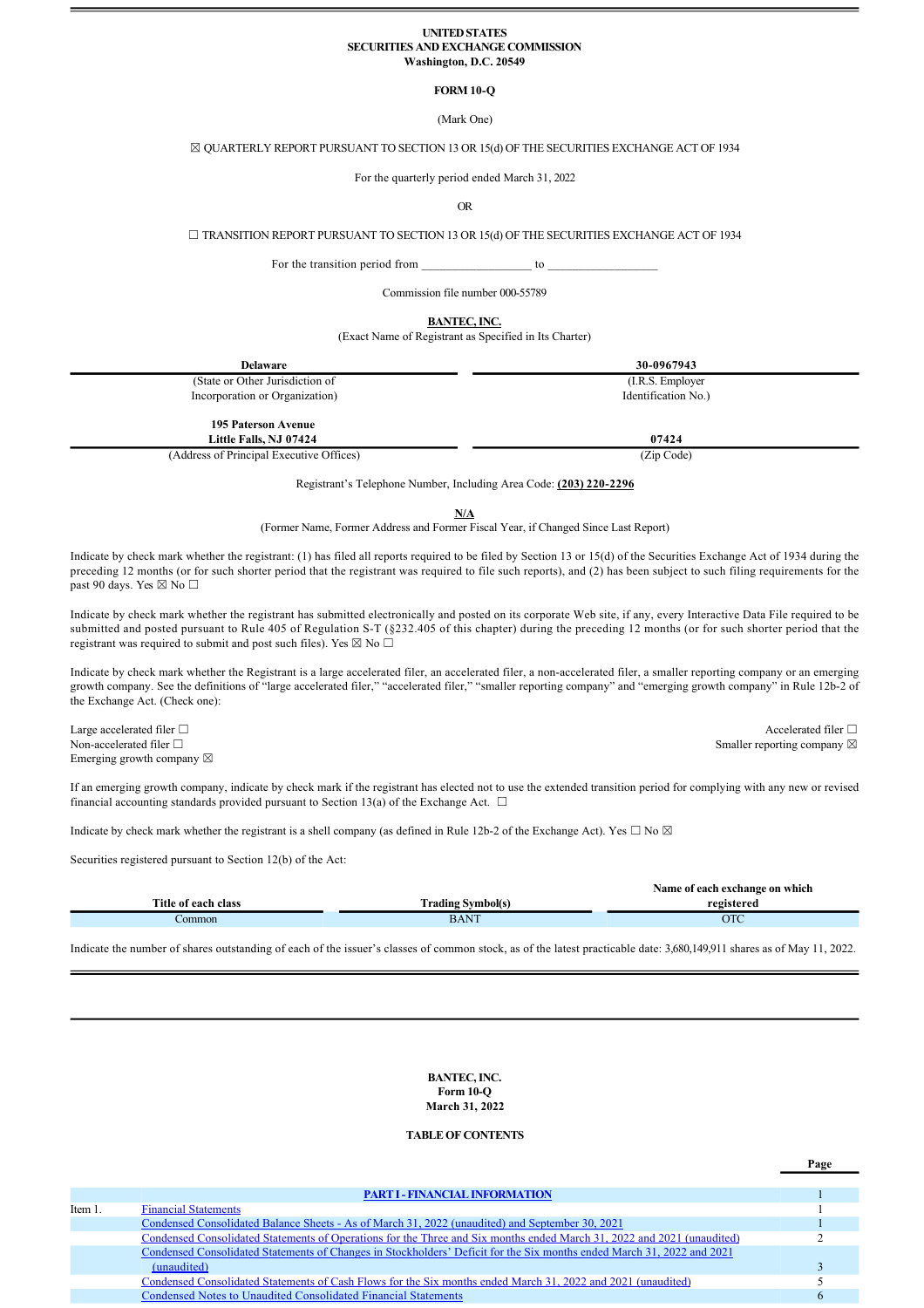#### **UNITED STATES SECURITIES AND EXCHANGE COMMISSION Washington, D.C. 20549**

# **FORM 10-Q**

(Mark One)

# ☒ QUARTERLY REPORT PURSUANT TO SECTION 13 OR 15(d) OF THE SECURITIES EXCHANGE ACT OF 1934

For the quarterly period ended March 31, 2022

OR

☐ TRANSITION REPORT PURSUANT TO SECTION 13 OR 15(d) OF THE SECURITIES EXCHANGE ACT OF 1934

For the transition period from to  $\sim$ 

Commission file number 000-55789

**BANTEC, INC.**

(Exact Name of Registrant as Specified in Its Charter)

| <b>Delaware</b>                                      | 30-0967943          |
|------------------------------------------------------|---------------------|
| (State or Other Jurisdiction of                      | (I.R.S. Employer)   |
| Incorporation or Organization)                       | Identification No.) |
| <b>195 Paterson Avenue</b><br>Little Falls, NJ 07424 | 07424               |
| (Address of Principal Executive Offices)             | (Zip Code)          |

Registrant's Telephone Number, Including Area Code: (203) 220-2296

**N/A**

(Former Name, Former Address and Former Fiscal Year, if Changed Since Last Report)

Indicate by check mark whether the registrant: (1) has filed all reports required to be filed by Section 13 or 15(d) of the Securities Exchange Act of 1934 during the preceding 12 months (or for such shorter period that the registrant was required to file such reports), and (2) has been subject to such filing requirements for the past 90 days. Yes  $\boxtimes$  No  $\Box$ 

Indicate by check mark whether the registrant has submitted electronically and posted on its corporate Web site, if any, every Interactive Data File required to be submitted and posted pursuant to Rule 405 of Regulation S-T (§232.405 of this chapter) during the preceding 12 months (or for such shorter period that the registrant was required to submit and post such files). Yes  $\boxtimes$  No  $\Box$ 

Indicate by check mark whether the Registrant is a large accelerated filer, an accelerated filer, a non-accelerated filer, a smaller reporting company or an emerging growth company. See the definitions of "large accelerated filer," "accelerated filer," "smaller reporting company" and "emerging growth company" in Rule 12b2 of the Exchange Act. (Check one):

Large accelerated filer □ Accelerated filer □ Accelerated filer □ Non-accelerated filer □ Smaller reporting company ⊠ Emerging growth company  $\boxtimes$ 

**Page**

If an emerging growth company, indicate by check mark if the registrant has elected not to use the extended transition period for complying with any new or revised financial accounting standards provided pursuant to Section 13(a) of the Exchange Act.  $\Box$ 

Indicate by check mark whether the registrant is a shell company (as defined in Rule 12b-2 of the Exchange Act). Yes  $\Box$  No  $\boxtimes$ 

Securities registered pursuant to Section 12(b) of the Act:

|                     |                   | Name of each exchange on which |
|---------------------|-------------------|--------------------------------|
| Title of each class | Urading Symbol(s. | registered                     |
| `ommon              | $BAN^T$           | OTC                            |
|                     |                   |                                |

Indicate the number of shares outstanding of each of the issuer's classes of common stock, as of the latest practicable date: 3,680,149,911 shares as of May 11, 2022.

**BANTEC, INC.**  $Form 10<sub>•</sub>O$ **March 31, 2022**

# **TABLE OF CONTENTS**

**PART I - FINANCIAL INFORMATION** Item 1. Financial Statements 1 Condensed Consolidated Balance Sheets - As of March 31, 2022 (unaudited) and September 30, 2021<br>Condensed Consolidated Statements of Operations for the Three and Six months ended March 31, 2022 and 2021 (unaudited) 2 Condensed Consolidated Statements of Operations for the Three and Six months ended March 31, 2022 and 2021 (unaudited) 2 Condensed Consolidated Statements of Changes in Stockholders' Deficit for the Six months ended March 31, 2022 and 2021  $(unaudited)$  3 Condensed Consolidated Statements of Cash Flows for the Six months ended March 31, 2022 and 2021 (unaudited) 5 Condensed Notes to Unaudited Consolidated Financial Statements 6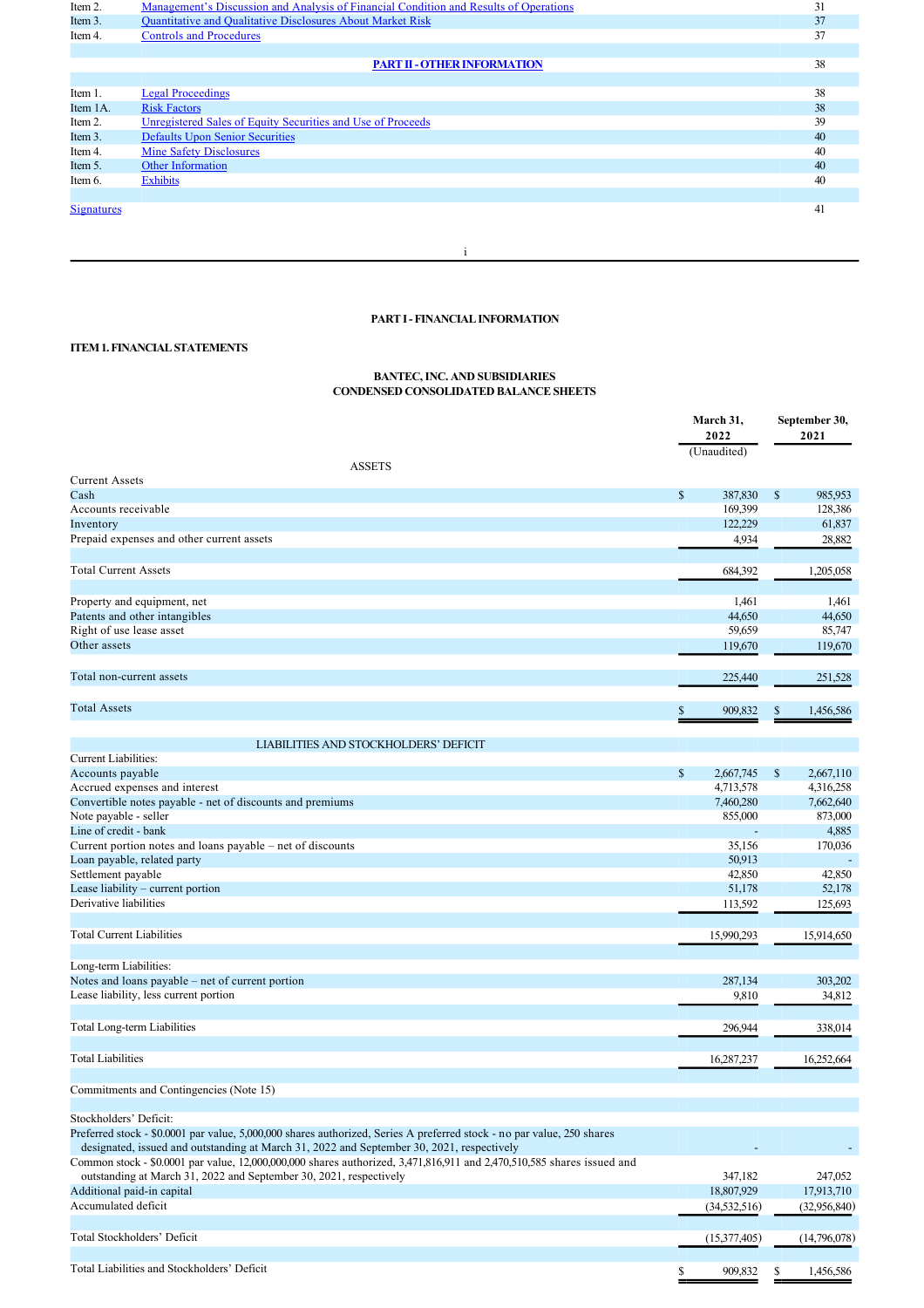| Item 2.    | Management's Discussion and Analysis of Financial Condition and Results of Operations | 31 |
|------------|---------------------------------------------------------------------------------------|----|
| Item 3.    | Quantitative and Qualitative Disclosures About Market Risk                            | 37 |
| Item 4.    | <b>Controls and Procedures</b>                                                        | 37 |
|            |                                                                                       |    |
|            | <b>PART II - OTHER INFORMATION</b>                                                    | 38 |
|            |                                                                                       |    |
| Item 1.    | <b>Legal Proceedings</b>                                                              | 38 |
| Item 1A.   | <b>Risk Factors</b>                                                                   | 38 |
| Item 2.    | Unregistered Sales of Equity Securities and Use of Proceeds                           | 39 |
| Item 3.    | <b>Defaults Upon Senior Securities</b>                                                | 40 |
| Item 4.    | <b>Mine Safety Disclosures</b>                                                        | 40 |
| Item 5.    | <b>Other Information</b>                                                              | 40 |
| Item 6.    | <b>Exhibits</b>                                                                       | 40 |
|            |                                                                                       |    |
| Signatures |                                                                                       | 41 |
|            |                                                                                       |    |
|            |                                                                                       |    |
|            |                                                                                       |    |

# **PART I FINANCIAL INFORMATION**

# **ITEM 1. FINANCIAL STATEMENTS**

#### **BANTEC, INC. AND SUBSIDIARIES CONDENSED CONSOLIDATED BALANCE SHEETS**

|                                                                                                                        | March 31,<br>2022<br>(Unaudited) |      | September 30,<br>2021 |
|------------------------------------------------------------------------------------------------------------------------|----------------------------------|------|-----------------------|
| <b>ASSETS</b>                                                                                                          |                                  |      |                       |
| <b>Current Assets</b>                                                                                                  |                                  |      |                       |
| Cash                                                                                                                   | \$<br>387,830                    | $\$$ | 985,953               |
| Accounts receivable                                                                                                    | 169,399                          |      | 128,386               |
| Inventory                                                                                                              | 122,229                          |      | 61,837                |
| Prepaid expenses and other current assets                                                                              | 4,934                            |      | 28,882                |
|                                                                                                                        |                                  |      |                       |
| <b>Total Current Assets</b>                                                                                            | 684,392                          |      | 1,205,058             |
| Property and equipment, net                                                                                            | 1,461                            |      | 1,461                 |
| Patents and other intangibles                                                                                          | 44,650                           |      | 44,650                |
| Right of use lease asset                                                                                               | 59,659                           |      | 85,747                |
| Other assets                                                                                                           | 119,670                          |      | 119,670               |
|                                                                                                                        |                                  |      |                       |
| Total non-current assets                                                                                               | 225,440                          |      | 251,528               |
|                                                                                                                        |                                  |      |                       |
| <b>Total Assets</b>                                                                                                    | \$<br>909,832                    | S    | 1,456,586             |
|                                                                                                                        |                                  |      |                       |
| LIABILITIES AND STOCKHOLDERS' DEFICIT                                                                                  |                                  |      |                       |
| <b>Current Liabilities:</b>                                                                                            |                                  |      |                       |
| Accounts payable                                                                                                       | \$<br>2,667,745                  | \$   | 2,667,110             |
| Accrued expenses and interest                                                                                          | 4,713,578                        |      | 4,316,258             |
| Convertible notes payable - net of discounts and premiums                                                              | 7,460,280                        |      | 7,662,640             |
| Note payable - seller                                                                                                  | 855,000                          |      | 873,000               |
| Line of credit - bank                                                                                                  |                                  |      | 4,885                 |
| Current portion notes and loans payable - net of discounts                                                             | 35,156                           |      | 170,036               |
| Loan payable, related party                                                                                            | 50,913                           |      |                       |
| Settlement payable                                                                                                     | 42,850                           |      | 42,850                |
| Lease liability - current portion<br>Derivative liabilities                                                            | 51,178                           |      | 52,178                |
|                                                                                                                        | 113,592                          |      | 125,693               |
| <b>Total Current Liabilities</b>                                                                                       | 15,990,293                       |      | 15,914,650            |
|                                                                                                                        |                                  |      |                       |
| Long-term Liabilities:                                                                                                 |                                  |      |                       |
| Notes and loans payable - net of current portion                                                                       | 287,134                          |      | 303,202               |
| Lease liability, less current portion                                                                                  | 9,810                            |      | 34,812                |
|                                                                                                                        |                                  |      |                       |
| Total Long-term Liabilities                                                                                            | 296,944                          |      | 338,014               |
|                                                                                                                        |                                  |      |                       |
| <b>Total Liabilities</b>                                                                                               | 16,287,237                       |      | 16,252,664            |
| Commitments and Contingencies (Note 15)                                                                                |                                  |      |                       |
|                                                                                                                        |                                  |      |                       |
| Stockholders' Deficit:                                                                                                 |                                  |      |                       |
| Preferred stock - \$0.0001 par value, 5,000,000 shares authorized, Series A preferred stock - no par value, 250 shares |                                  |      |                       |
| designated, issued and outstanding at March 31, 2022 and September 30, 2021, respectively                              |                                  |      |                       |
| Common stock - \$0,0001 par value, 12,000,000,000 shares authorized, 3,471,816,911 and 2,470,510,585 shares issued and |                                  |      |                       |
| outstanding at March 31, 2022 and September 30, 2021, respectively                                                     | 347,182                          |      | 247,052               |
| Additional paid-in capital                                                                                             | 18,807,929                       |      | 17,913,710            |
| Accumulated deficit                                                                                                    | (34, 532, 516)                   |      | (32,956,840)          |
|                                                                                                                        |                                  |      |                       |
| Total Stockholders' Deficit                                                                                            | (15,377,405)                     |      | (14,796,078)          |
|                                                                                                                        |                                  |      |                       |
| Total Liabilities and Stockholders' Deficit                                                                            | \$<br>909,832                    | \$   | 1,456,586             |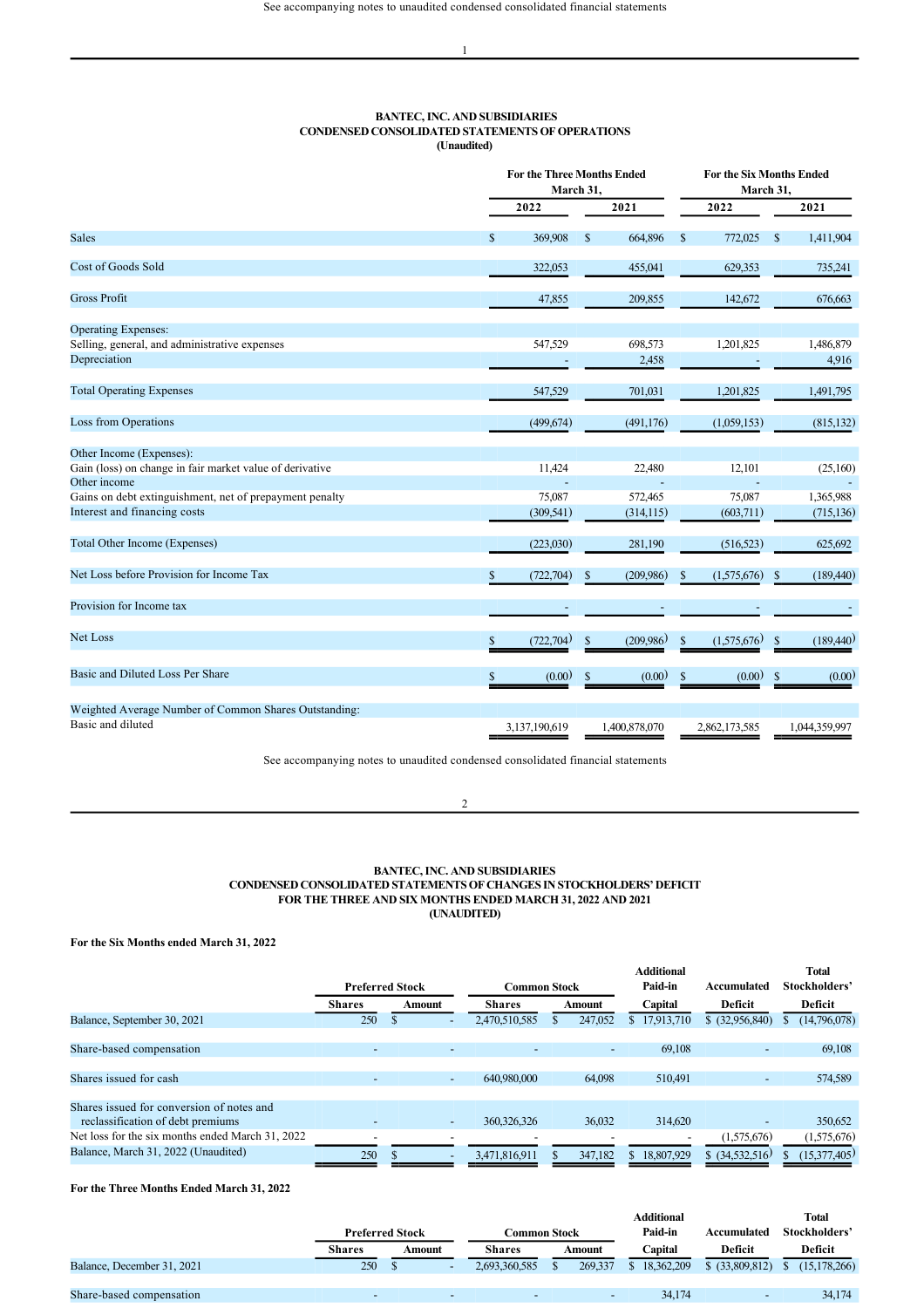## **BANTEC, INC. AND SUBSIDIARIES CONDENSED CONSOLIDATED STATEMENTS OF OPERATIONS (Unaudited)**

|                                                                          |              | <b>For the Three Months Ended</b><br>March 31, |               |                          |              | <b>For the Six Months Ended</b><br>March 31, |               |                    |  |
|--------------------------------------------------------------------------|--------------|------------------------------------------------|---------------|--------------------------|--------------|----------------------------------------------|---------------|--------------------|--|
|                                                                          |              | 2022                                           |               | 2021                     |              | 2022                                         |               | 2021               |  |
| <b>Sales</b>                                                             | $\mathbb{S}$ | 369,908                                        | $\mathbf{s}$  | 664,896                  | \$           | 772,025                                      | <sup>\$</sup> | 1,411,904          |  |
| <b>Cost of Goods Sold</b>                                                |              | 322,053                                        |               | 455,041                  |              | 629,353                                      |               | 735,241            |  |
| <b>Gross Profit</b>                                                      |              | 47,855                                         |               | 209,855                  |              | 142,672                                      |               | 676,663            |  |
| <b>Operating Expenses:</b>                                               |              |                                                |               |                          |              |                                              |               |                    |  |
| Selling, general, and administrative expenses<br>Depreciation            |              | 547,529                                        |               | 698,573<br>2,458         |              | 1,201,825                                    |               | 1,486,879<br>4,916 |  |
| <b>Total Operating Expenses</b>                                          |              | 547,529                                        |               | 701,031                  |              | 1,201,825                                    |               | 1,491,795          |  |
| Loss from Operations                                                     |              | (499.674)                                      |               | (491, 176)               |              | (1,059,153)                                  |               | (815, 132)         |  |
| Other Income (Expenses):                                                 |              |                                                |               |                          |              |                                              |               |                    |  |
| Gain (loss) on change in fair market value of derivative<br>Other income |              | 11,424                                         |               | 22,480                   |              | 12,101                                       |               | (25,160)           |  |
| Gains on debt extinguishment, net of prepayment penalty                  |              | 75,087                                         |               | 572,465                  |              | 75,087                                       |               | 1,365,988          |  |
| Interest and financing costs                                             |              | (309, 541)                                     |               | (314, 115)               |              | (603,711)                                    |               | (715, 136)         |  |
| Total Other Income (Expenses)                                            |              | (223,030)                                      |               | 281,190                  |              | (516, 523)                                   |               | 625,692            |  |
| Net Loss before Provision for Income Tax                                 | \$           | (722, 704)                                     | $\mathsf{\$}$ | (209,986)                | \$           | (1,575,676)                                  | \$            | (189,440)          |  |
| Provision for Income tax                                                 |              | $\overline{\phantom{a}}$                       |               | $\overline{\phantom{a}}$ |              |                                              |               |                    |  |
| Net Loss                                                                 | \$           | (722, 704)                                     | <sup>\$</sup> | (209, 986)               | $\mathbb{S}$ | (1,575,676)                                  | \$            | (189,440)          |  |
| Basic and Diluted Loss Per Share                                         | \$           | (0.00)                                         | $\mathbf S$   | (0.00)                   | $\mathbf S$  | (0.00)                                       | $\$$          | (0.00)             |  |
| Weighted Average Number of Common Shares Outstanding:                    |              |                                                |               |                          |              |                                              |               |                    |  |
| Basic and diluted                                                        |              | 3,137,190,619                                  |               | 1,400,878,070            |              | 2,862,173,585                                |               | 1.044.359.997      |  |

See accompanying notes to unaudited condensed consolidated financial statements

#### $\overline{2}$

## **BANTEC, INC. AND SUBSIDIARIES CONDENSED CONSOLIDATED STATEMENTS OF CHANGES IN STOCKHOLDERS' DEFICIT FOR THE THREE AND SIX MONTHS ENDED MARCH 31, 2022 AND 2021 (UNAUDITED)**

**For the Six Months ended March 31, 2022**

|                                                  |                          | <b>Preferred Stock</b>   | <b>Common Stock</b> |                          | <b>Additional</b><br>Paid-in | Accumulated              | Total<br>Stockholders' |
|--------------------------------------------------|--------------------------|--------------------------|---------------------|--------------------------|------------------------------|--------------------------|------------------------|
|                                                  | Shares                   | Amount                   | <b>Shares</b>       | Amount                   | Capital                      | Deficit                  | Deficit                |
| Balance, September 30, 2021                      | 250                      | -                        | 2,470,510,585       | 247,052                  | 17,913,710<br>S.             | $$$ (32,956,840)         | (14,796,078)           |
|                                                  |                          |                          |                     |                          |                              |                          |                        |
| Share-based compensation                         | $\overline{\phantom{0}}$ | $\overline{\phantom{0}}$ |                     | $\overline{\phantom{a}}$ | 69,108                       | -                        | 69,108                 |
|                                                  |                          |                          |                     |                          |                              |                          |                        |
| Shares issued for cash                           |                          | ٠                        | 640.980.000         | 64,098                   | 510,491                      | $\overline{\phantom{a}}$ | 574,589                |
|                                                  |                          |                          |                     |                          |                              |                          |                        |
| Shares issued for conversion of notes and        |                          |                          |                     |                          |                              |                          |                        |
| reclassification of debt premiums                |                          | -                        | 360,326,326         | 36,032                   | 314,620                      |                          | 350,652                |
| Net loss for the six months ended March 31, 2022 | $\overline{\phantom{a}}$ | -                        |                     |                          |                              | (1,575,676)              | (1,575,676)            |
| Balance, March 31, 2022 (Unaudited)              | 250                      | $\overline{\phantom{0}}$ | 3,471,816,911       | 347.182                  | 18,807,929                   | $$$ (34,532,516)         | (15,377,405)           |

# **For the Three Months Ended March 31, 2022**

|                            |               |                        |                          |                      |  |                          | <b>Additional</b> |                  |               | <b>Total</b>   |
|----------------------------|---------------|------------------------|--------------------------|----------------------|--|--------------------------|-------------------|------------------|---------------|----------------|
|                            |               | <b>Preferred Stock</b> |                          | C <b>ommon Stock</b> |  | Paid-in                  | Accumulated       |                  | Stockholders' |                |
|                            | <b>Shares</b> | Amount                 |                          | <b>Shares</b>        |  | Amount                   | Capital           | Deficit          |               | Deficit        |
| Balance, December 31, 2021 | 250           |                        | $\overline{\phantom{a}}$ | 2,693,360,585        |  | 269.337                  | 18.362.209        | $$$ (33,809,812) |               | (15, 178, 266) |
|                            |               |                        |                          |                      |  |                          |                   |                  |               |                |
| Share-based compensation   |               |                        | $\overline{\phantom{0}}$ |                      |  | $\overline{\phantom{0}}$ | 34.174            |                  |               | 34.174         |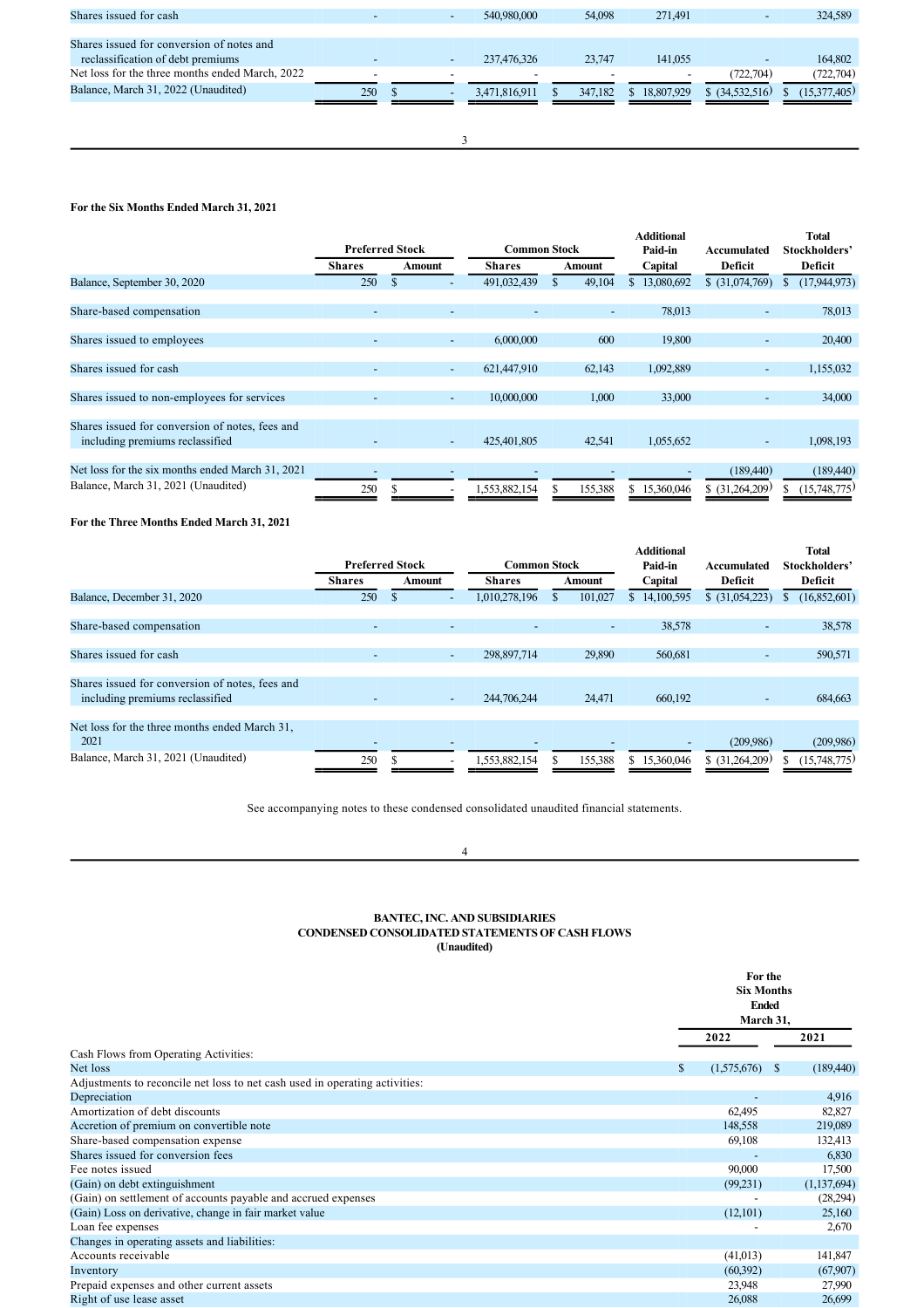| Shares issued for cash                          |     | 540,980,000   | 54,098  | 271,491          |                  | 324,589      |
|-------------------------------------------------|-----|---------------|---------|------------------|------------------|--------------|
|                                                 |     |               |         |                  |                  |              |
| Shares issued for conversion of notes and       |     |               |         |                  |                  |              |
| reclassification of debt premiums               |     | 237,476,326   | 23,747  | 141,055          |                  | 164,802      |
| Net loss for the three months ended March, 2022 |     |               |         |                  | (722.704)        | (722, 704)   |
| Balance, March 31, 2022 (Unaudited)             | 250 | 3,471,816,911 | 347.182 | 18.807.929<br>ъ. | $$$ (34,532,516) | (15,377,405) |
|                                                 |     |               |         |                  |                  |              |
|                                                 |     |               |         |                  |                  |              |

3

# **For the Six Months Ended March 31, 2021**

|                                                                                         | <b>Preferred Stock</b>   |                          | <b>Common Stock</b> |                          | <b>Additional</b><br>Paid-in | Accumulated                  | <b>Total</b><br>Stockholders' |
|-----------------------------------------------------------------------------------------|--------------------------|--------------------------|---------------------|--------------------------|------------------------------|------------------------------|-------------------------------|
|                                                                                         | <b>Shares</b>            | Amount                   | <b>Shares</b>       | Amount                   | Capital                      | <b>Deficit</b>               | Deficit                       |
| Balance, September 30, 2020                                                             | 250                      | $\mathbb{S}$             | 491,032,439         | 49,104                   | 13,080,692<br>S              | \$ (31,074,769)              | (17,944,973)                  |
| Share-based compensation                                                                | $\overline{\phantom{0}}$ | $\overline{\phantom{0}}$ |                     | $\overline{\phantom{a}}$ | 78,013                       | ٠                            | 78,013                        |
| Shares issued to employees                                                              | $\overline{\phantom{0}}$ | $\overline{\phantom{a}}$ | 6,000,000           | 600                      | 19,800                       | -                            | 20,400                        |
| Shares issued for cash                                                                  | $\overline{\phantom{a}}$ | $\overline{\phantom{a}}$ | 621,447,910         | 62,143                   | 1,092,889                    | ٠                            | 1,155,032                     |
| Shares issued to non-employees for services                                             |                          | ٠                        | 10,000,000          | 1,000                    | 33,000                       | ٠                            | 34,000                        |
| Shares issued for conversion of notes, fees and<br>including premiums reclassified      |                          | ٠                        | 425,401,805         | 42,541                   | 1,055,652                    | ٠                            | 1,098,193                     |
| Net loss for the six months ended March 31, 2021<br>Balance, March 31, 2021 (Unaudited) | 250                      | $\overline{\phantom{0}}$ | 1,553,882,154       | 155,388                  | 15,360,046<br>S              | (189,440)<br>\$ (31,264,209) | (189,440)<br>(15,748,775)     |

**For the Three Months Ended March 31, 2021**

|                                                                                    |               | <b>Preferred Stock</b>   | <b>Common Stock</b> |         | <b>Additional</b><br>Paid-in | Accumulated              | <b>Total</b><br>Stockholders' |
|------------------------------------------------------------------------------------|---------------|--------------------------|---------------------|---------|------------------------------|--------------------------|-------------------------------|
|                                                                                    | <b>Shares</b> | Amount                   | Shares              | Amount  | Capital                      | <b>Deficit</b>           | <b>Deficit</b>                |
| Balance, December 31, 2020                                                         | 250           |                          | 1,010,278,196       | 101,027 | 14,100,595<br>\$             | \$ (31,054,223)          | (16,852,601)                  |
|                                                                                    |               |                          |                     |         |                              |                          |                               |
| Share-based compensation                                                           |               |                          |                     | -       | 38,578                       | $\overline{\phantom{a}}$ | 38,578                        |
|                                                                                    |               |                          |                     |         |                              |                          |                               |
| Shares issued for cash                                                             |               | $\overline{\phantom{a}}$ | 298,897,714         | 29,890  | 560,681                      |                          | 590,571                       |
|                                                                                    |               |                          |                     |         |                              |                          |                               |
| Shares issued for conversion of notes, fees and<br>including premiums reclassified |               | $\overline{\phantom{0}}$ | 244,706,244         | 24,471  | 660,192                      |                          | 684,663                       |
|                                                                                    |               |                          |                     |         |                              |                          |                               |
| Net loss for the three months ended March 31.<br>2021                              |               |                          |                     |         |                              | (209.986)                | (209, 986)                    |
| Balance, March 31, 2021 (Unaudited)                                                | 250           |                          | 1,553,882,154       | 155,388 | \$15,360,046                 | $$$ (31,264,209)         | (15,748,775)                  |

See accompanying notes to these condensed consolidated unaudited financial statements.

# 4

#### **BANTEC, INC. AND SUBSIDIARIES CONDENSED CONSOLIDATED STATEMENTS OF CASH FLOWS (Unaudited)**

|                                                                             |                   | For the<br><b>Six Months</b><br><b>Ended</b><br>March 31, |               |  |
|-----------------------------------------------------------------------------|-------------------|-----------------------------------------------------------|---------------|--|
|                                                                             | 2022              |                                                           | 2021          |  |
| Cash Flows from Operating Activities:                                       |                   |                                                           |               |  |
| Net loss                                                                    | \$<br>(1,575,676) | <sup>S</sup>                                              | (189, 440)    |  |
| Adjustments to reconcile net loss to net cash used in operating activities: |                   |                                                           |               |  |
| Depreciation                                                                |                   |                                                           | 4,916         |  |
| Amortization of debt discounts                                              | 62,495            |                                                           | 82,827        |  |
| Accretion of premium on convertible note                                    | 148,558           |                                                           | 219,089       |  |
| Share-based compensation expense                                            | 69,108            |                                                           | 132,413       |  |
| Shares issued for conversion fees                                           |                   |                                                           | 6,830         |  |
| Fee notes issued                                                            | 90,000            |                                                           | 17,500        |  |
| (Gain) on debt extinguishment                                               | (99,231)          |                                                           | (1, 137, 694) |  |
| (Gain) on settlement of accounts payable and accrued expenses               |                   |                                                           | (28,294)      |  |
| (Gain) Loss on derivative, change in fair market value                      | (12,101)          |                                                           | 25,160        |  |
| Loan fee expenses                                                           |                   |                                                           | 2,670         |  |
| Changes in operating assets and liabilities:                                |                   |                                                           |               |  |
| Accounts receivable                                                         | (41,013)          |                                                           | 141,847       |  |
| Inventory                                                                   | (60,392)          |                                                           | (67,907)      |  |
| Prepaid expenses and other current assets                                   | 23,948            |                                                           | 27,990        |  |
| Right of use lease asset                                                    | 26,088            |                                                           | 26,699        |  |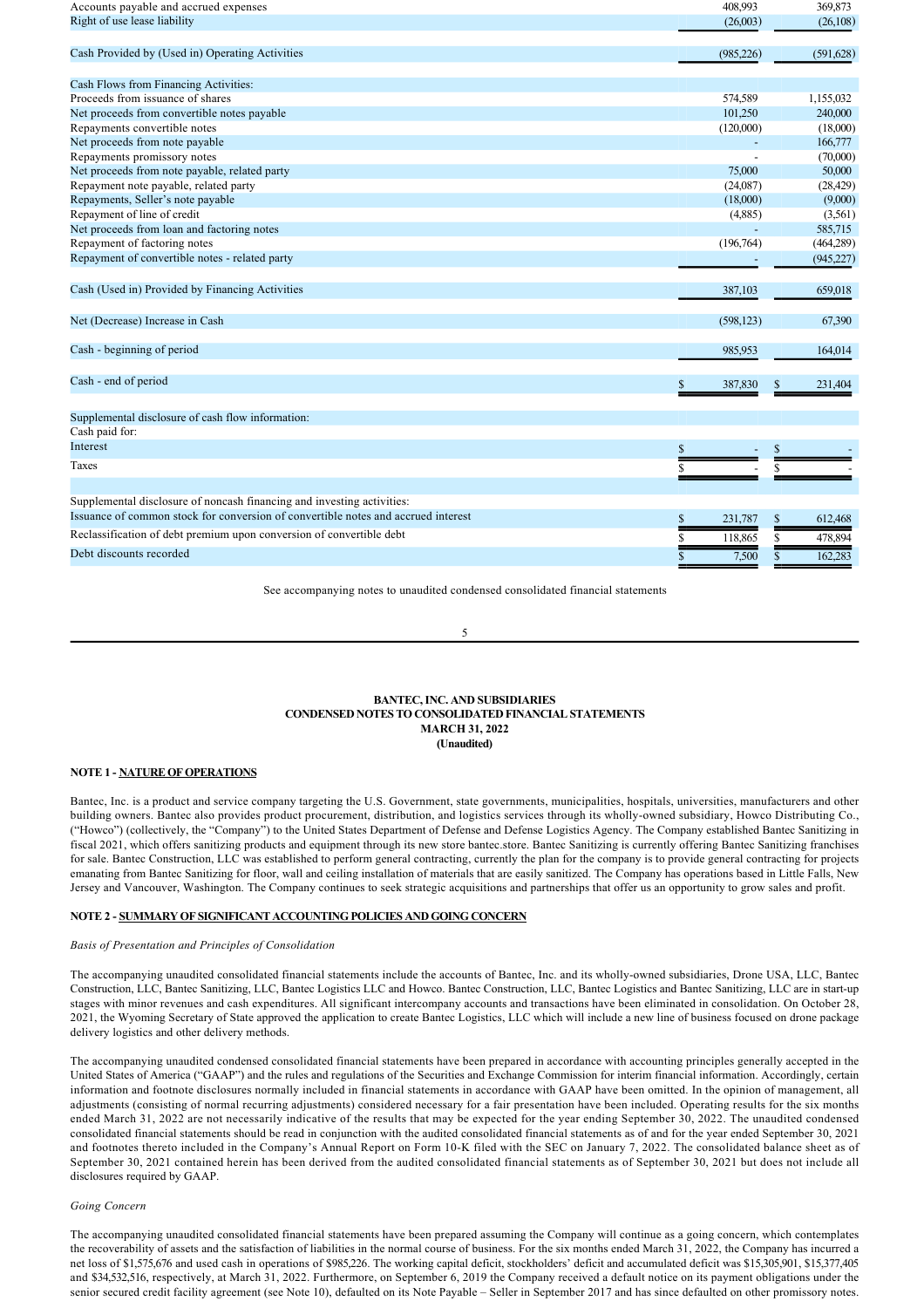| (26,003)<br>(26,108)<br>(985, 226)<br>(591, 628)<br>574,589<br>1,155,032<br>101,250<br>240,000<br>(120,000)<br>(18,000)<br>166,777<br>(70,000)<br>75,000<br>50,000<br>Repayment note payable, related party<br>(24,087)<br>(28, 429)<br>(18,000)<br>(9,000)<br>Repayment of line of credit<br>(4,885)<br>(3,561)<br>585,715<br>(196,764)<br>(464, 289)<br>(945, 227)<br>387,103<br>659,018<br>(598, 123)<br>67,390<br>985.953<br>164.014<br>\$<br>387,830<br>231,404<br>Cash paid for:<br>Interest<br>\$<br>S<br>Taxes<br>S<br>Supplemental disclosure of noncash financing and investing activities:<br>Issuance of common stock for conversion of convertible notes and accrued interest<br>\$<br>612,468<br>231,787<br>\$ | Accounts payable and accrued expenses                                | 408,993      | 369,873 |
|------------------------------------------------------------------------------------------------------------------------------------------------------------------------------------------------------------------------------------------------------------------------------------------------------------------------------------------------------------------------------------------------------------------------------------------------------------------------------------------------------------------------------------------------------------------------------------------------------------------------------------------------------------------------------------------------------------------------------|----------------------------------------------------------------------|--------------|---------|
|                                                                                                                                                                                                                                                                                                                                                                                                                                                                                                                                                                                                                                                                                                                              | Right of use lease liability                                         |              |         |
|                                                                                                                                                                                                                                                                                                                                                                                                                                                                                                                                                                                                                                                                                                                              | Cash Provided by (Used in) Operating Activities                      |              |         |
|                                                                                                                                                                                                                                                                                                                                                                                                                                                                                                                                                                                                                                                                                                                              | Cash Flows from Financing Activities:                                |              |         |
|                                                                                                                                                                                                                                                                                                                                                                                                                                                                                                                                                                                                                                                                                                                              | Proceeds from issuance of shares                                     |              |         |
|                                                                                                                                                                                                                                                                                                                                                                                                                                                                                                                                                                                                                                                                                                                              | Net proceeds from convertible notes payable                          |              |         |
|                                                                                                                                                                                                                                                                                                                                                                                                                                                                                                                                                                                                                                                                                                                              | Repayments convertible notes                                         |              |         |
|                                                                                                                                                                                                                                                                                                                                                                                                                                                                                                                                                                                                                                                                                                                              | Net proceeds from note payable                                       |              |         |
|                                                                                                                                                                                                                                                                                                                                                                                                                                                                                                                                                                                                                                                                                                                              | Repayments promissory notes                                          |              |         |
|                                                                                                                                                                                                                                                                                                                                                                                                                                                                                                                                                                                                                                                                                                                              | Net proceeds from note payable, related party                        |              |         |
|                                                                                                                                                                                                                                                                                                                                                                                                                                                                                                                                                                                                                                                                                                                              |                                                                      |              |         |
|                                                                                                                                                                                                                                                                                                                                                                                                                                                                                                                                                                                                                                                                                                                              | Repayments, Seller's note payable                                    |              |         |
|                                                                                                                                                                                                                                                                                                                                                                                                                                                                                                                                                                                                                                                                                                                              |                                                                      |              |         |
|                                                                                                                                                                                                                                                                                                                                                                                                                                                                                                                                                                                                                                                                                                                              | Net proceeds from loan and factoring notes                           |              |         |
|                                                                                                                                                                                                                                                                                                                                                                                                                                                                                                                                                                                                                                                                                                                              | Repayment of factoring notes                                         |              |         |
|                                                                                                                                                                                                                                                                                                                                                                                                                                                                                                                                                                                                                                                                                                                              | Repayment of convertible notes - related party                       |              |         |
|                                                                                                                                                                                                                                                                                                                                                                                                                                                                                                                                                                                                                                                                                                                              | Cash (Used in) Provided by Financing Activities                      |              |         |
|                                                                                                                                                                                                                                                                                                                                                                                                                                                                                                                                                                                                                                                                                                                              | Net (Decrease) Increase in Cash                                      |              |         |
|                                                                                                                                                                                                                                                                                                                                                                                                                                                                                                                                                                                                                                                                                                                              | Cash - beginning of period                                           |              |         |
|                                                                                                                                                                                                                                                                                                                                                                                                                                                                                                                                                                                                                                                                                                                              | Cash - end of period                                                 |              |         |
|                                                                                                                                                                                                                                                                                                                                                                                                                                                                                                                                                                                                                                                                                                                              | Supplemental disclosure of cash flow information:                    |              |         |
|                                                                                                                                                                                                                                                                                                                                                                                                                                                                                                                                                                                                                                                                                                                              |                                                                      |              |         |
|                                                                                                                                                                                                                                                                                                                                                                                                                                                                                                                                                                                                                                                                                                                              |                                                                      |              |         |
|                                                                                                                                                                                                                                                                                                                                                                                                                                                                                                                                                                                                                                                                                                                              |                                                                      |              |         |
|                                                                                                                                                                                                                                                                                                                                                                                                                                                                                                                                                                                                                                                                                                                              |                                                                      |              |         |
|                                                                                                                                                                                                                                                                                                                                                                                                                                                                                                                                                                                                                                                                                                                              |                                                                      |              |         |
|                                                                                                                                                                                                                                                                                                                                                                                                                                                                                                                                                                                                                                                                                                                              | Reclassification of debt premium upon conversion of convertible debt | S<br>118,865 | 478,894 |
| Debt discounts recorded<br>7,500<br>162.283<br>S<br>\$                                                                                                                                                                                                                                                                                                                                                                                                                                                                                                                                                                                                                                                                       |                                                                      |              |         |

See accompanying notes to unaudited condensed consolidated financial statements

5

## **BANTEC, INC. AND SUBSIDIARIES CONDENSED NOTES TO CONSOLIDATED FINANCIAL STATEMENTS MARCH 31, 2022 (Unaudited)**

# **NOTE 1 NATURE OF OPERATIONS**

Bantec, Inc. is a product and service company targeting the U.S. Government, state governments, municipalities, hospitals, universities, manufacturers and other building owners. Bantec also provides product procurement, distribution, and logistics services through its wholly-owned subsidiary, Howco Distributing Co., ("Howco") (collectively, the "Company") to the United States Department of Defense and Defense Logistics Agency. The Company established Bantec Sanitizing in fiscal 2021, which offers sanitizing products and equipment through its new store bantec.store. Bantec Sanitizing is currently offering Bantec Sanitizing franchises for sale. Bantec Construction, LLC was established to perform general contracting, currently the plan for the company is to provide general contracting for projects emanating from Bantec Sanitizing for floor, wall and ceiling installation of materials that are easily sanitized. The Company has operations based in Little Falls, New Jersey and Vancouver, Washington. The Company continues to seek strategic acquisitions and partnerships that offer us an opportunity to grow sales and profit.

## **NOTE 2 SUMMARY OF SIGNIFICANT ACCOUNTING POLICIES AND GOING CONCERN**

#### *Basis of Presentation and Principles of Consolidation*

The accompanying unaudited consolidated financial statements include the accounts of Bantec, Inc. and its wholly-owned subsidiaries, Drone USA, LLC, Bantec Construction, LLC, Bantec Sanitizing, LLC, Bantec Logistics LLC and Howco. Bantec Construction, LLC, Bantec Logistics and Bantec Sanitizing, LLC are in startup stages with minor revenues and cash expenditures. All significant intercompany accounts and transactions have been eliminated in consolidation. On October 28, 2021, the Wyoming Secretary of State approved the application to create Bantec Logistics, LLC which will include a new line of business focused on drone package delivery logistics and other delivery methods.

The accompanying unaudited condensed consolidated financial statements have been prepared in accordance with accounting principles generally accepted in the United States of America ("GAAP") and the rules and regulations of the Securities and Exchange Commission for interim financial information. Accordingly, certain information and footnote disclosures normally included in financial statements in accordance with GAAP have been omitted. In the opinion of management, all adjustments (consisting of normal recurring adjustments) considered necessary for a fair presentation have been included. Operating results for the six months ended March 31, 2022 are not necessarily indicative of the results that may be expected for the year ending September 30, 2022. The unaudited condensed consolidated financial statements should be read in conjunction with the audited consolidated financial statements as of and for the year ended September 30, 2021 and footnotes thereto included in the Company's Annual Report on Form 10-K filed with the SEC on January 7, 2022. The consolidated balance sheet as of September 30, 2021 contained herein has been derived from the audited consolidated financial statements as of September 30, 2021 but does not include all disclosures required by GAAP.

## *Going Concern*

The accompanying unaudited consolidated financial statements have been prepared assuming the Company will continue as a going concern, which contemplates the recoverability of assets and the satisfaction of liabilities in the normal course of business. For the six months ended March 31, 2022, the Company has incurred a net loss of \$1,575,676 and used cash in operations of \$985,226. The working capital deficit, stockholders' deficit and accumulated deficit was \$15,305,901, \$15,377,405 and \$34,532,516, respectively, at March 31, 2022. Furthermore, on September 6, 2019 the Company received a default notice on its payment obligations under the senior secured credit facility agreement (see Note 10), defaulted on its Note Payable – Seller in September 2017 and has since defaulted on other promissory notes.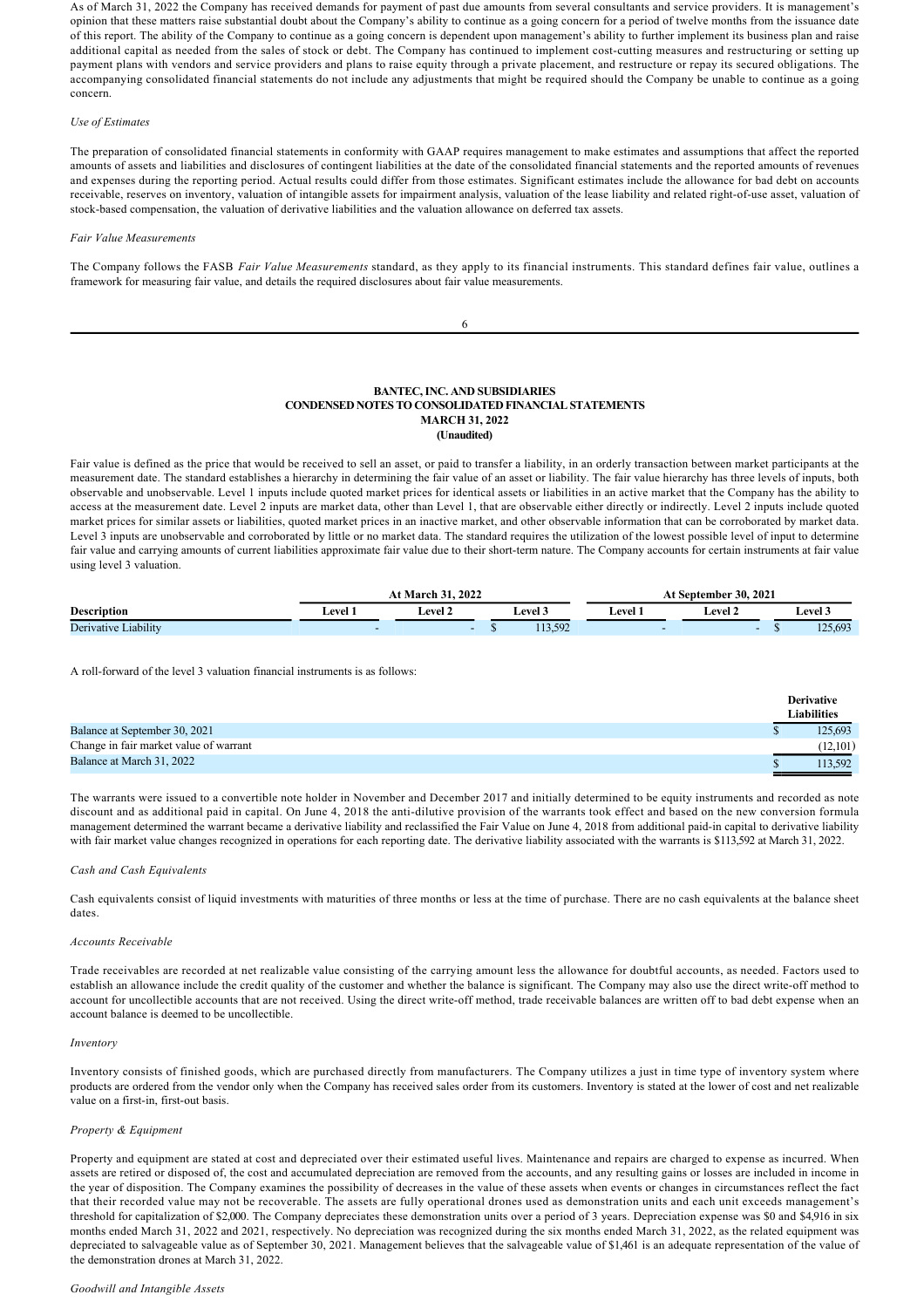As of March 31, 2022 the Company has received demands for payment of past due amounts from several consultants and service providers. It is management's opinion that these matters raise substantial doubt about the Company's ability to continue as a going concern for a period of twelve months from the issuance date of this report. The ability of the Company to continue as a going concern is dependent upon management's ability to further implement its business plan and raise additional capital as needed from the sales of stock or debt. The Company has continued to implement cost-cutting measures and restructuring or setting up payment plans with vendors and service providers and plans to raise equity through a private placement, and restructure or repay its secured obligations. The accompanying consolidated financial statements do not include any adjustments that might be required should the Company be unable to continue as a going concern.

## *Use of Estimates*

The preparation of consolidated financial statements in conformity with GAAP requires management to make estimates and assumptions that affect the reported amounts of assets and liabilities and disclosures of contingent liabilities at the date of the consolidated financial statements and the reported amounts of revenues and expenses during the reporting period. Actual results could differ from those estimates. Significant estimates include the allowance for bad debt on accounts receivable, reserves on inventory, valuation of intangible assets for impairment analysis, valuation of the lease liability and related right-of-use asset, valuation of stock-based compensation, the valuation of derivative liabilities and the valuation allowance on deferred tax assets.

#### *Fair Value Measurements*

The Company follows the FASB *Fair Value Measurements* standard, as they apply to its financial instruments. This standard defines fair value, outlines a framework for measuring fair value, and details the required disclosures about fair value measurements.

6

| <b>BANTEC, INC. AND SUBSIDIARIES</b>                        |
|-------------------------------------------------------------|
| <b>CONDENSED NOTES TO CONSOLIDATED FINANCIAL STATEMENTS</b> |
| <b>MARCH 31, 2022</b>                                       |
| (Unaudited)                                                 |

Fair value is defined as the price that would be received to sell an asset, or paid to transfer a liability, in an orderly transaction between market participants at the measurement date. The standard establishes a hierarchy in determining the fair value of an asset or liability. The fair value hierarchy has three levels of inputs, both observable and unobservable. Level 1 inputs include quoted market prices for identical assets or liabilities in an active market that the Company has the ability to access at the measurement date. Level 2 inputs are market data, other than Level 1, that are observable either directly or indirectly. Level 2 inputs include quoted market prices for similar assets or liabilities, quoted market prices in an inactive market, and other observable information that can be corroborated by market data. Level 3 inputs are unobservable and corroborated by little or no market data. The standard requires the utilization of the lowest possible level of input to determine fair value and carrying amounts of current liabilities approximate fair value due to their short-term nature. The Company accounts for certain instruments at fair value using level 3 valuation.

|                      | <b>March 31, 2022</b> |                |  |                |         | September 30, 2021 |              |
|----------------------|-----------------------|----------------|--|----------------|---------|--------------------|--------------|
| <b>Description</b>   | <b>Level</b> :        | . .<br>evel 2- |  | <b>Level 3</b> | ∟evel 1 | <b>Level 2</b>     | $\pm$ evel 3 |
| Derivative Liability |                       |                |  | 113.592        |         |                    | 125,693      |

A roll-forward of the level 3 valuation financial instruments is as follows:

|                                        | <b>Derivative</b>  |
|----------------------------------------|--------------------|
|                                        | <b>Liabilities</b> |
| Balance at September 30, 2021          | 125.693            |
| Change in fair market value of warrant | (12,101)           |
| Balance at March 31, 2022              | 113.592            |

The warrants were issued to a convertible note holder in November and December 2017 and initially determined to be equity instruments and recorded as note discount and as additional paid in capital. On June 4, 2018 the anti-dilutive provision of the warrants took effect and based on the new conversion formula management determined the warrant became a derivative liability and reclassified the Fair Value on June 4, 2018 from additional paid-in capital to derivative liability with fair market value changes recognized in operations for each reporting date. The derivative liability associated with the warrants is \$113,592 at March 31, 2022.

## *Cash and Cash Equivalents*

Cash equivalents consist of liquid investments with maturities of three months or less at the time of purchase. There are no cash equivalents at the balance sheet dates.

## *Accounts Receivable*

Trade receivables are recorded at net realizable value consisting of the carrying amount less the allowance for doubtful accounts, as needed. Factors used to establish an allowance include the credit quality of the customer and whether the balance is significant. The Company may also use the direct write-off method to account for uncollectible accounts that are not received. Using the direct write-off method, trade receivable balances are written off to bad debt expense when an account balance is deemed to be uncollectible.

### *Inventory*

Inventory consists of finished goods, which are purchased directly from manufacturers. The Company utilizes a just in time type of inventory system where products are ordered from the vendor only when the Company has received sales order from its customers. Inventory is stated at the lower of cost and net realizable value on a first-in, first-out basis.

## *Property & Equipment*

Property and equipment are stated at cost and depreciated over their estimated useful lives. Maintenance and repairs are charged to expense as incurred. When assets are retired or disposed of, the cost and accumulated depreciation are removed from the accounts, and any resulting gains or losses are included in income in the year of disposition. The Company examines the possibility of decreases in the value of these assets when events or changes in circumstances reflect the fact that their recorded value may not be recoverable. The assets are fully operational drones used as demonstration units and each unit exceeds management's threshold for capitalization of \$2,000. The Company depreciates these demonstration units over a period of 3 years. Depreciation expense was \$0 and \$4,916 in six months ended March 31, 2022 and 2021, respectively. No depreciation was recognized during the six months ended March 31, 2022, as the related equipment was depreciated to salvageable value as of September 30, 2021. Management believes that the salvageable value of \$1,461 is an adequate representation of the value of the demonstration drones at March 31, 2022.

### *Goodwill and Intangible Assets*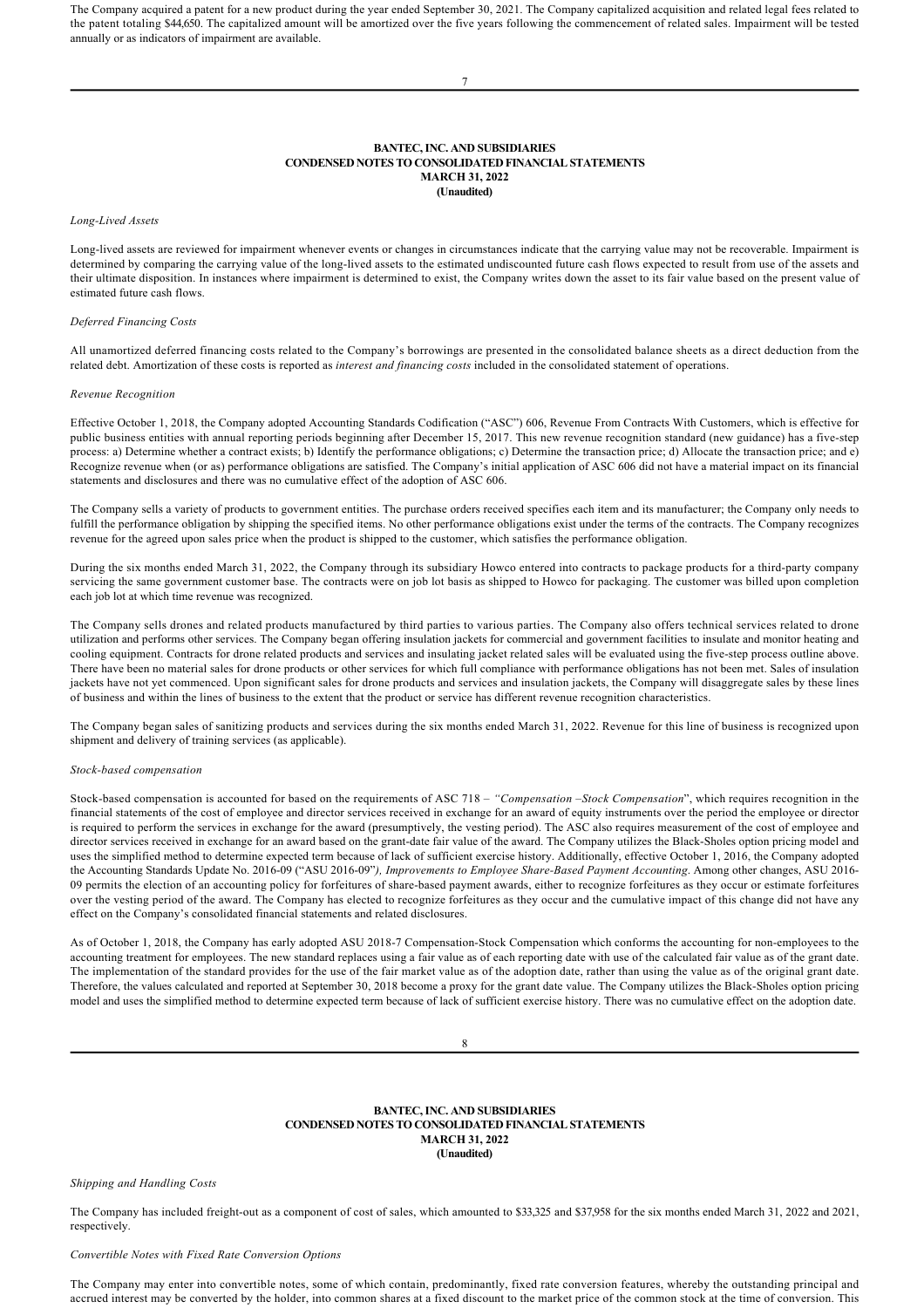The Company acquired a patent for a new product during the year ended September 30, 2021. The Company capitalized acquisition and related legal fees related to the patent totaling \$44,650. The capitalized amount will be amortized over the five years following the commencement of related sales. Impairment will be tested annually or as indicators of impairment are available.

7

## **BANTEC, INC. AND SUBSIDIARIES CONDENSED NOTES TO CONSOLIDATED FINANCIAL STATEMENTS MARCH 31, 2022 (Unaudited)**

#### *LongLived Assets*

Long-lived assets are reviewed for impairment whenever events or changes in circumstances indicate that the carrying value may not be recoverable. Impairment is determined by comparing the carrying value of the long-lived assets to the estimated undiscounted future cash flows expected to result from use of the assets and their ultimate disposition. In instances where impairment is determined to exist, the Company writes down the asset to its fair value based on the present value of estimated future cash flows.

#### *Deferred Financing Costs*

All unamortized deferred financing costs related to the Company's borrowings are presented in the consolidated balance sheets as a direct deduction from the related debt. Amortization of these costs is reported as *interest and financing costs* included in the consolidated statement of operations.

#### *Revenue Recognition*

Effective October 1, 2018, the Company adopted Accounting Standards Codification ("ASC") 606, Revenue From Contracts With Customers, which is effective for public business entities with annual reporting periods beginning after December 15, 2017. This new revenue recognition standard (new guidance) has a five-step process: a) Determine whether a contract exists; b) Identify the performance obligations; c) Determine the transaction price; d) Allocate the transaction price; and e) Recognize revenue when (or as) performance obligations are satisfied. The Company's initial application of ASC 606 did not have a material impact on its financial statements and disclosures and there was no cumulative effect of the adoption of ASC 606.

The Company sells a variety of products to government entities. The purchase orders received specifies each item and its manufacturer; the Company only needs to fulfill the performance obligation by shipping the specified items. No other performance obligations exist under the terms of the contracts. The Company recognizes revenue for the agreed upon sales price when the product is shipped to the customer, which satisfies the performance obligation.

During the six months ended March 31, 2022, the Company through its subsidiary Howco entered into contracts to package products for a third-party company servicing the same government customer base. The contracts were on job lot basis as shipped to Howco for packaging. The customer was billed upon completion each job lot at which time revenue was recognized.

The Company sells drones and related products manufactured by third parties to various parties. The Company also offers technical services related to drone utilization and performs other services. The Company began offering insulation jackets for commercial and government facilities to insulate and monitor heating and cooling equipment. Contracts for drone related products and services and insulating jacket related sales will be evaluated using the fivestep process outline above. There have been no material sales for drone products or other services for which full compliance with performance obligations has not been met. Sales of insulation jackets have not yet commenced. Upon significant sales for drone products and services and insulation jackets, the Company will disaggregate sales by these lines of business and within the lines of business to the extent that the product or service has different revenue recognition characteristics.

The Company began sales of sanitizing products and services during the six months ended March 31, 2022. Revenue for this line of business is recognized upon shipment and delivery of training services (as applicable).

#### **Stock-based compensation**

Stock-based compensation is accounted for based on the requirements of ASC 718 – "Compensation –Stock Compensation", which requires recognition in the financial statements of the cost of employee and director services received in exchange for an award of equity instruments over the period the employee or director is required to perform the services in exchange for the award (presumptively, the vesting period). The ASC also requires measurement of the cost of employee and director services received in exchange for an award based on the grant-date fair value of the award. The Company utilizes the Black-Sholes option pricing model and uses the simplified method to determine expected term because of lack of sufficient exercise history. Additionally, effective October 1, 2016, the Company adopted the Accounting Standards Update No. 2016-09 ("ASU 2016-09"), Improvements to Employee Share-Based Payment Accounting. Among other changes, ASU 2016-09 permits the election of an accounting policy for forfeitures of share-based payment awards, either to recognize forfeitures as they occur or estimate forfeitures over the vesting period of the award. The Company has elected to recognize forfeitures as they occur and the cumulative impact of this change did not have any effect on the Company's consolidated financial statements and related disclosures.

As of October 1, 2018, the Company has early adopted ASU 2018-7 Compensation-Stock Compensation which conforms the accounting for non-employees to the accounting treatment for employees. The new standard replaces using a fair value as of each reporting date with use of the calculated fair value as of the grant date. The implementation of the standard provides for the use of the fair market value as of the adoption date, rather than using the value as of the original grant date. Therefore, the values calculated and reported at September 30, 2018 become a proxy for the grant date value. The Company utilizes the Black-Sholes option pricing model and uses the simplified method to determine expected term because of lack of sufficient exercise history. There was no cumulative effect on the adoption date.

8

## **BANTEC, INC. AND SUBSIDIARIES CONDENSED NOTES TO CONSOLIDATED FINANCIAL STATEMENTS MARCH 31, 2022 (Unaudited)**

*Shipping and Handling Costs*

The Company has included freight-out as a component of cost of sales, which amounted to \$33,325 and \$37,958 for the six months ended March 31, 2022 and 2021, respectively.

#### *Convertible Notes with Fixed Rate Conversion Options*

The Company may enter into convertible notes, some of which contain, predominantly, fixed rate conversion features, whereby the outstanding principal and accrued interest may be converted by the holder, into common shares at a fixed discount to the market price of the common stock at the time of conversion. This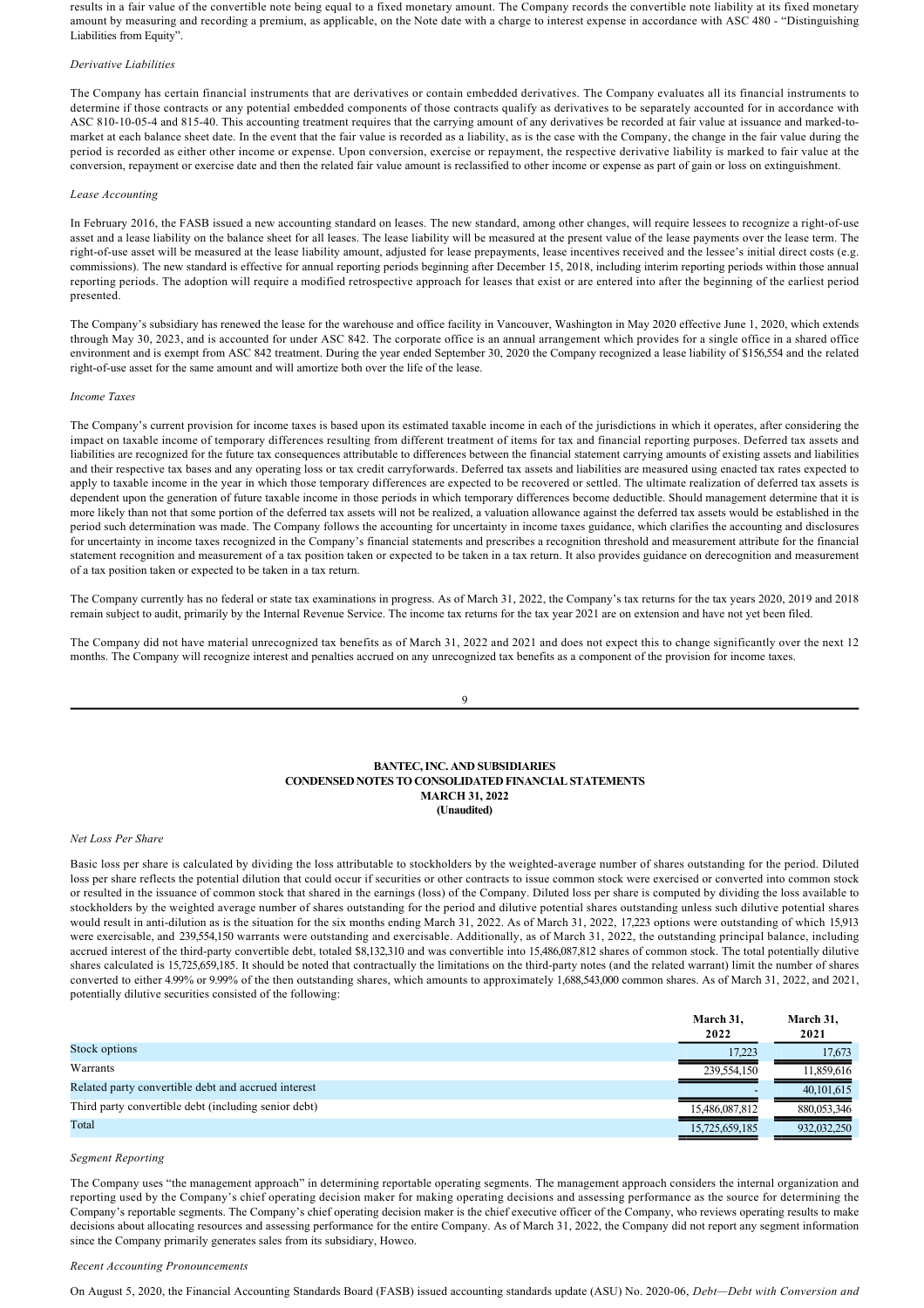results in a fair value of the convertible note being equal to a fixed monetary amount. The Company records the convertible note liability at its fixed monetary amount by measuring and recording a premium, as applicable, on the Note date with a charge to interest expense in accordance with ASC 480 - "Distinguishing Liabilities from Equity".

#### *Derivative Liabilities*

The Company has certain financial instruments that are derivatives or contain embedded derivatives. The Company evaluates all its financial instruments to determine if those contracts or any potential embedded components of those contracts qualify as derivatives to be separately accounted for in accordance with ASC 810-10-05-4 and 815-40. This accounting treatment requires that the carrying amount of any derivatives be recorded at fair value at issuance and marked-tomarket at each balance sheet date. In the event that the fair value is recorded as a liability, as is the case with the Company, the change in the fair value during the period is recorded as either other income or expense. Upon conversion, exercise or repayment, the respective derivative liability is marked to fair value at the conversion, repayment or exercise date and then the related fair value amount is reclassified to other income or expense as part of gain or loss on extinguishment.

#### *Lease Accounting*

In February 2016, the FASB issued a new accounting standard on leases. The new standard, among other changes, will require lessees to recognize a right-of-use asset and a lease liability on the balance sheet for all leases. The lease liability will be measured at the present value of the lease payments over the lease term. The right-of-use asset will be measured at the lease liability amount, adjusted for lease prepayments, lease incentives received and the lessee's initial direct costs (e.g. commissions). The new standard is effective for annual reporting periods beginning after December 15, 2018, including interim reporting periods within those annual reporting periods. The adoption will require a modified retrospective approach for leases that exist or are entered into after the beginning of the earliest period presented.

The Company's subsidiary has renewed the lease for the warehouse and office facility in Vancouver, Washington in May 2020 effective June 1, 2020, which extends through May 30, 2023, and is accounted for under ASC 842. The corporate office is an annual arrangement which provides for a single office in a shared office environment and is exempt from ASC 842 treatment. During the year ended September 30, 2020 the Company recognized a lease liability of \$156,554 and the related right-of-use asset for the same amount and will amortize both over the life of the lease.

#### *Income Taxes*

The Company's current provision for income taxes is based upon its estimated taxable income in each of the jurisdictions in which it operates, after considering the impact on taxable income of temporary differences resulting from different treatment of items for tax and financial reporting purposes. Deferred tax assets and liabilities are recognized for the future tax consequences attributable to differences between the financial statement carrying amounts of existing assets and liabilities and their respective tax bases and any operating loss or tax credit carryforwards. Deferred tax assets and liabilities are measured using enacted tax rates expected to apply to taxable income in the year in which those temporary differences are expected to be recovered or settled. The ultimate realization of deferred tax assets is dependent upon the generation of future taxable income in those periods in which temporary differences become deductible. Should management determine that it is more likely than not that some portion of the deferred tax assets will not be realized, a valuation allowance against the deferred tax assets would be established in the period such determination was made. The Company follows the accounting for uncertainty in income taxes guidance, which clarifies the accounting and disclosures for uncertainty in income taxes recognized in the Company's financial statements and prescribes a recognition threshold and measurement attribute for the financial statement recognition and measurement of a tax position taken or expected to be taken in a tax return. It also provides guidance on derecognition and measurement of a tax position taken or expected to be taken in a tax return.

The Company currently has no federal or state tax examinations in progress. As of March 31, 2022, the Company's tax returns for the tax years 2020, 2019 and 2018 remain subject to audit, primarily by the Internal Revenue Service. The income tax returns for the tax year 2021 are on extension and have not yet been filed.

The Company did not have material unrecognized tax benefits as of March 31, 2022 and 2021 and does not expect this to change significantly over the next 12 months. The Company will recognize interest and penalties accrued on any unrecognized tax benefits as a component of the provision for income taxes.

#### 9

## **BANTEC, INC. AND SUBSIDIARIES CONDENSED NOTES TO CONSOLIDATED FINANCIAL STATEMENTS MARCH 31, 2022 (Unaudited)**

#### *Net Loss Per Share*

Basic loss per share is calculated by dividing the loss attributable to stockholders by the weighted-average number of shares outstanding for the period. Diluted loss per share reflects the potential dilution that could occur if securities or other contracts to issue common stock were exercised or converted into common stock or resulted in the issuance of common stock that shared in the earnings (loss) of the Company. Diluted loss per share is computed by dividing the loss available to stockholders by the weighted average number of shares outstanding for the period and dilutive potential shares outstanding unless such dilutive potential shares would result in anti-dilution as is the situation for the six months ending March 31, 2022. As of March 31, 2022, 17,223 options were outstanding of which 15,913 were exercisable, and 239,554,150 warrants were outstanding and exercisable. Additionally, as of March 31, 2022, the outstanding principal balance, including accrued interest of the third-party convertible debt, totaled \$8,132,310 and was convertible into 15,486,087,812 shares of common stock. The total potentially dilutive shares calculated is 15,725,659,185. It should be noted that contractually the limitations on the third-party notes (and the related warrant) limit the number of shares converted to either 4.99% or 9.99% of the then outstanding shares, which amounts to approximately 1,688,543,000 common shares. As of March 31, 2022, and 2021, potentially dilutive securities consisted of the following:

|                                                      | March 31.<br>2022 | March 31.<br>2021 |
|------------------------------------------------------|-------------------|-------------------|
| Stock options                                        | 17.223            | 17.673            |
| Warrants                                             | 239.554.150       | 11.859.616        |
| Related party convertible debt and accrued interest  |                   | 40, 101, 615      |
| Third party convertible debt (including senior debt) | 15,486,087,812    | 880.053.346       |
| Total                                                | 15,725,659,185    | 932,032,250       |

#### *Segment Reporting*

The Company uses "the management approach" in determining reportable operating segments. The management approach considers the internal organization and reporting used by the Company's chief operating decision maker for making operating decisions and assessing performance as the source for determining the Company's reportable segments. The Company's chief operating decision maker is the chief executive officer of the Company, who reviews operating results to make decisions about allocating resources and assessing performance for the entire Company. As of March 31, 2022, the Company did not report any segment information since the Company primarily generates sales from its subsidiary, Howco.

## *Recent Accounting Pronouncements*

On August 5, 2020, the Financial Accounting Standards Board (FASB) issued accounting standards update (ASU) No. 202006, *Debt—Debt with Conversion and*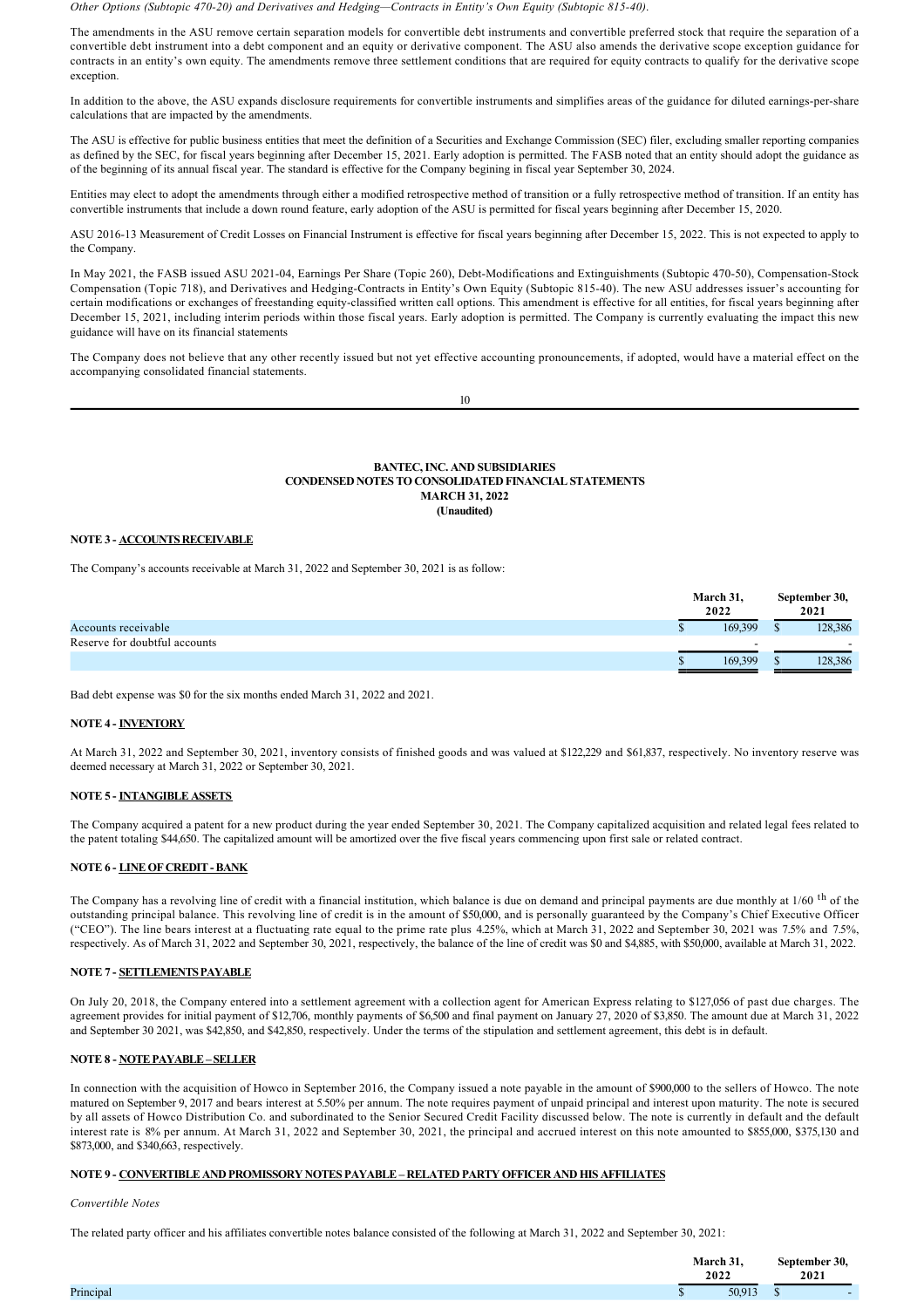*Other Options (Subtopic 47020) and Derivatives and Hedging—Contracts in Entity's Own Equity (Subtopic 81540)*.

The amendments in the ASU remove certain separation models for convertible debt instruments and convertible preferred stock that require the separation of a convertible debt instrument into a debt component and an equity or derivative component. The ASU also amends the derivative scope exception guidance for contracts in an entity's own equity. The amendments remove three settlement conditions that are required for equity contracts to qualify for the derivative scope exception.

In addition to the above, the ASU expands disclosure requirements for convertible instruments and simplifies areas of the guidance for diluted earnings-per-share calculations that are impacted by the amendments.

The ASU is effective for public business entities that meet the definition of a Securities and Exchange Commission (SEC) filer, excluding smaller reporting companies as defined by the SEC, for fiscal years beginning after December 15, 2021. Early adoption is permitted. The FASB noted that an entity should adopt the guidance as of the beginning of its annual fiscal year. The standard is effective for the Company begining in fiscal year September 30, 2024.

Entities may elect to adopt the amendments through either a modified retrospective method of transition or a fully retrospective method of transition. If an entity has convertible instruments that include a down round feature, early adoption of the ASU is permitted for fiscal years beginning after December 15, 2020.

ASU 2016-13 Measurement of Credit Losses on Financial Instrument is effective for fiscal years beginning after December 15, 2022. This is not expected to apply to the Company.

In May 2021, the FASB issued ASU 2021-04, Earnings Per Share (Topic 260), Debt-Modifications and Extinguishments (Subtopic 470-50), Compensation-Stock Compensation (Topic 718), and Derivatives and Hedging-Contracts in Entity's Own Equity (Subtopic 815-40). The new ASU addresses issuer's accounting for certain modifications or exchanges of freestanding equity-classified written call options. This amendment is effective for all entities, for fiscal years beginning after December 15, 2021, including interim periods within those fiscal years. Early adoption is permitted. The Company is currently evaluating the impact this new guidance will have on its financial statements

The Company does not believe that any other recently issued but not yet effective accounting pronouncements, if adopted, would have a material effect on the accompanying consolidated financial statements.

|  | ۰.     |   |
|--|--------|---|
|  | i<br>٧ | I |

## **BANTEC, INC. AND SUBSIDIARIES CONDENSED NOTES TO CONSOLIDATED FINANCIAL STATEMENTS MARCH 31, 2022 (Unaudited)**

# **NOTE 3 ACCOUNTS RECEIVABLE**

The Company's accounts receivable at March 31, 2022 and September 30, 2021 is as follow:

|                               | March 31,<br>2022 | September 30,<br>2021 |
|-------------------------------|-------------------|-----------------------|
| Accounts receivable           | 169.399<br>w      | 128,386               |
| Reserve for doubtful accounts |                   |                       |
|                               | 169.399           | 128,386               |

Bad debt expense was \$0 for the six months ended March 31, 2022 and 2021.

## **NOTE 4 INVENTORY**

At March 31, 2022 and September 30, 2021, inventory consists of finished goods and was valued at \$122,229 and \$61,837, respectively. No inventory reserve was deemed necessary at March 31, 2022 or September 30, 2021.

# **NOTE 5 INTANGIBLE ASSETS**

The Company acquired a patent for a new product during the year ended September 30, 2021. The Company capitalized acquisition and related legal fees related to the patent totaling \$44,650. The capitalized amount will be amortized over the five fiscal years commencing upon first sale or related contract.

# **NOTE 6 - LINE OF CREDIT - BANK**

The Company has a revolving line of credit with a financial institution, which balance is due on demand and principal payments are due monthly at 1/60 <sup>th</sup> of the outstanding principal balance. This revolving line of credit is in the amount of \$50,000, and is personally guaranteed by the Company's Chief Executive Officer ("CEO"). The line bears interest at a fluctuating rate equal to the prime rate plus 4.25%, which at March 31, 2022 and September 30, 2021 was 7.5% and 7.5%, respectively. As of March 31, 2022 and September 30, 2021, respectively, the balance of the line of credit was \$0 and \$4,885, with \$50,000, available at March 31, 2022.

# **NOTE 7 SETTLEMENTS PAYABLE**

On July 20, 2018, the Company entered into a settlement agreement with a collection agent for American Express relating to \$127,056 of past due charges. The agreement provides for initial payment of \$12,706, monthly payments of \$6,500 and final payment on January 27, 2020 of \$3,850. The amount due at March 31, 2022 and September 30 2021, was \$42,850, and \$42,850, respectively. Under the terms of the stipulation and settlement agreement, this debt is in default.

# **NOTE 8 - NOTE PAYABLE – SELLER**

In connection with the acquisition of Howco in September 2016, the Company issued a note payable in the amount of \$900,000 to the sellers of Howco. The note matured on September 9, 2017 and bears interest at 5.50% per annum. The note requires payment of unpaid principal and interest upon maturity. The note is secured by all assets of Howco Distribution Co. and subordinated to the Senior Secured Credit Facility discussed below. The note is currently in default and the default interest rate is 8% per annum. At March 31, 2022 and September 30, 2021, the principal and accrued interest on this note amounted to \$855,000, \$375,130 and \$873,000, and \$340,663, respectively.

# **NOTE 9 CONVERTIBLE AND PROMISSORY NOTES PAYABLE – RELATED PARTY OFFICER AND HIS AFFILIATES**

*Convertible Notes*

The related party officer and his affiliates convertible notes balance consisted of the following at March 31, 2022 and September 30, 2021:

|           | March 31,<br>2022 |        | September 30,<br>2021 |  |
|-----------|-------------------|--------|-----------------------|--|
| Principal |                   | 50,913 | D                     |  |
|           |                   |        |                       |  |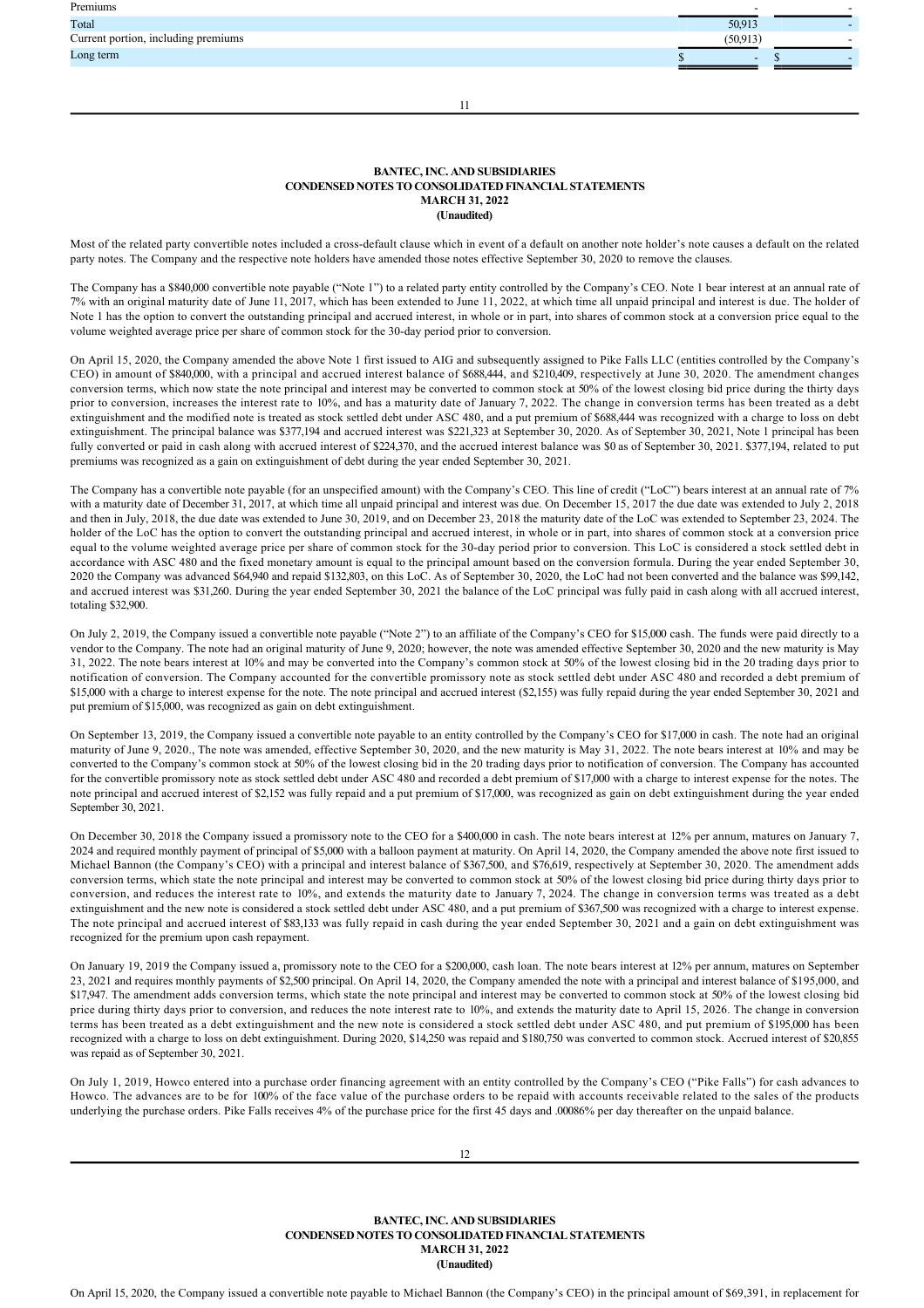| Premiums                            | -      |  |
|-------------------------------------|--------|--|
| Total                               | 50,913 |  |
| Current portion, including premiums | 50.913 |  |
| Long term                           | $\sim$ |  |
|                                     |        |  |

11

## **BANTEC, INC. AND SUBSIDIARIES CONDENSED NOTES TO CONSOLIDATED FINANCIAL STATEMENTS MARCH 31, 2022 (Unaudited)**

Most of the related party convertible notes included a cross-default clause which in event of a default on another note holder's note causes a default on the related party notes. The Company and the respective note holders have amended those notes effective September 30, 2020 to remove the clauses.

The Company has a \$840,000 convertible note payable ("Note 1") to a related party entity controlled by the Company's CEO. Note 1 bear interest at an annual rate of 7% with an original maturity date of June 11, 2017, which has been extended to June 11, 2022, at which time all unpaid principal and interest is due. The holder of Note 1 has the option to convert the outstanding principal and accrued interest, in whole or in part, into shares of common stock at a conversion price equal to the volume weighted average price per share of common stock for the 30-day period prior to conversion.

On April 15, 2020, the Company amended the above Note 1 first issued to AIG and subsequently assigned to Pike Falls LLC (entities controlled by the Company's CEO) in amount of \$840,000, with a principal and accrued interest balance of \$688,444, and \$210,409, respectively at June 30, 2020. The amendment changes conversion terms, which now state the note principal and interest may be converted to common stock at 50% of the lowest closing bid price during the thirty days prior to conversion, increases the interest rate to 10%, and has a maturity date of January 7, 2022. The change in conversion terms has been treated as a debt extinguishment and the modified note is treated as stock settled debt under ASC 480, and a put premium of \$688,444 was recognized with a charge to loss on debt extinguishment. The principal balance was \$377,194 and accrued interest was \$221,323 at September 30, 2020. As of September 30, 2021, Note 1 principal has been fully converted or paid in cash along with accrued interest of \$224,370, and the accrued interest balance was \$0 as of September 30, 2021. \$377,194, related to put premiums was recognized as a gain on extinguishment of debt during the year ended September 30, 2021.

The Company has a convertible note payable (for an unspecified amount) with the Company's CEO. This line of credit ("LoC") bears interest at an annual rate of 7% with a maturity date of December 31, 2017, at which time all unpaid principal and interest was due. On December 15, 2017 the due date was extended to July 2, 2018 and then in July, 2018, the due date was extended to June 30, 2019, and on December 23, 2018 the maturity date of the LoC was extended to September 23, 2024. The holder of the LoC has the option to convert the outstanding principal and accrued interest, in whole or in part, into shares of common stock at a conversion price equal to the volume weighted average price per share of common stock for the 30-day period prior to conversion. This LoC is considered a stock settled debt in accordance with ASC 480 and the fixed monetary amount is equal to the principal amount based on the conversion formula. During the year ended September 30, 2020 the Company was advanced \$64,940 and repaid \$132,803, on this LoC. As of September 30, 2020, the LoC had not been converted and the balance was \$99,142, and accrued interest was \$31,260. During the year ended September 30, 2021 the balance of the LoC principal was fully paid in cash along with all accrued interest, totaling \$32,900.

On July 2, 2019, the Company issued a convertible note payable ("Note 2") to an affiliate of the Company's CEO for \$15,000 cash. The funds were paid directly to a vendor to the Company. The note had an original maturity of June 9, 2020; however, the note was amended effective September 30, 2020 and the new maturity is May 31, 2022. The note bears interest at 10% and may be converted into the Company's common stock at 50% of the lowest closing bid in the 20 trading days prior to notification of conversion. The Company accounted for the convertible promissory note as stock settled debt under ASC 480 and recorded a debt premium of \$15,000 with a charge to interest expense for the note. The note principal and accrued interest (\$2,155) was fully repaid during the year ended September 30, 2021 and put premium of \$15,000, was recognized as gain on debt extinguishment.

On September 13, 2019, the Company issued a convertible note payable to an entity controlled by the Company's CEO for \$17,000 in cash. The note had an original maturity of June 9, 2020., The note was amended, effective September 30, 2020, and the new maturity is May 31, 2022. The note bears interest at 10% and may be converted to the Company's common stock at 50% of the lowest closing bid in the 20 trading days prior to notification of conversion. The Company has accounted for the convertible promissory note as stock settled debt under ASC 480 and recorded a debt premium of \$17,000 with a charge to interest expense for the notes. The note principal and accrued interest of \$2,152 was fully repaid and a put premium of \$17,000, was recognized as gain on debt extinguishment during the year ended September 30, 2021.

On December 30, 2018 the Company issued a promissory note to the CEO for a \$400,000 in cash. The note bears interest at 12% per annum, matures on January 7, 2024 and required monthly payment of principal of \$5,000 with a balloon payment at maturity. On April 14, 2020, the Company amended the above note first issued to Michael Bannon (the Company's CEO) with a principal and interest balance of \$367,500, and \$76,619, respectively at September 30, 2020. The amendment adds conversion terms, which state the note principal and interest may be converted to common stock at 50% of the lowest closing bid price during thirty days prior to conversion, and reduces the interest rate to 10%, and extends the maturity date to January 7, 2024. The change in conversion terms was treated as a debt extinguishment and the new note is considered a stock settled debt under ASC 480, and a put premium of \$367,500 was recognized with a charge to interest expense. The note principal and accrued interest of \$83,133 was fully repaid in cash during the year ended September 30, 2021 and a gain on debt extinguishment was recognized for the premium upon cash repayment.

On January 19, 2019 the Company issued a, promissory note to the CEO for a \$200,000, cash loan. The note bears interest at 12% per annum, matures on September 23, 2021 and requires monthly payments of \$2,500 principal. On April 14, 2020, the Company amended the note with a principal and interest balance of \$195,000, and \$17,947. The amendment adds conversion terms, which state the note principal and interest may be converted to common stock at 50% of the lowest closing bid price during thirty days prior to conversion, and reduces the note interest rate to 10%, and extends the maturity date to April 15, 2026. The change in conversion terms has been treated as a debt extinguishment and the new note is considered a stock settled debt under ASC 480, and put premium of \$195,000 has been recognized with a charge to loss on debt extinguishment. During 2020, \$14,250 was repaid and \$180,750 was converted to common stock. Accrued interest of \$20,855 was repaid as of September 30, 2021.

On July 1, 2019, Howco entered into a purchase order financing agreement with an entity controlled by the Company's CEO ("Pike Falls") for cash advances to Howco. The advances are to be for 100% of the face value of the purchase orders to be repaid with accounts receivable related to the sales of the products underlying the purchase orders. Pike Falls receives 4% of the purchase price for the first 45 days and .00086% per day thereafter on the unpaid balance.

**BANTEC, INC. AND SUBSIDIARIES CONDENSED NOTES TO CONSOLIDATED FINANCIAL STATEMENTS MARCH 31, 2022 (Unaudited)**

On April 15, 2020, the Company issued a convertible note payable to Michael Bannon (the Company's CEO) in the principal amount of \$69,391, in replacement for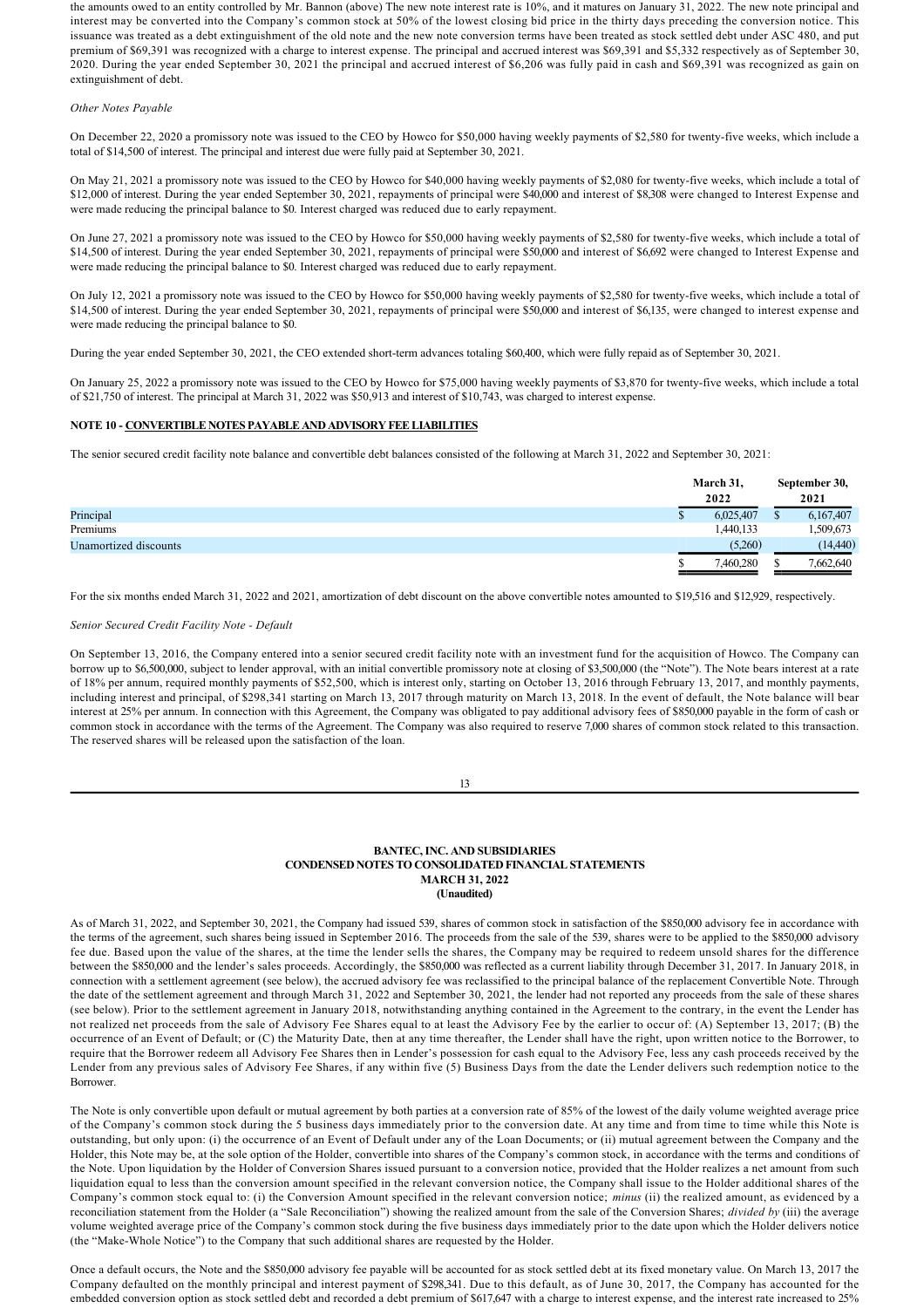the amounts owed to an entity controlled by Mr. Bannon (above) The new note interest rate is 10%, and it matures on January 31, 2022. The new note principal and interest may be converted into the Company's common stock at 50% of the lowest closing bid price in the thirty days preceding the conversion notice. This issuance was treated as a debt extinguishment of the old note and the new note conversion terms have been treated as stock settled debt under ASC 480, and put premium of \$69,391 was recognized with a charge to interest expense. The principal and accrued interest was \$69,391 and \$5,332 respectively as of September 30, 2020. During the year ended September 30, 2021 the principal and accrued interest of \$6,206 was fully paid in cash and \$69,391 was recognized as gain on extinguishment of debt.

## *Other Notes Payable*

On December 22, 2020 a promissory note was issued to the CEO by Howco for \$50,000 having weekly payments of \$2,580 for twenty-five weeks, which include a total of \$14,500 of interest. The principal and interest due were fully paid at September 30, 2021.

On May 21, 2021 a promissory note was issued to the CEO by Howco for \$40,000 having weekly payments of \$2,080 for twenty-five weeks, which include a total of \$12,000 of interest. During the year ended September 30, 2021, repayments of principal were \$40,000 and interest of \$8,308 were changed to Interest Expense and were made reducing the principal balance to \$0. Interest charged was reduced due to early repayment.

On June 27, 2021 a promissory note was issued to the CEO by Howco for \$50,000 having weekly payments of \$2,580 for twenty-five weeks, which include a total of \$14,500 of interest. During the year ended September 30, 2021, repayments of principal were \$50,000 and interest of \$6,692 were changed to Interest Expense and were made reducing the principal balance to \$0. Interest charged was reduced due to early repayment.

On July 12, 2021 a promissory note was issued to the CEO by Howco for \$50,000 having weekly payments of \$2,580 for twenty-five weeks, which include a total of \$14,500 of interest. During the year ended September 30, 2021, repayments of principal were \$50,000 and interest of \$6,135, were changed to interest expense and were made reducing the principal balance to \$0.

During the year ended September 30, 2021, the CEO extended short-term advances totaling \$60,400, which were fully repaid as of September 30, 2021.

On January 25, 2022 a promissory note was issued to the CEO by Howco for \$75,000 having weekly payments of \$3,870 for twenty-five weeks, which include a total of \$21,750 of interest. The principal at March 31, 2022 was \$50,913 and interest of \$10,743, was charged to interest expense.

## **NOTE 10 CONVERTIBLE NOTES PAYABLE AND ADVISORY FEE LIABILITIES**

The senior secured credit facility note balance and convertible debt balances consisted of the following at March 31, 2022 and September 30, 2021:

|                       | March 31,<br>2022 | September 30,<br>2021 |
|-----------------------|-------------------|-----------------------|
| Principal             | 6,025,407         | 6,167,407             |
| Premiums              | 1,440,133         | .509,673              |
| Unamortized discounts | (5,260)           | (14, 440)             |
|                       | 7.460.280         | 7,662,640             |

For the six months ended March 31, 2022 and 2021, amortization of debt discount on the above convertible notes amounted to \$19,516 and \$12,929, respectively.

### *Senior Secured Credit Facility Note Default*

On September 13, 2016, the Company entered into a senior secured credit facility note with an investment fund for the acquisition of Howco. The Company can borrow up to \$6,500,000, subject to lender approval, with an initial convertible promissory note at closing of \$3,500,000 (the "Note"). The Note bears interest at a rate of 18% per annum, required monthly payments of \$52,500, which is interest only, starting on October 13, 2016 through February 13, 2017, and monthly payments, including interest and principal, of \$298,341 starting on March 13, 2017 through maturity on March 13, 2018. In the event of default, the Note balance will bear interest at 25% per annum. In connection with this Agreement, the Company was obligated to pay additional advisory fees of \$850,000 payable in the form of cash or common stock in accordance with the terms of the Agreement. The Company was also required to reserve 7,000 shares of common stock related to this transaction. The reserved shares will be released upon the satisfaction of the loan.

| I<br>I<br>٧ |  |
|-------------|--|

## **BANTEC, INC. AND SUBSIDIARIES CONDENSED NOTES TO CONSOLIDATED FINANCIAL STATEMENTS MARCH 31, 2022 (Unaudited)**

As of March 31, 2022, and September 30, 2021, the Company had issued 539, shares of common stock in satisfaction of the \$850,000 advisory fee in accordance with the terms of the agreement, such shares being issued in September 2016. The proceeds from the sale of the 539, shares were to be applied to the \$850,000 advisory fee due. Based upon the value of the shares, at the time the lender sells the shares, the Company may be required to redeem unsold shares for the difference between the \$850,000 and the lender's sales proceeds. Accordingly, the \$850,000 was reflected as a current liability through December 31, 2017. In January 2018, in connection with a settlement agreement (see below), the accrued advisory fee was reclassified to the principal balance of the replacement Convertible Note. Through the date of the settlement agreement and through March 31, 2022 and September 30, 2021, the lender had not reported any proceeds from the sale of these shares (see below). Prior to the settlement agreement in January 2018, notwithstanding anything contained in the Agreement to the contrary, in the event the Lender has not realized net proceeds from the sale of Advisory Fee Shares equal to at least the Advisory Fee by the earlier to occur of: (A) September 13, 2017; (B) the occurrence of an Event of Default; or (C) the Maturity Date, then at any time thereafter, the Lender shall have the right, upon written notice to the Borrower, to require that the Borrower redeem all Advisory Fee Shares then in Lender's possession for cash equal to the Advisory Fee, less any cash proceeds received by the Lender from any previous sales of Advisory Fee Shares, if any within five (5) Business Days from the date the Lender delivers such redemption notice to the Borrower.

The Note is only convertible upon default or mutual agreement by both parties at a conversion rate of 85% of the lowest of the daily volume weighted average price of the Company's common stock during the 5 business days immediately prior to the conversion date. At any time and from time to time while this Note is outstanding, but only upon: (i) the occurrence of an Event of Default under any of the Loan Documents; or (ii) mutual agreement between the Company and the Holder, this Note may be, at the sole option of the Holder, convertible into shares of the Company's common stock, in accordance with the terms and conditions of the Note. Upon liquidation by the Holder of Conversion Shares issued pursuant to a conversion notice, provided that the Holder realizes a net amount from such liquidation equal to less than the conversion amount specified in the relevant conversion notice, the Company shall issue to the Holder additional shares of the Company's common stock equal to: (i) the Conversion Amount specified in the relevant conversion notice; *minus* (ii) the realized amount, as evidenced by a reconciliation statement from the Holder (a "Sale Reconciliation") showing the realized amount from the sale of the Conversion Shares; *divided by* (iii) the average volume weighted average price of the Company's common stock during the five business days immediately prior to the date upon which the Holder delivers notice (the "Make-Whole Notice") to the Company that such additional shares are requested by the Holder.

Once a default occurs, the Note and the \$850,000 advisory fee payable will be accounted for as stock settled debt at its fixed monetary value. On March 13, 2017 the Company defaulted on the monthly principal and interest payment of \$298,341. Due to this default, as of June 30, 2017, the Company has accounted for the embedded conversion option as stock settled debt and recorded a debt premium of \$617,647 with a charge to interest expense, and the interest rate increased to 25%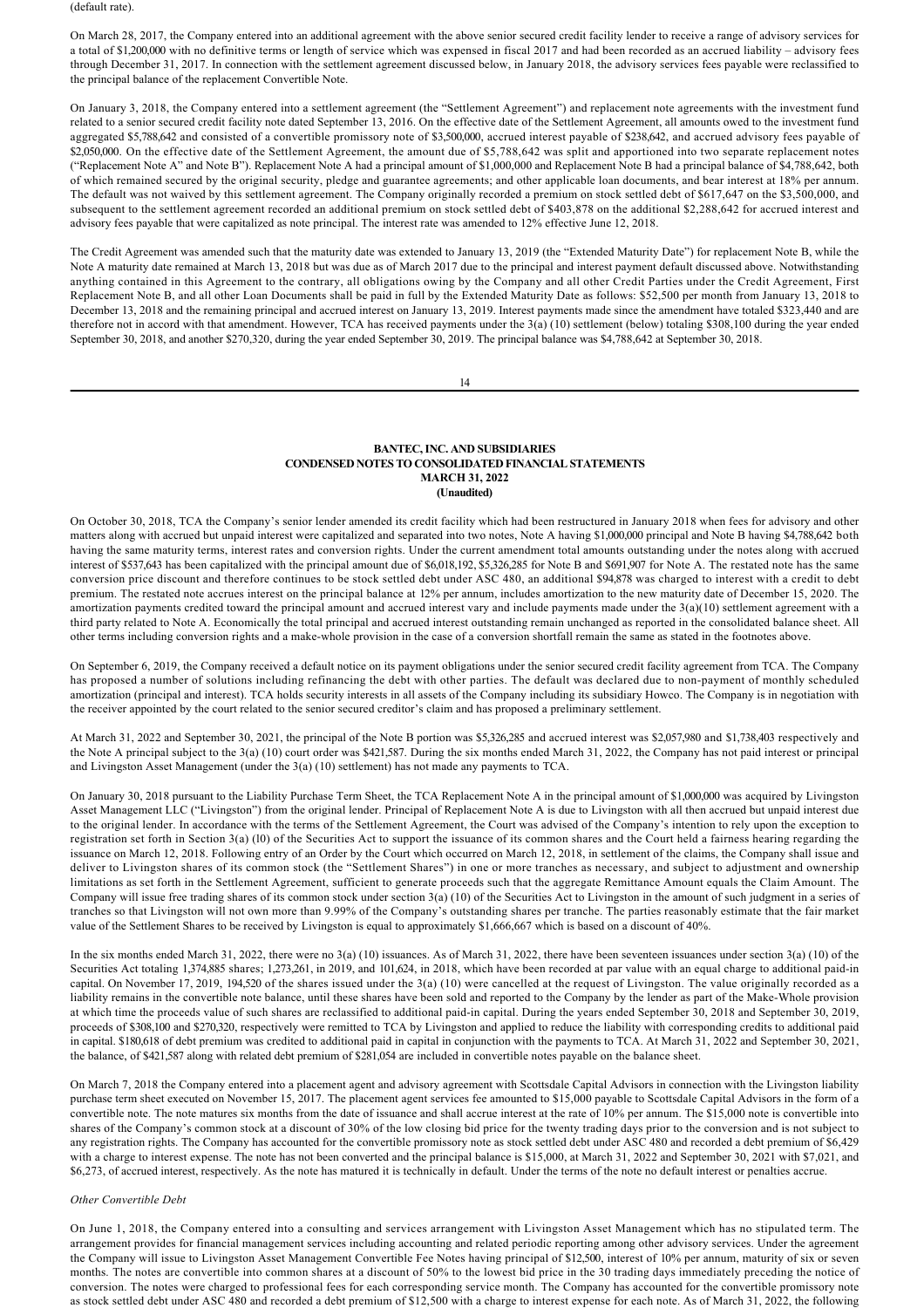(default rate).

On March 28, 2017, the Company entered into an additional agreement with the above senior secured credit facility lender to receive a range of advisory services for a total of \$1,200,000 with no definitive terms or length of service which was expensed in fiscal 2017 and had been recorded as an accrued liability – advisory fees through December 31, 2017. In connection with the settlement agreement discussed below, in January 2018, the advisory services fees payable were reclassified to the principal balance of the replacement Convertible Note.

On January 3, 2018, the Company entered into a settlement agreement (the "Settlement Agreement") and replacement note agreements with the investment fund related to a senior secured credit facility note dated September 13, 2016. On the effective date of the Settlement Agreement, all amounts owed to the investment fund aggregated \$5,788,642 and consisted of a convertible promissory note of \$3,500,000, accrued interest payable of \$238,642, and accrued advisory fees payable of \$2,050,000. On the effective date of the Settlement Agreement, the amount due of \$5,788,642 was split and apportioned into two separate replacement notes ("Replacement Note A" and Note B"). Replacement Note A had a principal amount of \$1,000,000 and Replacement Note B had a principal balance of \$4,788,642, both of which remained secured by the original security, pledge and guarantee agreements; and other applicable loan documents, and bear interest at 18% per annum. The default was not waived by this settlement agreement. The Company originally recorded a premium on stock settled debt of \$617,647 on the \$3,500,000, and subsequent to the settlement agreement recorded an additional premium on stock settled debt of \$403,878 on the additional \$2,288,642 for accrued interest and advisory fees payable that were capitalized as note principal. The interest rate was amended to 12% effective June 12, 2018.

The Credit Agreement was amended such that the maturity date was extended to January 13, 2019 (the "Extended Maturity Date") for replacement Note B, while the Note A maturity date remained at March 13, 2018 but was due as of March 2017 due to the principal and interest payment default discussed above. Notwithstanding anything contained in this Agreement to the contrary, all obligations owing by the Company and all other Credit Parties under the Credit Agreement, First Replacement Note B, and all other Loan Documents shall be paid in full by the Extended Maturity Date as follows: \$52,500 per month from January 13, 2018 to December 13, 2018 and the remaining principal and accrued interest on January 13, 2019. Interest payments made since the amendment have totaled \$323,440 and are therefore not in accord with that amendment. However, TCA has received payments under the 3(a) (10) settlement (below) totaling \$308,100 during the year ended September 30, 2018, and another \$270,320, during the year ended September 30, 2019. The principal balance was \$4,788,642 at September 30, 2018.

14

# **BANTEC, INC. AND SUBSIDIARIES CONDENSED NOTES TO CONSOLIDATED FINANCIAL STATEMENTS MARCH 31, 2022 (Unaudited)**

On October 30, 2018, TCA the Company's senior lender amended its credit facility which had been restructured in January 2018 when fees for advisory and other matters along with accrued but unpaid interest were capitalized and separated into two notes, Note A having \$1,000,000 principal and Note B having \$4,788,642 both having the same maturity terms, interest rates and conversion rights. Under the current amendment total amounts outstanding under the notes along with accrued interest of \$537,643 has been capitalized with the principal amount due of \$6,018,192, \$5,326,285 for Note B and \$691,907 for Note A. The restated note has the same conversion price discount and therefore continues to be stock settled debt under ASC 480, an additional \$94,878 was charged to interest with a credit to debt premium. The restated note accrues interest on the principal balance at 12% per annum, includes amortization to the new maturity date of December 15, 2020. The amortization payments credited toward the principal amount and accrued interest vary and include payments made under the  $3(a)(10)$  settlement agreement with a third party related to Note A. Economically the total principal and accrued interest outstanding remain unchanged as reported in the consolidated balance sheet. All other terms including conversion rights and a makewhole provision in the case of a conversion shortfall remain the same as stated in the footnotes above.

On September 6, 2019, the Company received a default notice on its payment obligations under the senior secured credit facility agreement from TCA. The Company has proposed a number of solutions including refinancing the debt with other parties. The default was declared due to non-payment of monthly scheduled amortization (principal and interest). TCA holds security interests in all assets of the Company including its subsidiary Howco. The Company is in negotiation with the receiver appointed by the court related to the senior secured creditor's claim and has proposed a preliminary settlement.

At March 31, 2022 and September 30, 2021, the principal of the Note B portion was \$5,326,285 and accrued interest was \$2,057,980 and \$1,738,403 respectively and the Note A principal subject to the 3(a) (10) court order was \$421,587. During the six months ended March 31, 2022, the Company has not paid interest or principal and Livingston Asset Management (under the 3(a) (10) settlement) has not made any payments to TCA.

On January 30, 2018 pursuant to the Liability Purchase Term Sheet, the TCA Replacement Note A in the principal amount of \$1,000,000 was acquired by Livingston Asset Management LLC ("Livingston") from the original lender. Principal of Replacement Note A is due to Livingston with all then accrued but unpaid interest due to the original lender. In accordance with the terms of the Settlement Agreement, the Court was advised of the Company's intention to rely upon the exception to registration set forth in Section 3(a) (l0) of the Securities Act to support the issuance of its common shares and the Court held a fairness hearing regarding the issuance on March 12, 2018. Following entry of an Order by the Court which occurred on March 12, 2018, in settlement of the claims, the Company shall issue and deliver to Livingston shares of its common stock (the "Settlement Shares") in one or more tranches as necessary, and subject to adjustment and ownership limitations as set forth in the Settlement Agreement, sufficient to generate proceeds such that the aggregate Remittance Amount equals the Claim Amount. The Company will issue free trading shares of its common stock under section 3(a) (10) of the Securities Act to Livingston in the amount of such judgment in a series of tranches so that Livingston will not own more than 9.99% of the Company's outstanding shares per tranche. The parties reasonably estimate that the fair market value of the Settlement Shares to be received by Livingston is equal to approximately \$1,666,667 which is based on a discount of 40%.

In the six months ended March 31, 2022, there were no 3(a) (10) issuances. As of March 31, 2022, there have been seventeen issuances under section 3(a) (10) of the Securities Act totaling 1,374,885 shares; 1,273,261, in 2019, and 101,624, in 2018, which have been recorded at par value with an equal charge to additional paid-in capital. On November 17, 2019, 194,520 of the shares issued under the 3(a) (10) were cancelled at the request of Livingston. The value originally recorded as a liability remains in the convertible note balance, until these shares have been sold and reported to the Company by the lender as part of the Make-Whole provision at which time the proceeds value of such shares are reclassified to additional paidin capital. During the years ended September 30, 2018 and September 30, 2019, proceeds of \$308,100 and \$270,320, respectively were remitted to TCA by Livingston and applied to reduce the liability with corresponding credits to additional paid in capital. \$180,618 of debt premium was credited to additional paid in capital in conjunction with the payments to TCA. At March 31, 2022 and September 30, 2021, the balance, of \$421,587 along with related debt premium of \$281,054 are included in convertible notes payable on the balance sheet.

On March 7, 2018 the Company entered into a placement agent and advisory agreement with Scottsdale Capital Advisors in connection with the Livingston liability purchase term sheet executed on November 15, 2017. The placement agent services fee amounted to \$15,000 payable to Scottsdale Capital Advisors in the form of a convertible note. The note matures six months from the date of issuance and shall accrue interest at the rate of 10% per annum. The \$15,000 note is convertible into shares of the Company's common stock at a discount of 30% of the low closing bid price for the twenty trading days prior to the conversion and is not subject to any registration rights. The Company has accounted for the convertible promissory note as stock settled debt under ASC 480 and recorded a debt premium of \$6,429 with a charge to interest expense. The note has not been converted and the principal balance is \$15,000, at March 31, 2022 and September 30, 2021 with \$7,021, and \$6,273, of accrued interest, respectively. As the note has matured it is technically in default. Under the terms of the note no default interest or penalties accrue.

### *Other Convertible Debt*

On June 1, 2018, the Company entered into a consulting and services arrangement with Livingston Asset Management which has no stipulated term. The arrangement provides for financial management services including accounting and related periodic reporting among other advisory services. Under the agreement the Company will issue to Livingston Asset Management Convertible Fee Notes having principal of \$12,500, interest of 10% per annum, maturity of six or seven months. The notes are convertible into common shares at a discount of 50% to the lowest bid price in the 30 trading days immediately preceding the notice of conversion. The notes were charged to professional fees for each corresponding service month. The Company has accounted for the convertible promissory note as stock settled debt under ASC 480 and recorded a debt premium of \$12,500 with a charge to interest expense for each note. As of March 31, 2022, the following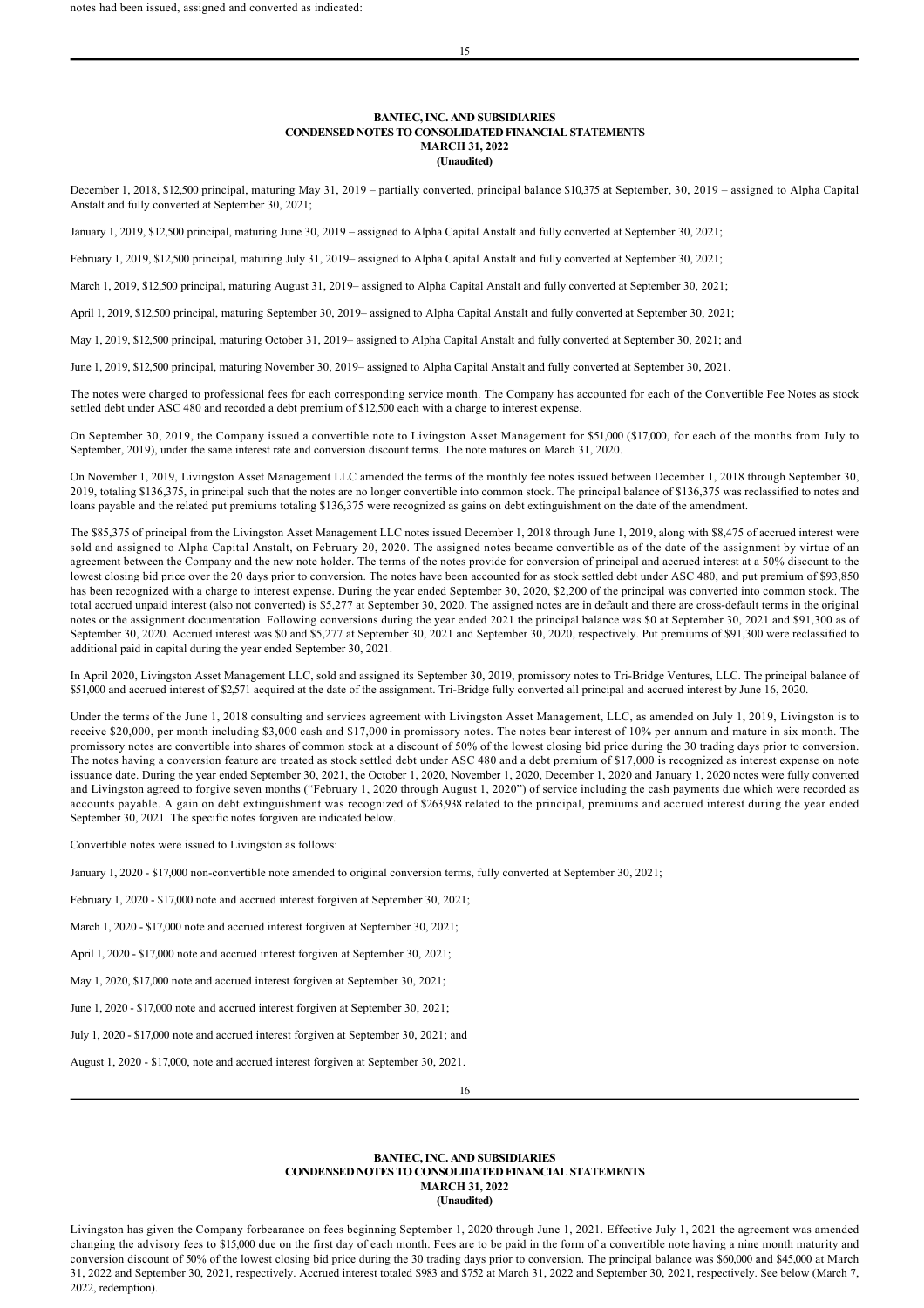December 1, 2018, \$12,500 principal, maturing May 31, 2019 – partially converted, principal balance \$10,375 at September, 30, 2019 – assigned to Alpha Capital Anstalt and fully converted at September 30, 2021;

January 1, 2019, \$12,500 principal, maturing June 30, 2019 – assigned to Alpha Capital Anstalt and fully converted at September 30, 2021;

February 1, 2019, \$12,500 principal, maturing July 31, 2019– assigned to Alpha Capital Anstalt and fully converted at September 30, 2021;

March 1, 2019, \$12,500 principal, maturing August 31, 2019– assigned to Alpha Capital Anstalt and fully converted at September 30, 2021;

April 1, 2019, \$12,500 principal, maturing September 30, 2019– assigned to Alpha Capital Anstalt and fully converted at September 30, 2021;

May 1, 2019, \$12,500 principal, maturing October 31, 2019– assigned to Alpha Capital Anstalt and fully converted at September 30, 2021; and

June 1, 2019, \$12,500 principal, maturing November 30, 2019– assigned to Alpha Capital Anstalt and fully converted at September 30, 2021.

The notes were charged to professional fees for each corresponding service month. The Company has accounted for each of the Convertible Fee Notes as stock settled debt under ASC 480 and recorded a debt premium of \$12,500 each with a charge to interest expense.

On September 30, 2019, the Company issued a convertible note to Livingston Asset Management for \$51,000 (\$17,000, for each of the months from July to September, 2019), under the same interest rate and conversion discount terms. The note matures on March 31, 2020.

On November 1, 2019, Livingston Asset Management LLC amended the terms of the monthly fee notes issued between December 1, 2018 through September 30, 2019, totaling \$136,375, in principal such that the notes are no longer convertible into common stock. The principal balance of \$136,375 was reclassified to notes and loans payable and the related put premiums totaling \$136,375 were recognized as gains on debt extinguishment on the date of the amendment.

The \$85,375 of principal from the Livingston Asset Management LLC notes issued December 1, 2018 through June 1, 2019, along with \$8,475 of accrued interest were sold and assigned to Alpha Capital Anstalt, on February 20, 2020. The assigned notes became convertible as of the date of the assignment by virtue of an agreement between the Company and the new note holder. The terms of the notes provide for conversion of principal and accrued interest at a 50% discount to the lowest closing bid price over the 20 days prior to conversion. The notes have been accounted for as stock settled debt under ASC 480, and put premium of \$93,850 has been recognized with a charge to interest expense. During the year ended September 30, 2020, \$2,200 of the principal was converted into common stock. The total accrued unpaid interest (also not converted) is \$5,277 at September 30, 2020. The assigned notes are in default and there are cross-default terms in the original notes or the assignment documentation. Following conversions during the year ended 2021 the principal balance was \$0 at September 30, 2021 and \$91,300 as of September 30, 2020. Accrued interest was \$0 and \$5,277 at September 30, 2021 and September 30, 2020, respectively. Put premiums of \$91,300 were reclassified to additional paid in capital during the year ended September 30, 2021.

In April 2020, Livingston Asset Management LLC, sold and assigned its September 30, 2019, promissory notes to Tri-Bridge Ventures, LLC. The principal balance of \$51,000 and accrued interest of \$2,571 acquired at the date of the assignment. Tri-Bridge fully converted all principal and accrued interest by June 16, 2020.

Under the terms of the June 1, 2018 consulting and services agreement with Livingston Asset Management, LLC, as amended on July 1, 2019, Livingston is to receive \$20,000, per month including \$3,000 cash and \$17,000 in promissory notes. The notes bear interest of 10% per annum and mature in six month. The promissory notes are convertible into shares of common stock at a discount of 50% of the lowest closing bid price during the 30 trading days prior to conversion. The notes having a conversion feature are treated as stock settled debt under ASC 480 and a debt premium of \$17,000 is recognized as interest expense on note issuance date. During the year ended September 30, 2021, the October 1, 2020, November 1, 2020, December 1, 2020 and January 1, 2020 notes were fully converted and Livingston agreed to forgive seven months ("February 1, 2020 through August 1, 2020") of service including the cash payments due which were recorded as accounts payable. A gain on debt extinguishment was recognized of \$263,938 related to the principal, premiums and accrued interest during the year ended September 30, 2021. The specific notes forgiven are indicated below.

Convertible notes were issued to Livingston as follows:

January 1, 2020 - \$17,000 non-convertible note amended to original conversion terms, fully converted at September 30, 2021;

February 1, 2020 - \$17,000 note and accrued interest forgiven at September 30, 2021;

March 1, 2020 - \$17,000 note and accrued interest forgiven at September 30, 2021;

April 1, 2020 - \$17,000 note and accrued interest forgiven at September 30, 2021;

May 1, 2020, \$17,000 note and accrued interest forgiven at September 30, 2021;

June 1, 2020 - \$17,000 note and accrued interest forgiven at September 30, 2021;

July 1, 2020 - \$17,000 note and accrued interest forgiven at September 30, 2021; and

August 1, 2020 - \$17,000, note and accrued interest forgiven at September 30, 2021.

16

## **BANTEC, INC. AND SUBSIDIARIES CONDENSED NOTES TO CONSOLIDATED FINANCIAL STATEMENTS MARCH 31, 2022 (Unaudited)**

Livingston has given the Company forbearance on fees beginning September 1, 2020 through June 1, 2021. Effective July 1, 2021 the agreement was amended changing the advisory fees to \$15,000 due on the first day of each month. Fees are to be paid in the form of a convertible note having a nine month maturity and conversion discount of 50% of the lowest closing bid price during the 30 trading days prior to conversion. The principal balance was \$60,000 and \$45,000 at March 31, 2022 and September 30, 2021, respectively. Accrued interest totaled \$983 and \$752 at March 31, 2022 and September 30, 2021, respectively. See below (March 7, 2022, redemption).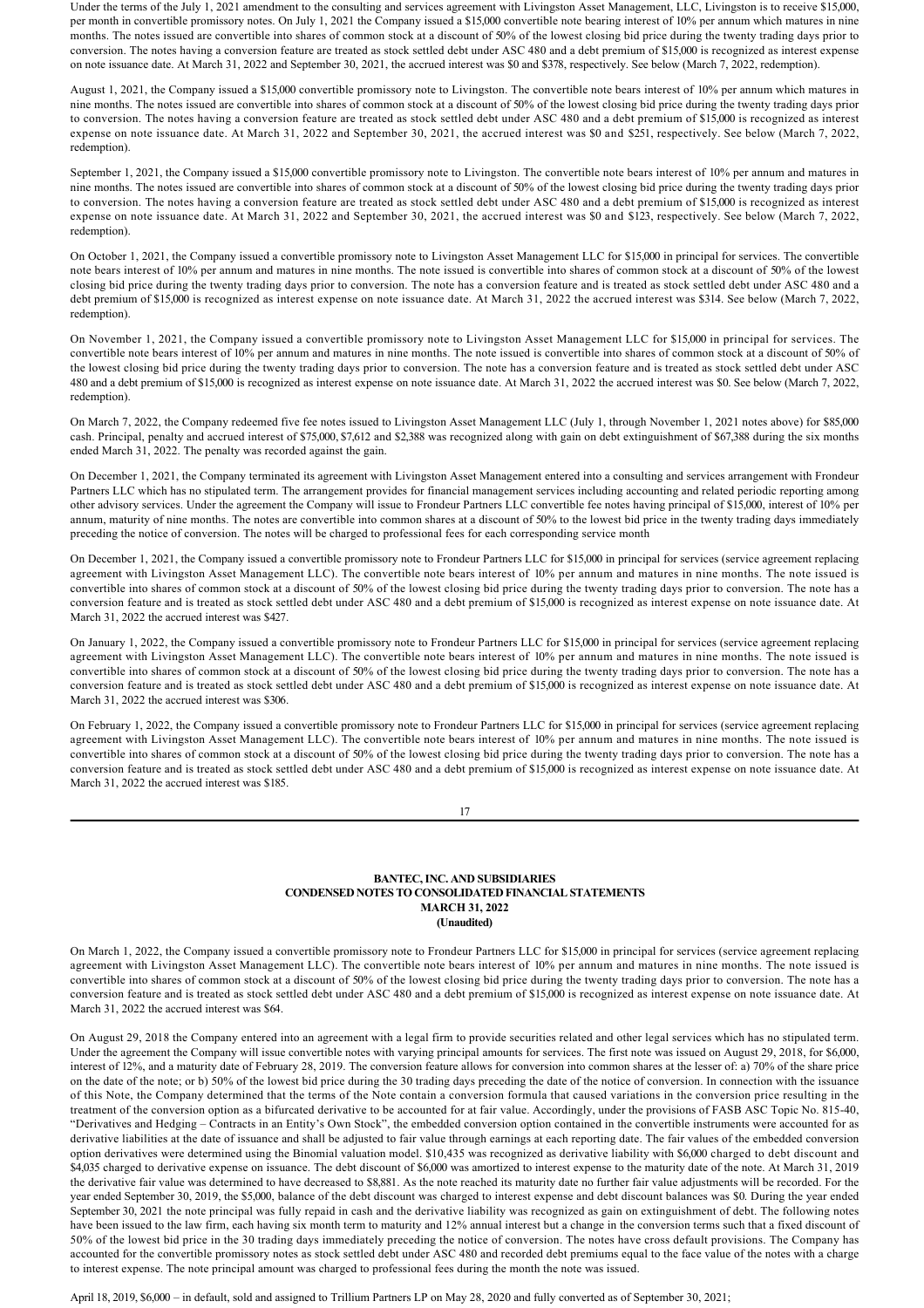Under the terms of the July 1, 2021 amendment to the consulting and services agreement with Livingston Asset Management, LLC, Livingston is to receive \$15,000, per month in convertible promissory notes. On July 1, 2021 the Company issued a \$15,000 convertible note bearing interest of 10% per annum which matures in nine months. The notes issued are convertible into shares of common stock at a discount of 50% of the lowest closing bid price during the twenty trading days prior to conversion. The notes having a conversion feature are treated as stock settled debt under ASC 480 and a debt premium of \$15,000 is recognized as interest expense on note issuance date. At March 31, 2022 and September 30, 2021, the accrued interest was \$0 and \$378, respectively. See below (March 7, 2022, redemption).

August 1, 2021, the Company issued a \$15,000 convertible promissory note to Livingston. The convertible note bears interest of 10% per annum which matures in nine months. The notes issued are convertible into shares of common stock at a discount of 50% of the lowest closing bid price during the twenty trading days prior to conversion. The notes having a conversion feature are treated as stock settled debt under ASC 480 and a debt premium of \$15,000 is recognized as interest expense on note issuance date. At March 31, 2022 and September 30, 2021, the accrued interest was \$0 and \$251, respectively. See below (March 7, 2022, redemption).

September 1, 2021, the Company issued a \$15,000 convertible promissory note to Livingston. The convertible note bears interest of 10% per annum and matures in nine months. The notes issued are convertible into shares of common stock at a discount of 50% of the lowest closing bid price during the twenty trading days prior to conversion. The notes having a conversion feature are treated as stock settled debt under ASC 480 and a debt premium of \$15,000 is recognized as interest expense on note issuance date. At March 31, 2022 and September 30, 2021, the accrued interest was \$0 and \$123, respectively. See below (March 7, 2022, redemption).

On October 1, 2021, the Company issued a convertible promissory note to Livingston Asset Management LLC for \$15,000 in principal for services. The convertible note bears interest of 10% per annum and matures in nine months. The note issued is convertible into shares of common stock at a discount of 50% of the lowest closing bid price during the twenty trading days prior to conversion. The note has a conversion feature and is treated as stock settled debt under ASC 480 and a debt premium of \$15,000 is recognized as interest expense on note issuance date. At March 31, 2022 the accrued interest was \$314. See below (March 7, 2022, redemption).

On November 1, 2021, the Company issued a convertible promissory note to Livingston Asset Management LLC for \$15,000 in principal for services. The convertible note bears interest of 10% per annum and matures in nine months. The note issued is convertible into shares of common stock at a discount of 50% of the lowest closing bid price during the twenty trading days prior to conversion. The note has a conversion feature and is treated as stock settled debt under ASC 480 and a debt premium of \$15,000 is recognized as interest expense on note issuance date. At March 31, 2022 the accrued interest was \$0. See below (March 7, 2022, redemption).

On March 7, 2022, the Company redeemed five fee notes issued to Livingston Asset Management LLC (July 1, through November 1, 2021 notes above) for \$85,000 cash. Principal, penalty and accrued interest of \$75,000, \$7,612 and \$2,388 was recognized along with gain on debt extinguishment of \$67,388 during the six months ended March 31, 2022. The penalty was recorded against the gain.

On December 1, 2021, the Company terminated its agreement with Livingston Asset Management entered into a consulting and services arrangement with Frondeur Partners LLC which has no stipulated term. The arrangement provides for financial management services including accounting and related periodic reporting among other advisory services. Under the agreement the Company will issue to Frondeur Partners LLC convertible fee notes having principal of \$15,000, interest of 10% per annum, maturity of nine months. The notes are convertible into common shares at a discount of 50% to the lowest bid price in the twenty trading days immediately preceding the notice of conversion. The notes will be charged to professional fees for each corresponding service month

On December 1, 2021, the Company issued a convertible promissory note to Frondeur Partners LLC for \$15,000 in principal for services (service agreement replacing agreement with Livingston Asset Management LLC). The convertible note bears interest of 10% per annum and matures in nine months. The note issued is convertible into shares of common stock at a discount of 50% of the lowest closing bid price during the twenty trading days prior to conversion. The note has a conversion feature and is treated as stock settled debt under ASC 480 and a debt premium of \$15,000 is recognized as interest expense on note issuance date. At March 31, 2022 the accrued interest was \$427.

On January 1, 2022, the Company issued a convertible promissory note to Frondeur Partners LLC for \$15,000 in principal for services (service agreement replacing agreement with Livingston Asset Management LLC). The convertible note bears interest of 10% per annum and matures in nine months. The note issued is convertible into shares of common stock at a discount of 50% of the lowest closing bid price during the twenty trading days prior to conversion. The note has a conversion feature and is treated as stock settled debt under ASC 480 and a debt premium of \$15,000 is recognized as interest expense on note issuance date. At March 31, 2022 the accrued interest was \$306.

On February 1, 2022, the Company issued a convertible promissory note to Frondeur Partners LLC for \$15,000 in principal for services (service agreement replacing agreement with Livingston Asset Management LLC). The convertible note bears interest of 10% per annum and matures in nine months. The note issued is convertible into shares of common stock at a discount of 50% of the lowest closing bid price during the twenty trading days prior to conversion. The note has a conversion feature and is treated as stock settled debt under ASC 480 and a debt premium of \$15,000 is recognized as interest expense on note issuance date. At March 31, 2022 the accrued interest was \$185.

17

# **BANTEC, INC. AND SUBSIDIARIES CONDENSED NOTES TO CONSOLIDATED FINANCIAL STATEMENTS MARCH 31, 2022 (Unaudited)**

On March 1, 2022, the Company issued a convertible promissory note to Frondeur Partners LLC for \$15,000 in principal for services (service agreement replacing agreement with Livingston Asset Management LLC). The convertible note bears interest of 10% per annum and matures in nine months. The note issued is convertible into shares of common stock at a discount of 50% of the lowest closing bid price during the twenty trading days prior to conversion. The note has a conversion feature and is treated as stock settled debt under ASC 480 and a debt premium of \$15,000 is recognized as interest expense on note issuance date. At March 31, 2022 the accrued interest was \$64.

On August 29, 2018 the Company entered into an agreement with a legal firm to provide securities related and other legal services which has no stipulated term. Under the agreement the Company will issue convertible notes with varying principal amounts for services. The first note was issued on August 29, 2018, for \$6,000, interest of 12%, and a maturity date of February 28, 2019. The conversion feature allows for conversion into common shares at the lesser of: a) 70% of the share price on the date of the note; or b) 50% of the lowest bid price during the 30 trading days preceding the date of the notice of conversion. In connection with the issuance of this Note, the Company determined that the terms of the Note contain a conversion formula that caused variations in the conversion price resulting in the treatment of the conversion option as a bifurcated derivative to be accounted for at fair value. Accordingly, under the provisions of FASB ASC Topic No. 81540, "Derivatives and Hedging – Contracts in an Entity's Own Stock", the embedded conversion option contained in the convertible instruments were accounted for as derivative liabilities at the date of issuance and shall be adjusted to fair value through earnings at each reporting date. The fair values of the embedded conversion option derivatives were determined using the Binomial valuation model. \$10,435 was recognized as derivative liability with \$6,000 charged to debt discount and \$4,035 charged to derivative expense on issuance. The debt discount of \$6,000 was amortized to interest expense to the maturity date of the note. At March 31, 2019 the derivative fair value was determined to have decreased to \$8,881. As the note reached its maturity date no further fair value adjustments will be recorded. For the year ended September 30, 2019, the \$5,000, balance of the debt discount was charged to interest expense and debt discount balances was \$0. During the year ended September 30, 2021 the note principal was fully repaid in cash and the derivative liability was recognized as gain on extinguishment of debt. The following notes have been issued to the law firm, each having six month term to maturity and 12% annual interest but a change in the conversion terms such that a fixed discount of 50% of the lowest bid price in the 30 trading days immediately preceding the notice of conversion. The notes have cross default provisions. The Company has accounted for the convertible promissory notes as stock settled debt under ASC 480 and recorded debt premiums equal to the face value of the notes with a charge to interest expense. The note principal amount was charged to professional fees during the month the note was issued.

April 18, 2019, \$6,000 – in default, sold and assigned to Trillium Partners LP on May 28, 2020 and fully converted as of September 30, 2021;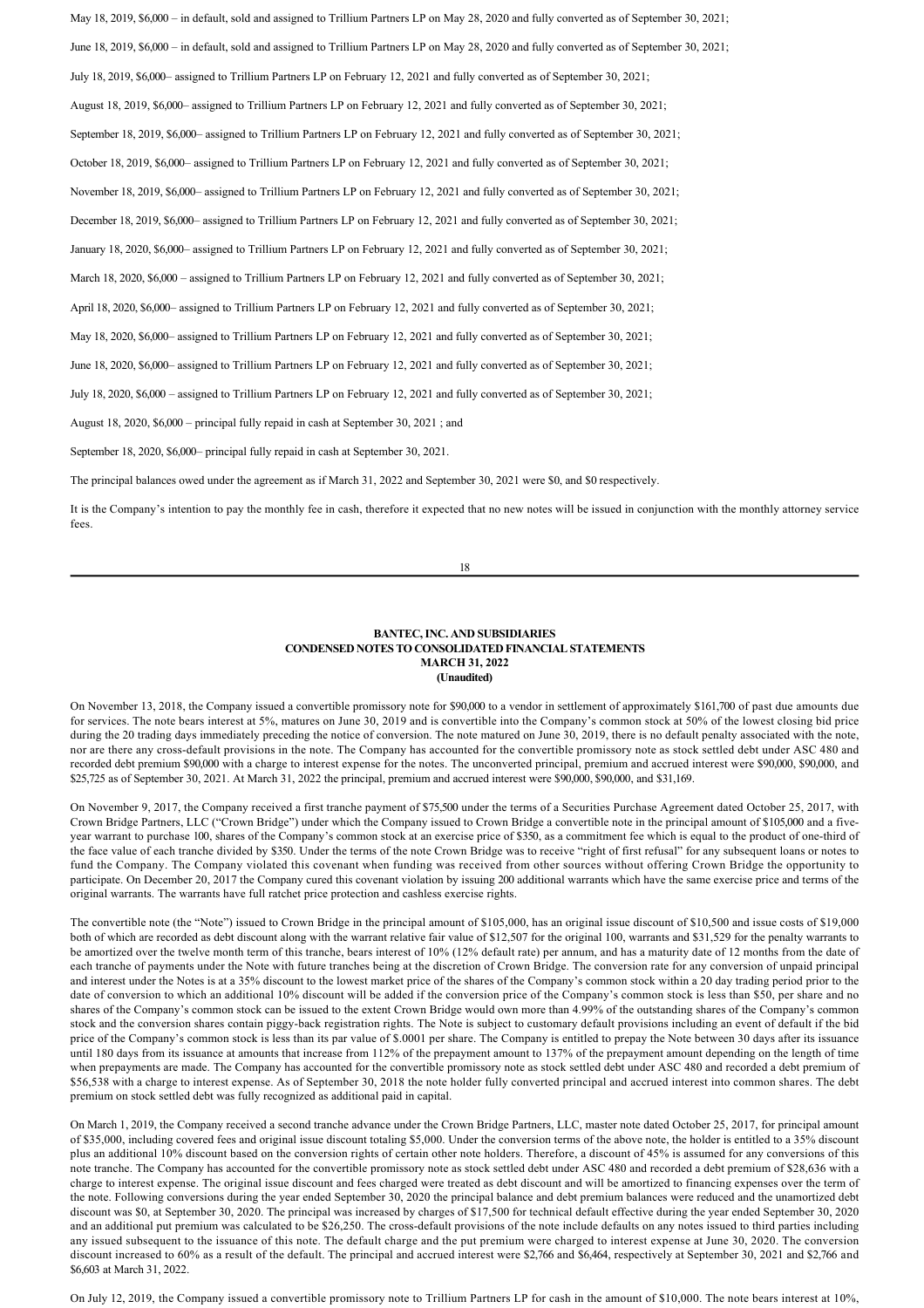May 18, 2019, \$6,000 – in default, sold and assigned to Trillium Partners LP on May 28, 2020 and fully converted as of September 30, 2021; June 18, 2019, \$6,000 – in default, sold and assigned to Trillium Partners LP on May 28, 2020 and fully converted as of September 30, 2021; July 18, 2019, \$6,000– assigned to Trillium Partners LP on February 12, 2021 and fully converted as of September 30, 2021; August 18, 2019, \$6,000– assigned to Trillium Partners LP on February 12, 2021 and fully converted as of September 30, 2021; September 18, 2019, \$6,000– assigned to Trillium Partners LP on February 12, 2021 and fully converted as of September 30, 2021; October 18, 2019, \$6,000– assigned to Trillium Partners LP on February 12, 2021 and fully converted as of September 30, 2021; November 18, 2019, \$6,000– assigned to Trillium Partners LP on February 12, 2021 and fully converted as of September 30, 2021; December 18, 2019, \$6,000– assigned to Trillium Partners LP on February 12, 2021 and fully converted as of September 30, 2021; January 18, 2020, \$6,000– assigned to Trillium Partners LP on February 12, 2021 and fully converted as of September 30, 2021; March 18, 2020, \$6,000 – assigned to Trillium Partners LP on February 12, 2021 and fully converted as of September 30, 2021; April 18, 2020, \$6,000– assigned to Trillium Partners LP on February 12, 2021 and fully converted as of September 30, 2021; May 18, 2020, \$6,000– assigned to Trillium Partners LP on February 12, 2021 and fully converted as of September 30, 2021; June 18, 2020, \$6,000– assigned to Trillium Partners LP on February 12, 2021 and fully converted as of September 30, 2021; July 18, 2020, \$6,000 – assigned to Trillium Partners LP on February 12, 2021 and fully converted as of September 30, 2021; August 18, 2020, \$6,000 – principal fully repaid in cash at September 30, 2021 ; and September 18, 2020, \$6,000– principal fully repaid in cash at September 30, 2021.

The principal balances owed under the agreement as if March 31, 2022 and September 30, 2021 were \$0, and \$0 respectively.

It is the Company's intention to pay the monthly fee in cash, therefore it expected that no new notes will be issued in conjunction with the monthly attorney service fees.

18

#### **BANTEC, INC. AND SUBSIDIARIES CONDENSED NOTES TO CONSOLIDATED FINANCIAL STATEMENTS MARCH 31, 2022 (Unaudited)**

On November 13, 2018, the Company issued a convertible promissory note for \$90,000 to a vendor in settlement of approximately \$161,700 of past due amounts due for services. The note bears interest at 5%, matures on June 30, 2019 and is convertible into the Company's common stock at 50% of the lowest closing bid price during the 20 trading days immediately preceding the notice of conversion. The note matured on June 30, 2019, there is no default penalty associated with the note, nor are there any cross-default provisions in the note. The Company has accounted for the convertible promissory note as stock settled debt under ASC 480 and recorded debt premium \$90,000 with a charge to interest expense for the notes. The unconverted principal, premium and accrued interest were \$90,000, \$90,000, and \$25,725 as of September 30, 2021. At March 31, 2022 the principal, premium and accrued interest were \$90,000, \$90,000, and \$31,169.

On November 9, 2017, the Company received a first tranche payment of \$75,500 under the terms of a Securities Purchase Agreement dated October 25, 2017, with Crown Bridge Partners, LLC ("Crown Bridge") under which the Company issued to Crown Bridge a convertible note in the principal amount of \$105,000 and a fiveyear warrant to purchase 100, shares of the Company's common stock at an exercise price of \$350, as a commitment fee which is equal to the product of one-third of the face value of each tranche divided by \$350. Under the terms of the note Crown Bridge was to receive "right of first refusal" for any subsequent loans or notes to fund the Company. The Company violated this covenant when funding was received from other sources without offering Crown Bridge the opportunity to participate. On December 20, 2017 the Company cured this covenant violation by issuing 200 additional warrants which have the same exercise price and terms of the original warrants. The warrants have full ratchet price protection and cashless exercise rights.

The convertible note (the "Note") issued to Crown Bridge in the principal amount of \$105,000, has an original issue discount of \$10,500 and issue costs of \$19,000 both of which are recorded as debt discount along with the warrant relative fair value of \$12,507 for the original 100, warrants and \$31,529 for the penalty warrants to be amortized over the twelve month term of this tranche, bears interest of 10% (12% default rate) per annum, and has a maturity date of 12 months from the date of each tranche of payments under the Note with future tranches being at the discretion of Crown Bridge. The conversion rate for any conversion of unpaid principal and interest under the Notes is at a 35% discount to the lowest market price of the shares of the Company's common stock within a 20 day trading period prior to the date of conversion to which an additional 10% discount will be added if the conversion price of the Company's common stock is less than \$50, per share and no shares of the Company's common stock can be issued to the extent Crown Bridge would own more than 4.99% of the outstanding shares of the Company's common stock and the conversion shares contain piggyback registration rights. The Note is subject to customary default provisions including an event of default if the bid price of the Company's common stock is less than its par value of \$.0001 per share. The Company is entitled to prepay the Note between 30 days after its issuance until 180 days from its issuance at amounts that increase from 112% of the prepayment amount to 137% of the prepayment amount depending on the length of time when prepayments are made. The Company has accounted for the convertible promissory note as stock settled debt under ASC 480 and recorded a debt premium of \$56,538 with a charge to interest expense. As of September 30, 2018 the note holder fully converted principal and accrued interest into common shares. The debt premium on stock settled debt was fully recognized as additional paid in capital.

On March 1, 2019, the Company received a second tranche advance under the Crown Bridge Partners, LLC, master note dated October 25, 2017, for principal amount of \$35,000, including covered fees and original issue discount totaling \$5,000. Under the conversion terms of the above note, the holder is entitled to a 35% discount plus an additional 10% discount based on the conversion rights of certain other note holders. Therefore, a discount of 45% is assumed for any conversions of this note tranche. The Company has accounted for the convertible promissory note as stock settled debt under ASC 480 and recorded a debt premium of \$28,636 with a charge to interest expense. The original issue discount and fees charged were treated as debt discount and will be amortized to financing expenses over the term of the note. Following conversions during the year ended September 30, 2020 the principal balance and debt premium balances were reduced and the unamortized debt discount was \$0, at September 30, 2020. The principal was increased by charges of \$17,500 for technical default effective during the year ended September 30, 2020 and an additional put premium was calculated to be \$26,250. The cross-default provisions of the note include defaults on any notes issued to third parties including any issued subsequent to the issuance of this note. The default charge and the put premium were charged to interest expense at June 30, 2020. The conversion discount increased to 60% as a result of the default. The principal and accrued interest were \$2,766 and \$6,464, respectively at September 30, 2021 and \$2,766 and \$6,603 at March 31, 2022.

On July 12, 2019, the Company issued a convertible promissory note to Trillium Partners LP for cash in the amount of \$10,000. The note bears interest at 10%,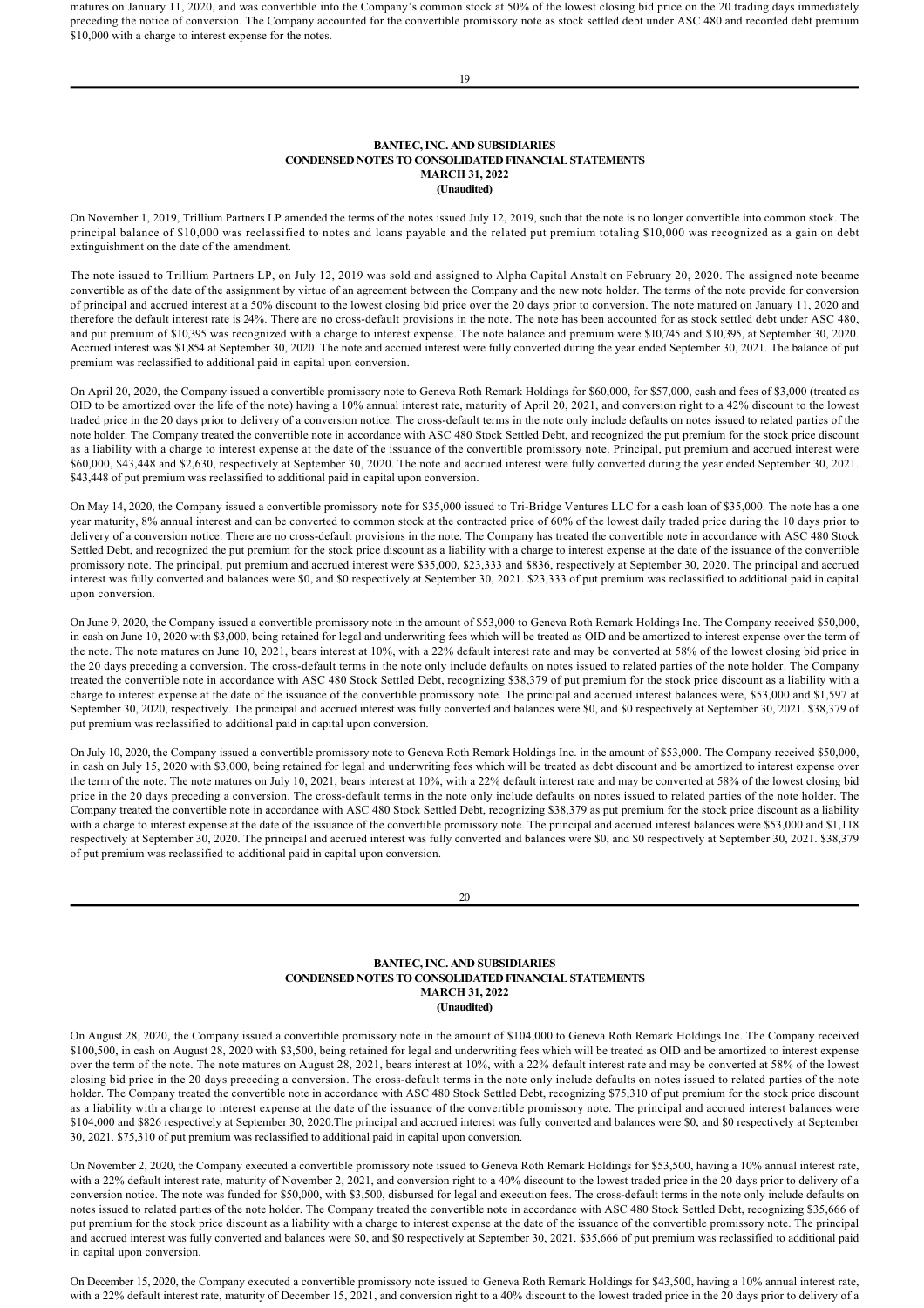matures on January 11, 2020, and was convertible into the Company's common stock at 50% of the lowest closing bid price on the 20 trading days immediately preceding the notice of conversion. The Company accounted for the convertible promissory note as stock settled debt under ASC 480 and recorded debt premium \$10,000 with a charge to interest expense for the notes.

19

## **BANTEC, INC. AND SUBSIDIARIES CONDENSED NOTES TO CONSOLIDATED FINANCIAL STATEMENTS MARCH 31, 2022 (Unaudited)**

On November 1, 2019, Trillium Partners LP amended the terms of the notes issued July 12, 2019, such that the note is no longer convertible into common stock. The principal balance of \$10,000 was reclassified to notes and loans payable and the related put premium totaling \$10,000 was recognized as a gain on debt extinguishment on the date of the amendment.

The note issued to Trillium Partners LP, on July 12, 2019 was sold and assigned to Alpha Capital Anstalt on February 20, 2020. The assigned note became convertible as of the date of the assignment by virtue of an agreement between the Company and the new note holder. The terms of the note provide for conversion of principal and accrued interest at a 50% discount to the lowest closing bid price over the 20 days prior to conversion. The note matured on January 11, 2020 and therefore the default interest rate is 24%. There are no cross-default provisions in the note. The note has been accounted for as stock settled debt under ASC 480. and put premium of \$10,395 was recognized with a charge to interest expense. The note balance and premium were \$10,745 and \$10,395, at September 30, 2020. Accrued interest was \$1,854 at September 30, 2020. The note and accrued interest were fully converted during the year ended September 30, 2021. The balance of put premium was reclassified to additional paid in capital upon conversion.

On April 20, 2020, the Company issued a convertible promissory note to Geneva Roth Remark Holdings for \$60,000, for \$57,000, cash and fees of \$3,000 (treated as OID to be amortized over the life of the note) having a 10% annual interest rate, maturity of April 20, 2021, and conversion right to a 42% discount to the lowest traded price in the 20 days prior to delivery of a conversion notice. The cross-default terms in the note only include defaults on notes issued to related parties of the note holder. The Company treated the convertible note in accordance with ASC 480 Stock Settled Debt, and recognized the put premium for the stock price discount as a liability with a charge to interest expense at the date of the issuance of the convertible promissory note. Principal, put premium and accrued interest were \$60,000, \$43,448 and \$2,630, respectively at September 30, 2020. The note and accrued interest were fully converted during the year ended September 30, 2021. \$43,448 of put premium was reclassified to additional paid in capital upon conversion.

On May 14, 2020, the Company issued a convertible promissory note for \$35,000 issued to Tri-Bridge Ventures LLC for a cash loan of \$35,000. The note has a one year maturity, 8% annual interest and can be converted to common stock at the contracted price of 60% of the lowest daily traded price during the 10 days prior to delivery of a conversion notice. There are no cross-default provisions in the note. The Company has treated the convertible note in accordance with ASC 480 Stock Settled Debt, and recognized the put premium for the stock price discount as a liability with a charge to interest expense at the date of the issuance of the convertible promissory note. The principal, put premium and accrued interest were \$35,000, \$23,333 and \$836, respectively at September 30, 2020. The principal and accrued interest was fully converted and balances were \$0, and \$0 respectively at September 30, 2021. \$23,333 of put premium was reclassified to additional paid in capital upon conversion.

On June 9, 2020, the Company issued a convertible promissory note in the amount of \$53,000 to Geneva Roth Remark Holdings Inc. The Company received \$50,000, in cash on June 10, 2020 with \$3,000, being retained for legal and underwriting fees which will be treated as OID and be amortized to interest expense over the term of the note. The note matures on June 10, 2021, bears interest at 10%, with a 22% default interest rate and may be converted at 58% of the lowest closing bid price in the 20 days preceding a conversion. The cross-default terms in the note only include defaults on notes issued to related parties of the note holder. The Company treated the convertible note in accordance with ASC 480 Stock Settled Debt, recognizing \$38,379 of put premium for the stock price discount as a liability with a charge to interest expense at the date of the issuance of the convertible promissory note. The principal and accrued interest balances were, \$53,000 and \$1,597 at September 30, 2020, respectively. The principal and accrued interest was fully converted and balances were \$0, and \$0 respectively at September 30, 2021. \$38,379 of put premium was reclassified to additional paid in capital upon conversion.

On July 10, 2020, the Company issued a convertible promissory note to Geneva Roth Remark Holdings Inc. in the amount of \$53,000. The Company received \$50,000, in cash on July 15, 2020 with \$3,000, being retained for legal and underwriting fees which will be treated as debt discount and be amortized to interest expense over the term of the note. The note matures on July 10, 2021, bears interest at 10%, with a 22% default interest rate and may be converted at 58% of the lowest closing bid price in the 20 days preceding a conversion. The cross-default terms in the note only include defaults on notes issued to related parties of the note holder. The Company treated the convertible note in accordance with ASC 480 Stock Settled Debt, recognizing \$38,379 as put premium for the stock price discount as a liability with a charge to interest expense at the date of the issuance of the convertible promissory note. The principal and accrued interest balances were \$53,000 and \$1,118 respectively at September 30, 2020. The principal and accrued interest was fully converted and balances were \$0, and \$0 respectively at September 30, 2021. \$38,379 of put premium was reclassified to additional paid in capital upon conversion.

 $20$ 

## **BANTEC, INC. AND SUBSIDIARIES CONDENSED NOTES TO CONSOLIDATED FINANCIAL STATEMENTS MARCH 31, 2022 (Unaudited)**

On August 28, 2020, the Company issued a convertible promissory note in the amount of \$104,000 to Geneva Roth Remark Holdings Inc. The Company received \$100,500, in cash on August 28, 2020 with \$3,500, being retained for legal and underwriting fees which will be treated as OID and be amortized to interest expense over the term of the note. The note matures on August 28, 2021, bears interest at 10%, with a 22% default interest rate and may be converted at 58% of the lowest closing bid price in the 20 days preceding a conversion. The cross-default terms in the note only include defaults on notes issued to related parties of the note holder. The Company treated the convertible note in accordance with ASC 480 Stock Settled Debt, recognizing \$75,310 of put premium for the stock price discount as a liability with a charge to interest expense at the date of the issuance of the convertible promissory note. The principal and accrued interest balances were \$104,000 and \$826 respectively at September 30, 2020.The principal and accrued interest was fully converted and balances were \$0, and \$0 respectively at September 30, 2021. \$75,310 of put premium was reclassified to additional paid in capital upon conversion.

On November 2, 2020, the Company executed a convertible promissory note issued to Geneva Roth Remark Holdings for \$53,500, having a 10% annual interest rate, with a 22% default interest rate, maturity of November 2, 2021, and conversion right to a 40% discount to the lowest traded price in the 20 days prior to delivery of a conversion notice. The note was funded for \$50,000, with \$3,500, disbursed for legal and execution fees. The cross-default terms in the note only include defaults on notes issued to related parties of the note holder. The Company treated the convertible note in accordance with ASC 480 Stock Settled Debt, recognizing \$35,666 of put premium for the stock price discount as a liability with a charge to interest expense at the date of the issuance of the convertible promissory note. The principal and accrued interest was fully converted and balances were \$0, and \$0 respectively at September 30, 2021. \$35,666 of put premium was reclassified to additional paid in capital upon conversion.

On December 15, 2020, the Company executed a convertible promissory note issued to Geneva Roth Remark Holdings for \$43,500, having a 10% annual interest rate, with a 22% default interest rate, maturity of December 15, 2021, and conversion right to a 40% discount to the lowest traded price in the 20 days prior to delivery of a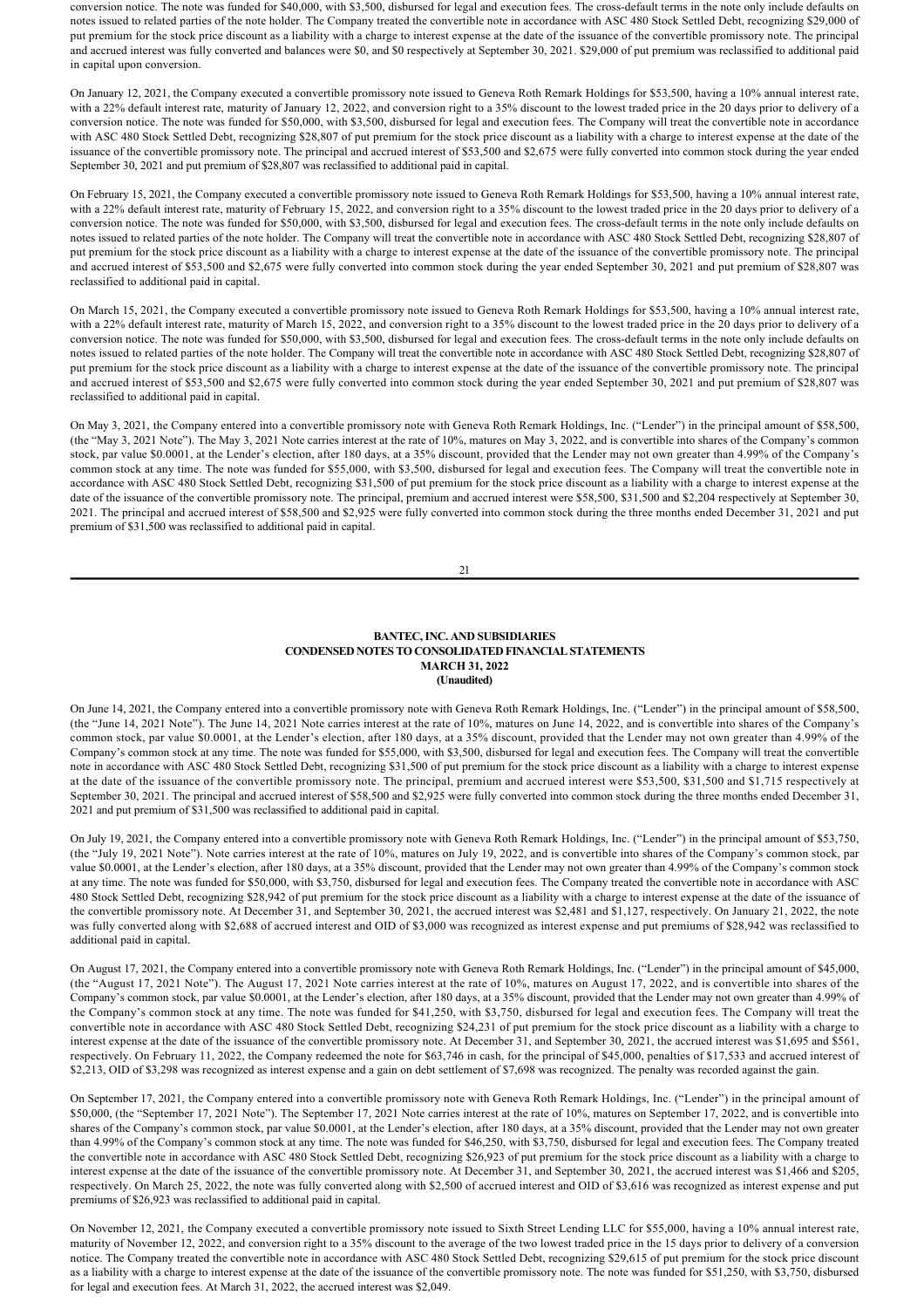conversion notice. The note was funded for \$40,000, with \$3,500, disbursed for legal and execution fees. The cross-default terms in the note only include defaults on notes issued to related parties of the note holder. The Company treated the convertible note in accordance with ASC 480 Stock Settled Debt, recognizing \$29,000 of put premium for the stock price discount as a liability with a charge to interest expense at the date of the issuance of the convertible promissory note. The principal and accrued interest was fully converted and balances were \$0, and \$0 respectively at September 30, 2021. \$29,000 of put premium was reclassified to additional paid in capital upon conversion.

On January 12, 2021, the Company executed a convertible promissory note issued to Geneva Roth Remark Holdings for \$53,500, having a 10% annual interest rate, with a 22% default interest rate, maturity of January 12, 2022, and conversion right to a 35% discount to the lowest traded price in the 20 days prior to delivery of a conversion notice. The note was funded for \$50,000, with \$3,500, disbursed for legal and execution fees. The Company will treat the convertible note in accordance with ASC 480 Stock Settled Debt, recognizing \$28,807 of put premium for the stock price discount as a liability with a charge to interest expense at the date of the issuance of the convertible promissory note. The principal and accrued interest of \$53,500 and \$2,675 were fully converted into common stock during the year ended September 30, 2021 and put premium of \$28,807 was reclassified to additional paid in capital.

On February 15, 2021, the Company executed a convertible promissory note issued to Geneva Roth Remark Holdings for \$53,500, having a 10% annual interest rate, with a 22% default interest rate, maturity of February 15, 2022, and conversion right to a 35% discount to the lowest traded price in the 20 days prior to delivery of a conversion notice. The note was funded for \$50,000, with \$3,500, disbursed for legal and execution fees. The cross-default terms in the note only include defaults on notes issued to related parties of the note holder. The Company will treat the convertible note in accordance with ASC 480 Stock Settled Debt, recognizing \$28,807 of put premium for the stock price discount as a liability with a charge to interest expense at the date of the issuance of the convertible promissory note. The principal and accrued interest of \$53,500 and \$2,675 were fully converted into common stock during the year ended September 30, 2021 and put premium of \$28,807 was reclassified to additional paid in capital.

On March 15, 2021, the Company executed a convertible promissory note issued to Geneva Roth Remark Holdings for \$53,500, having a 10% annual interest rate, with a 22% default interest rate, maturity of March 15, 2022, and conversion right to a 35% discount to the lowest traded price in the 20 days prior to delivery of a conversion notice. The note was funded for \$50,000, with \$3,500, disbursed for legal and execution fees. The cross-default terms in the note only include defaults on notes issued to related parties of the note holder. The Company will treat the convertible note in accordance with ASC 480 Stock Settled Debt, recognizing \$28,807 of put premium for the stock price discount as a liability with a charge to interest expense at the date of the issuance of the convertible promissory note. The principal and accrued interest of \$53,500 and \$2,675 were fully converted into common stock during the year ended September 30, 2021 and put premium of \$28,807 was reclassified to additional paid in capital.

On May 3, 2021, the Company entered into a convertible promissory note with Geneva Roth Remark Holdings, Inc. ("Lender") in the principal amount of \$58,500, (the "May 3, 2021 Note"). The May 3, 2021 Note carries interest at the rate of 10%, matures on May 3, 2022, and is convertible into shares of the Company's common stock, par value \$0.0001, at the Lender's election, after 180 days, at a 35% discount, provided that the Lender may not own greater than 4.99% of the Company's common stock at any time. The note was funded for \$55,000, with \$3,500, disbursed for legal and execution fees. The Company will treat the convertible note in accordance with ASC 480 Stock Settled Debt, recognizing \$31,500 of put premium for the stock price discount as a liability with a charge to interest expense at the date of the issuance of the convertible promissory note. The principal, premium and accrued interest were \$58,500, \$31,500 and \$2,204 respectively at September 30, 2021. The principal and accrued interest of \$58,500 and \$2,925 were fully converted into common stock during the three months ended December 31, 2021 and put premium of \$31,500 was reclassified to additional paid in capital.

21

## **BANTEC, INC. AND SUBSIDIARIES CONDENSED NOTES TO CONSOLIDATED FINANCIAL STATEMENTS MARCH 31, 2022 (Unaudited)**

On June 14, 2021, the Company entered into a convertible promissory note with Geneva Roth Remark Holdings, Inc. ("Lender") in the principal amount of \$58,500, (the "June 14, 2021 Note"). The June 14, 2021 Note carries interest at the rate of 10%, matures on June 14, 2022, and is convertible into shares of the Company's common stock, par value \$0.0001, at the Lender's election, after 180 days, at a 35% discount, provided that the Lender may not own greater than 4.99% of the Company's common stock at any time. The note was funded for \$55,000, with \$3,500, disbursed for legal and execution fees. The Company will treat the convertible note in accordance with ASC 480 Stock Settled Debt, recognizing \$31,500 of put premium for the stock price discount as a liability with a charge to interest expense at the date of the issuance of the convertible promissory note. The principal, premium and accrued interest were \$53,500, \$31,500 and \$1,715 respectively at September 30, 2021. The principal and accrued interest of \$58,500 and \$2,925 were fully converted into common stock during the three months ended December 31, 2021 and put premium of \$31,500 was reclassified to additional paid in capital.

On July 19, 2021, the Company entered into a convertible promissory note with Geneva Roth Remark Holdings, Inc. ("Lender") in the principal amount of \$53,750, (the "July 19, 2021 Note"). Note carries interest at the rate of 10%, matures on July 19, 2022, and is convertible into shares of the Company's common stock, par value \$0.0001, at the Lender's election, after 180 days, at a 35% discount, provided that the Lender may not own greater than 4.99% of the Company's common stock at any time. The note was funded for \$50,000, with \$3,750, disbursed for legal and execution fees. The Company treated the convertible note in accordance with ASC 480 Stock Settled Debt, recognizing \$28,942 of put premium for the stock price discount as a liability with a charge to interest expense at the date of the issuance of the convertible promissory note. At December 31, and September 30, 2021, the accrued interest was \$2,481 and \$1,127, respectively. On January 21, 2022, the note was fully converted along with \$2,688 of accrued interest and OID of \$3,000 was recognized as interest expense and put premiums of \$28,942 was reclassified to additional paid in capital.

On August 17, 2021, the Company entered into a convertible promissory note with Geneva Roth Remark Holdings, Inc. ("Lender") in the principal amount of \$45,000, (the "August 17, 2021 Note"). The August 17, 2021 Note carries interest at the rate of 10%, matures on August 17, 2022, and is convertible into shares of the Company's common stock, par value \$0.0001, at the Lender's election, after 180 days, at a 35% discount, provided that the Lender may not own greater than 4.99% of the Company's common stock at any time. The note was funded for \$41,250, with \$3,750, disbursed for legal and execution fees. The Company will treat the convertible note in accordance with ASC 480 Stock Settled Debt, recognizing \$24,231 of put premium for the stock price discount as a liability with a charge to interest expense at the date of the issuance of the convertible promissory note. At December 31, and September 30, 2021, the accrued interest was \$1,695 and \$561, respectively. On February 11, 2022, the Company redeemed the note for \$63,746 in cash, for the principal of \$45,000, penalties of \$17,533 and accrued interest of \$2,213, OID of \$3,298 was recognized as interest expense and a gain on debt settlement of \$7,698 was recognized. The penalty was recorded against the gain.

On September 17, 2021, the Company entered into a convertible promissory note with Geneva Roth Remark Holdings, Inc. ("Lender") in the principal amount of \$50,000, (the "September 17, 2021 Note"). The September 17, 2021 Note carries interest at the rate of 10%, matures on September 17, 2022, and is convertible into shares of the Company's common stock, par value \$0.0001, at the Lender's election, after 180 days, at a 35% discount, provided that the Lender may not own greater than 4.99% of the Company's common stock at any time. The note was funded for \$46,250, with \$3,750, disbursed for legal and execution fees. The Company treated the convertible note in accordance with ASC 480 Stock Settled Debt, recognizing \$26,923 of put premium for the stock price discount as a liability with a charge to interest expense at the date of the issuance of the convertible promissory note. At December 31, and September 30, 2021, the accrued interest was \$1,466 and \$205, respectively. On March 25, 2022, the note was fully converted along with \$2,500 of accrued interest and OID of \$3,616 was recognized as interest expense and put premiums of \$26,923 was reclassified to additional paid in capital.

On November 12, 2021, the Company executed a convertible promissory note issued to Sixth Street Lending LLC for \$55,000, having a 10% annual interest rate, maturity of November 12, 2022, and conversion right to a 35% discount to the average of the two lowest traded price in the 15 days prior to delivery of a conversion notice. The Company treated the convertible note in accordance with ASC 480 Stock Settled Debt, recognizing \$29,615 of put premium for the stock price discount as a liability with a charge to interest expense at the date of the issuance of the convertible promissory note. The note was funded for \$51,250, with \$3,750, disbursed for legal and execution fees. At March 31, 2022, the accrued interest was \$2,049.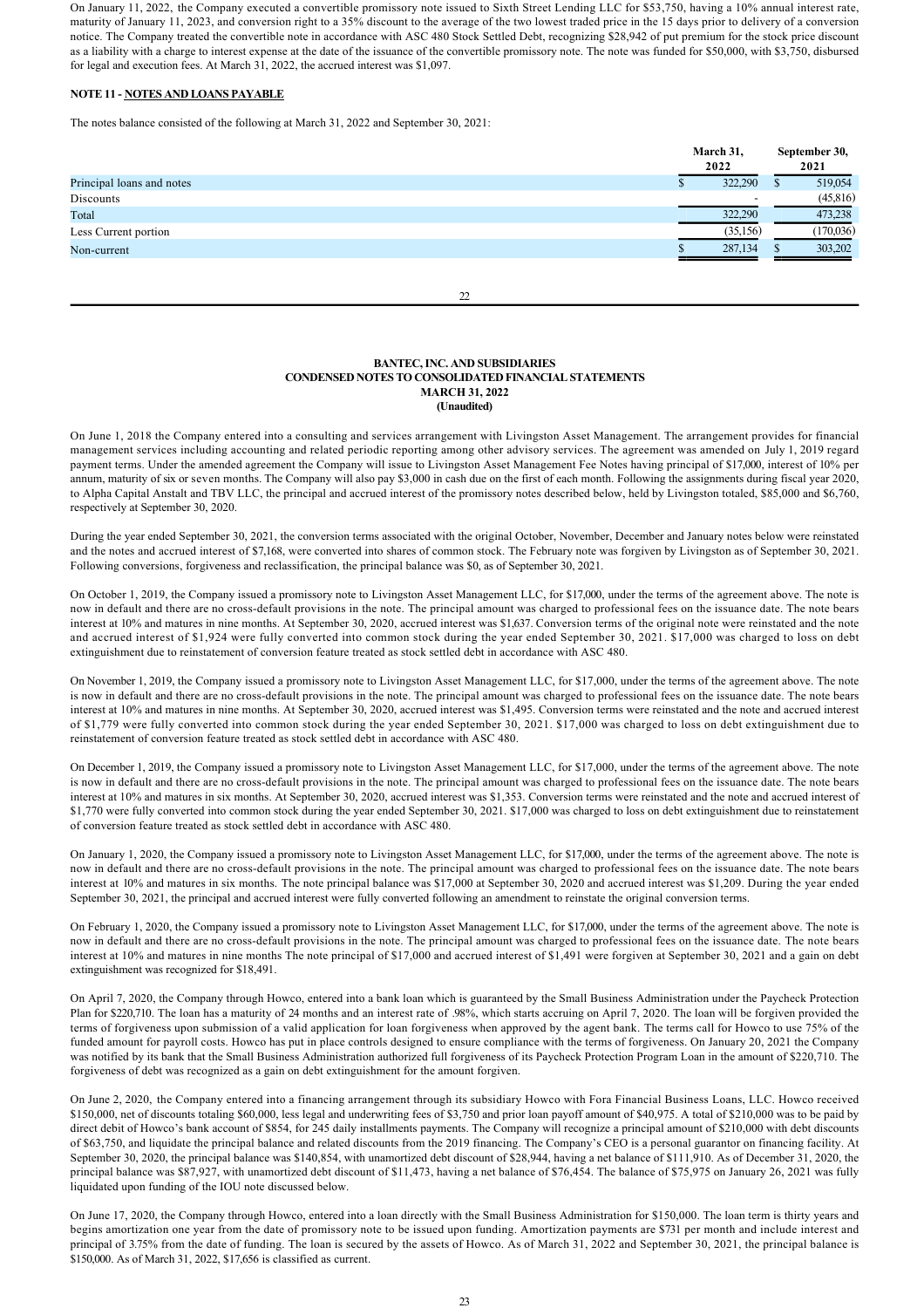On January 11, 2022, the Company executed a convertible promissory note issued to Sixth Street Lending LLC for \$53,750, having a 10% annual interest rate, maturity of January 11, 2023, and conversion right to a 35% discount to the average of the two lowest traded price in the 15 days prior to delivery of a conversion notice. The Company treated the convertible note in accordance with ASC 480 Stock Settled Debt, recognizing \$28,942 of put premium for the stock price discount as a liability with a charge to interest expense at the date of the issuance of the convertible promissory note. The note was funded for \$50,000, with \$3,750, disbursed for legal and execution fees. At March 31, 2022, the accrued interest was \$1,097.

# **NOTE 11 NOTES AND LOANS PAYABLE**

The notes balance consisted of the following at March 31, 2022 and September 30, 2021:

|                           | March 31,<br>2022 |                          | September 30,<br>2021 |
|---------------------------|-------------------|--------------------------|-----------------------|
| Principal loans and notes |                   | 322,290                  | 519,054               |
| Discounts                 |                   | $\overline{\phantom{0}}$ | (45,816)              |
| Total                     |                   | 322,290                  | 473,238               |
| Less Current portion      |                   | (35,156)                 | (170, 036)            |
| Non-current               |                   | 287,134                  | 303,202               |
|                           |                   |                          |                       |

 $\mathcal{D}$ 

## **BANTEC, INC. AND SUBSIDIARIES CONDENSED NOTES TO CONSOLIDATED FINANCIAL STATEMENTS MARCH 31, 2022 (Unaudited)**

On June 1, 2018 the Company entered into a consulting and services arrangement with Livingston Asset Management. The arrangement provides for financial management services including accounting and related periodic reporting among other advisory services. The agreement was amended on July 1, 2019 regard payment terms. Under the amended agreement the Company will issue to Livingston Asset Management Fee Notes having principal of \$17,000, interest of 10% per annum, maturity of six or seven months. The Company will also pay \$3,000 in cash due on the first of each month. Following the assignments during fiscal year 2020, to Alpha Capital Anstalt and TBV LLC, the principal and accrued interest of the promissory notes described below, held by Livingston totaled, \$85,000 and \$6,760, respectively at September 30, 2020.

During the year ended September 30, 2021, the conversion terms associated with the original October, November, December and January notes below were reinstated and the notes and accrued interest of \$7,168, were converted into shares of common stock. The February note was forgiven by Livingston as of September 30, 2021. Following conversions, forgiveness and reclassification, the principal balance was \$0, as of September 30, 2021.

On October 1, 2019, the Company issued a promissory note to Livingston Asset Management LLC, for \$17,000, under the terms of the agreement above. The note is now in default and there are no cross-default provisions in the note. The principal amount was charged to professional fees on the issuance date. The note bears interest at 10% and matures in nine months. At September 30, 2020, accrued interest was \$1,637. Conversion terms of the original note were reinstated and the note and accrued interest of \$1,924 were fully converted into common stock during the year ended September 30, 2021. \$17,000 was charged to loss on debt extinguishment due to reinstatement of conversion feature treated as stock settled debt in accordance with ASC 480.

On November 1, 2019, the Company issued a promissory note to Livingston Asset Management LLC, for \$17,000, under the terms of the agreement above. The note is now in default and there are no cross-default provisions in the note. The principal amount was charged to professional fees on the issuance date. The note bears interest at 10% and matures in nine months. At September 30, 2020, accrued interest was \$1,495. Conversion terms were reinstated and the note and accrued interest of \$1,779 were fully converted into common stock during the year ended September 30, 2021. \$17,000 was charged to loss on debt extinguishment due to reinstatement of conversion feature treated as stock settled debt in accordance with ASC 480.

On December 1, 2019, the Company issued a promissory note to Livingston Asset Management LLC, for \$17,000, under the terms of the agreement above. The note is now in default and there are no cross-default provisions in the note. The principal amount was charged to professional fees on the issuance date. The note bears interest at 10% and matures in six months. At September 30, 2020, accrued interest was \$1,353. Conversion terms were reinstated and the note and accrued interest of \$1,770 were fully converted into common stock during the year ended September 30, 2021. \$17,000 was charged to loss on debt extinguishment due to reinstatement of conversion feature treated as stock settled debt in accordance with ASC 480.

On January 1, 2020, the Company issued a promissory note to Livingston Asset Management LLC, for \$17,000, under the terms of the agreement above. The note is now in default and there are no cross-default provisions in the note. The principal amount was charged to professional fees on the issuance date. The note bears interest at 10% and matures in six months. The note principal balance was \$17,000 at September 30, 2020 and accrued interest was \$1,209. During the year ended September 30, 2021, the principal and accrued interest were fully converted following an amendment to reinstate the original conversion terms.

On February 1, 2020, the Company issued a promissory note to Livingston Asset Management LLC, for \$17,000, under the terms of the agreement above. The note is now in default and there are no crossdefault provisions in the note. The principal amount was charged to professional fees on the issuance date. The note bears interest at 10% and matures in nine months The note principal of \$17,000 and accrued interest of \$1,491 were forgiven at September 30, 2021 and a gain on debt extinguishment was recognized for \$18,491.

On April 7, 2020, the Company through Howco, entered into a bank loan which is guaranteed by the Small Business Administration under the Paycheck Protection Plan for \$220,710. The loan has a maturity of 24 months and an interest rate of .98%, which starts accruing on April 7, 2020. The loan will be forgiven provided the terms of forgiveness upon submission of a valid application for loan forgiveness when approved by the agent bank. The terms call for Howco to use 75% of the funded amount for payroll costs. Howco has put in place controls designed to ensure compliance with the terms of forgiveness. On January 20, 2021 the Company was notified by its bank that the Small Business Administration authorized full forgiveness of its Paycheck Protection Program Loan in the amount of \$220,710. The forgiveness of debt was recognized as a gain on debt extinguishment for the amount forgiven.

On June 2, 2020, the Company entered into a financing arrangement through its subsidiary Howco with Fora Financial Business Loans, LLC. Howco received \$150,000, net of discounts totaling \$60,000, less legal and underwriting fees of \$3,750 and prior loan payoff amount of \$40,975. A total of \$210,000 was to be paid by direct debit of Howco's bank account of \$854, for 245 daily installments payments. The Company will recognize a principal amount of \$210,000 with debt discounts of \$63,750, and liquidate the principal balance and related discounts from the 2019 financing. The Company's CEO is a personal guarantor on financing facility. At September 30, 2020, the principal balance was \$140,854, with unamortized debt discount of \$28,944, having a net balance of \$111,910. As of December 31, 2020, the principal balance was \$87,927, with unamortized debt discount of \$11,473, having a net balance of \$76,454. The balance of \$75,975 on January 26, 2021 was fully liquidated upon funding of the IOU note discussed below.

On June 17, 2020, the Company through Howco, entered into a loan directly with the Small Business Administration for \$150,000. The loan term is thirty years and begins amortization one year from the date of promissory note to be issued upon funding. Amortization payments are \$731 per month and include interest and principal of 3.75% from the date of funding. The loan is secured by the assets of Howco. As of March 31, 2022 and September 30, 2021, the principal balance is \$150,000. As of March 31, 2022, \$17,656 is classified as current.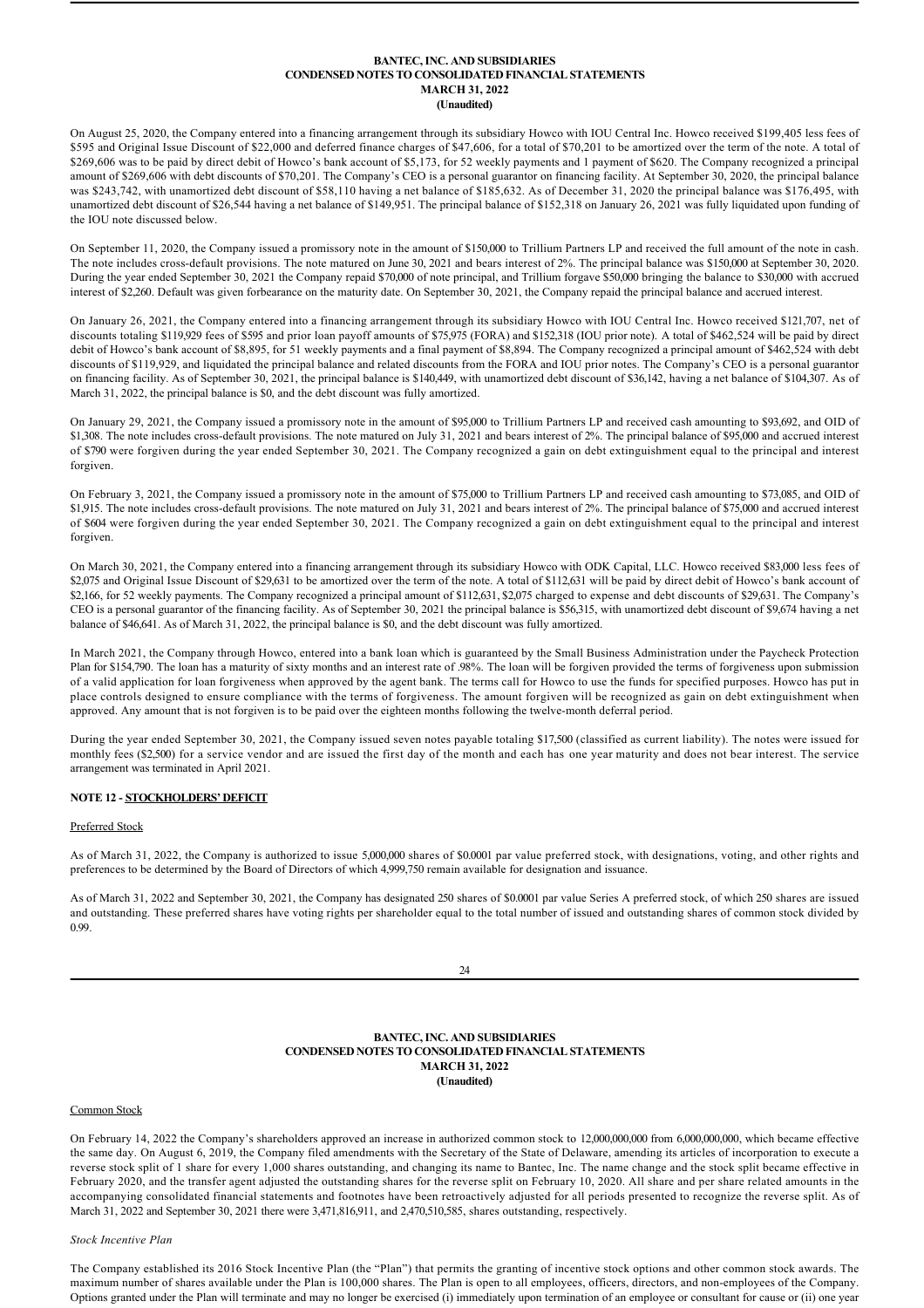## **BANTEC, INC. AND SUBSIDIARIES CONDENSED NOTES TO CONSOLIDATED FINANCIAL STATEMENTS MARCH 31, 2022 (Unaudited)**

On August 25, 2020, the Company entered into a financing arrangement through its subsidiary Howco with IOU Central Inc. Howco received \$199,405 less fees of \$595 and Original Issue Discount of \$22,000 and deferred finance charges of \$47,606, for a total of \$70,201 to be amortized over the term of the note. A total of \$269,606 was to be paid by direct debit of Howco's bank account of \$5,173, for 52 weekly payments and 1 payment of \$620. The Company recognized a principal amount of \$269,606 with debt discounts of \$70,201. The Company's CEO is a personal guarantor on financing facility. At September 30, 2020, the principal balance was \$243,742, with unamortized debt discount of \$58,110 having a net balance of \$185,632. As of December 31, 2020 the principal balance was \$176,495, with unamortized debt discount of \$26,544 having a net balance of \$149,951. The principal balance of \$152,318 on January 26, 2021 was fully liquidated upon funding of the IOU note discussed below.

On September 11, 2020, the Company issued a promissory note in the amount of \$150,000 to Trillium Partners LP and received the full amount of the note in cash. The note includes cross-default provisions. The note matured on June 30, 2021 and bears interest of 2%. The principal balance was \$150,000 at September 30, 2020. During the year ended September 30, 2021 the Company repaid \$70,000 of note principal, and Trillium forgave \$50,000 bringing the balance to \$30,000 with accrued interest of \$2,260. Default was given forbearance on the maturity date. On September 30, 2021, the Company repaid the principal balance and accrued interest.

On January 26, 2021, the Company entered into a financing arrangement through its subsidiary Howco with IOU Central Inc. Howco received \$121,707, net of discounts totaling \$119,929 fees of \$595 and prior loan payoff amounts of \$75,975 (FORA) and \$152,318 (IOU prior note). A total of \$462,524 will be paid by direct debit of Howco's bank account of \$8,895, for 51 weekly payments and a final payment of \$8,894. The Company recognized a principal amount of \$462,524 with debt discounts of \$119,929, and liquidated the principal balance and related discounts from the FORA and IOU prior notes. The Company's CEO is a personal guarantor on financing facility. As of September 30, 2021, the principal balance is \$140,449, with unamortized debt discount of \$36,142, having a net balance of \$104,307. As of March 31, 2022, the principal balance is \$0, and the debt discount was fully amortized.

On January 29, 2021, the Company issued a promissory note in the amount of \$95,000 to Trillium Partners LP and received cash amounting to \$93,692, and OID of \$1,308. The note includes cross-default provisions. The note matured on July 31, 2021 and bears interest of 2%. The principal balance of \$95,000 and accrued interest of \$790 were forgiven during the year ended September 30, 2021. The Company recognized a gain on debt extinguishment equal to the principal and interest forgiven.

On February 3, 2021, the Company issued a promissory note in the amount of \$75,000 to Trillium Partners LP and received cash amounting to \$73,085, and OID of \$1,915. The note includes cross-default provisions. The note matured on July 31, 2021 and bears interest of 2%. The principal balance of \$75,000 and accrued interest of \$604 were forgiven during the year ended September 30, 2021. The Company recognized a gain on debt extinguishment equal to the principal and interest forgiven.

On March 30, 2021, the Company entered into a financing arrangement through its subsidiary Howco with ODK Capital, LLC. Howco received \$83,000 less fees of \$2,075 and Original Issue Discount of \$29,631 to be amortized over the term of the note. A total of \$112,631 will be paid by direct debit of Howco's bank account of \$2,166, for 52 weekly payments. The Company recognized a principal amount of \$112,631, \$2,075 charged to expense and debt discounts of \$29,631. The Company's CEO is a personal guarantor of the financing facility. As of September 30, 2021 the principal balance is \$56,315, with unamortized debt discount of \$9,674 having a net balance of \$46,641. As of March 31, 2022, the principal balance is \$0, and the debt discount was fully amortized.

In March 2021, the Company through Howco, entered into a bank loan which is guaranteed by the Small Business Administration under the Paycheck Protection Plan for \$154,790. The loan has a maturity of sixty months and an interest rate of .98%. The loan will be forgiven provided the terms of forgiveness upon submission of a valid application for loan forgiveness when approved by the agent bank. The terms call for Howco to use the funds for specified purposes. Howco has put in place controls designed to ensure compliance with the terms of forgiveness. The amount forgiven will be recognized as gain on debt extinguishment when approved. Any amount that is not forgiven is to be paid over the eighteen months following the twelvemonth deferral period.

During the year ended September 30, 2021, the Company issued seven notes payable totaling \$17,500 (classified as current liability). The notes were issued for monthly fees (\$2,500) for a service vendor and are issued the first day of the month and each has one year maturity and does not bear interest. The service arrangement was terminated in April 2021.

# **NOTE 12 - STOCKHOLDERS' DEFICIT**

## Preferred Stock

As of March 31, 2022, the Company is authorized to issue 5,000,000 shares of \$0.0001 par value preferred stock, with designations, voting, and other rights and preferences to be determined by the Board of Directors of which 4,999,750 remain available for designation and issuance.

As of March 31, 2022 and September 30, 2021, the Company has designated 250 shares of \$0.0001 par value Series A preferred stock, of which 250 shares are issued and outstanding. These preferred shares have voting rights per shareholder equal to the total number of issued and outstanding shares of common stock divided by 0.99.

**BANTEC, INC. AND SUBSIDIARIES CONDENSED NOTES TO CONSOLIDATED FINANCIAL STATEMENTS MARCH 31, 2022 (Unaudited)**

### Common Stock

On February 14, 2022 the Company's shareholders approved an increase in authorized common stock to 12,000,000,000 from 6,000,000,000, which became effective the same day. On August 6, 2019, the Company filed amendments with the Secretary of the State of Delaware, amending its articles of incorporation to execute a reverse stock split of 1 share for every 1,000 shares outstanding, and changing its name to Bantec, Inc. The name change and the stock split became effective in February 2020, and the transfer agent adjusted the outstanding shares for the reverse split on February 10, 2020. All share and per share related amounts in the accompanying consolidated financial statements and footnotes have been retroactively adjusted for all periods presented to recognize the reverse split. As of March 31, 2022 and September 30, 2021 there were 3,471,816,911, and 2,470,510,585, shares outstanding, respectively.

#### *Stock Incentive Plan*

The Company established its 2016 Stock Incentive Plan (the "Plan") that permits the granting of incentive stock options and other common stock awards. The maximum number of shares available under the Plan is 100,000 shares. The Plan is open to all employees, officers, directors, and nonemployees of the Company. Options granted under the Plan will terminate and may no longer be exercised (i) immediately upon termination of an employee or consultant for cause or (ii) one year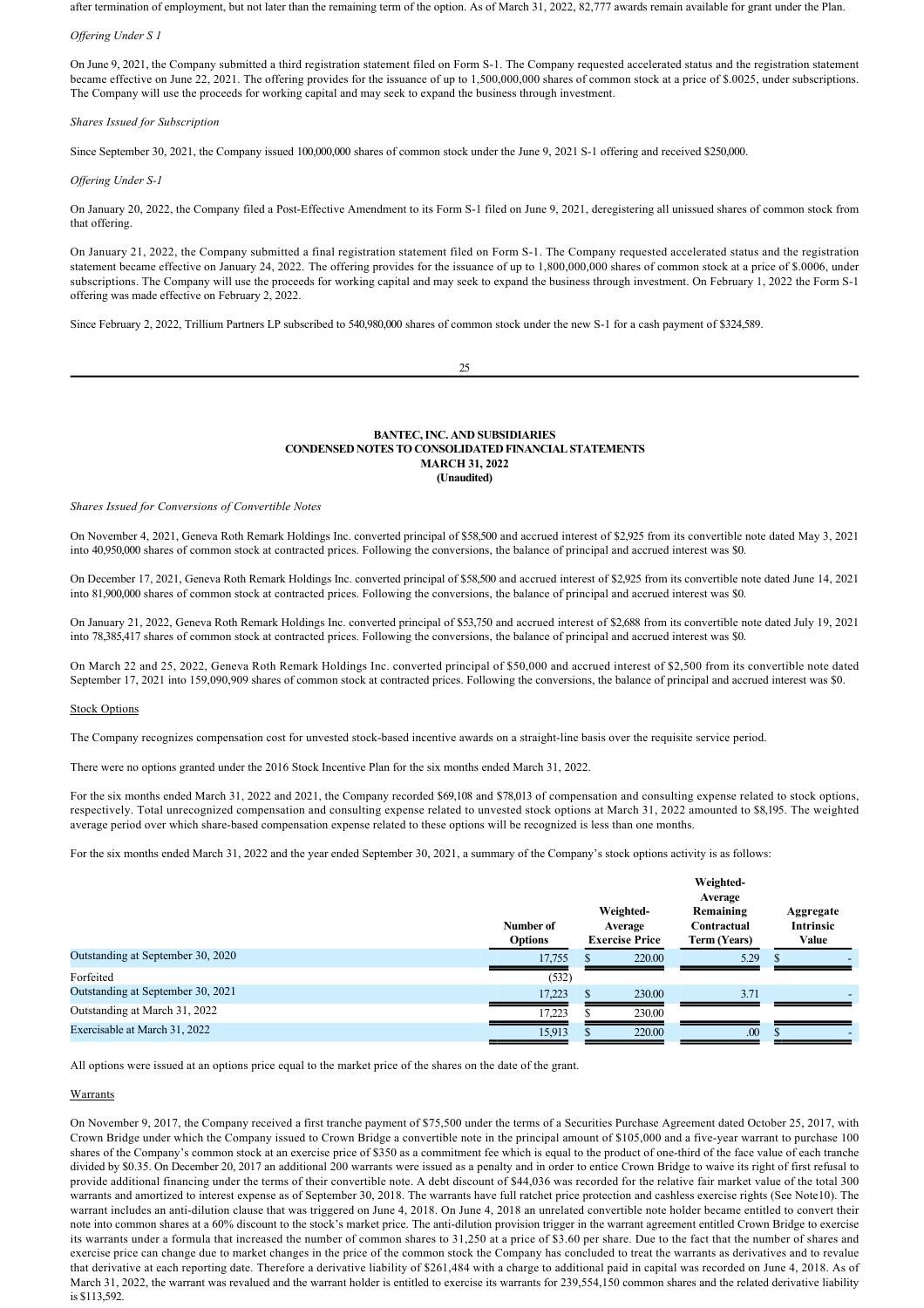after termination of employment, but not later than the remaining term of the option. As of March 31, 2022, 82,777 awards remain available for grant under the Plan.

#### *Offering Under S 1*

On June 9, 2021, the Company submitted a third registration statement filed on Form S1. The Company requested accelerated status and the registration statement became effective on June 22, 2021. The offering provides for the issuance of up to 1,500,000,000 shares of common stock at a price of \$.0025, under subscriptions. The Company will use the proceeds for working capital and may seek to expand the business through investment.

#### *Shares Issued for Subscription*

Since September 30, 2021, the Company issued 100,000,000 shares of common stock under the June 9, 2021 S-1 offering and received \$250,000.

#### *Offering Under S1*

On January 20, 2022, the Company filed a Post-Effective Amendment to its Form S-1 filed on June 9, 2021, deregistering all unissued shares of common stock from that offering.

On January 21, 2022, the Company submitted a final registration statement filed on Form S1. The Company requested accelerated status and the registration statement became effective on January 24, 2022. The offering provides for the issuance of up to 1,800,000,000 shares of common stock at a price of \$.0006, under subscriptions. The Company will use the proceeds for working capital and may seek to expand the business through investment. On February 1, 2022 the Form S-1 offering was made effective on February 2, 2022.

Since February 2, 2022, Trillium Partners LP subscribed to 540,980,000 shares of common stock under the new S-1 for a cash payment of \$324,589.

 $25$ 

#### **BANTEC, INC. AND SUBSIDIARIES CONDENSED NOTES TO CONSOLIDATED FINANCIAL STATEMENTS MARCH 31, 2022 (Unaudited)**

#### *Shares Issued for Conversions of Convertible Notes*

On November 4, 2021, Geneva Roth Remark Holdings Inc. converted principal of \$58,500 and accrued interest of \$2,925 from its convertible note dated May 3, 2021 into 40,950,000 shares of common stock at contracted prices. Following the conversions, the balance of principal and accrued interest was \$0.

On December 17, 2021, Geneva Roth Remark Holdings Inc. converted principal of \$58,500 and accrued interest of \$2,925 from its convertible note dated June 14, 2021 into 81,900,000 shares of common stock at contracted prices. Following the conversions, the balance of principal and accrued interest was \$0.

On January 21, 2022, Geneva Roth Remark Holdings Inc. converted principal of \$53,750 and accrued interest of \$2,688 from its convertible note dated July 19, 2021 into 78,385,417 shares of common stock at contracted prices. Following the conversions, the balance of principal and accrued interest was \$0.

On March 22 and 25, 2022, Geneva Roth Remark Holdings Inc. converted principal of \$50,000 and accrued interest of \$2,500 from its convertible note dated September 17, 2021 into 159,090,909 shares of common stock at contracted prices. Following the conversions, the balance of principal and accrued interest was \$0.

#### Stock Options

The Company recognizes compensation cost for unvested stock-based incentive awards on a straight-line basis over the requisite service period.

There were no options granted under the 2016 Stock Incentive Plan for the six months ended March 31, 2022.

For the six months ended March 31, 2022 and 2021, the Company recorded \$69,108 and \$78,013 of compensation and consulting expense related to stock options, respectively. Total unrecognized compensation and consulting expense related to unvested stock options at March 31, 2022 amounted to \$8,195. The weighted average period over which share-based compensation expense related to these options will be recognized is less than one months.

For the six months ended March 31, 2022 and the year ended September 30, 2021, a summary of the Company's stock options activity is as follows:

|                                   | Number of<br><b>Options</b> |     | Weighted-<br>Average<br><b>Exercise Price</b> | Weighted-<br>Average<br>Remaining<br>Contractual<br>Term (Years) | Aggregate<br><b>Intrinsic</b><br>Value |  |
|-----------------------------------|-----------------------------|-----|-----------------------------------------------|------------------------------------------------------------------|----------------------------------------|--|
| Outstanding at September 30, 2020 | 17,755                      | ъ   | 220.00                                        | 5.29                                                             |                                        |  |
| Forfeited                         | (532)                       |     |                                               |                                                                  |                                        |  |
| Outstanding at September 30, 2021 | 17,223                      | \$. | 230.00                                        | 3.71                                                             |                                        |  |
| Outstanding at March 31, 2022     | 17.223                      |     | 230.00                                        |                                                                  |                                        |  |
| Exercisable at March 31, 2022     | 15,913                      |     | 220.00                                        | .00                                                              |                                        |  |

All options were issued at an options price equal to the market price of the shares on the date of the grant.

# **Warrants**

On November 9, 2017, the Company received a first tranche payment of \$75,500 under the terms of a Securities Purchase Agreement dated October 25, 2017, with Crown Bridge under which the Company issued to Crown Bridge a convertible note in the principal amount of \$105,000 and a five-year warrant to purchase 100 shares of the Company's common stock at an exercise price of \$350 as a commitment fee which is equal to the product of one-third of the face value of each tranche divided by \$0.35. On December 20, 2017 an additional 200 warrants were issued as a penalty and in order to entice Crown Bridge to waive its right of first refusal to provide additional financing under the terms of their convertible note. A debt discount of \$44,036 was recorded for the relative fair market value of the total 300 warrants and amortized to interest expense as of September 30, 2018. The warrants have full ratchet price protection and cashless exercise rights (See Note10). The warrant includes an anti-dilution clause that was triggered on June 4, 2018. On June 4, 2018 an unrelated convertible note holder became entitled to convert their note into common shares at a 60% discount to the stock's market price. The anti-dilution provision trigger in the warrant agreement entitled Crown Bridge to exercise its warrants under a formula that increased the number of common shares to 31,250 at a price of \$3.60 per share. Due to the fact that the number of shares and exercise price can change due to market changes in the price of the common stock the Company has concluded to treat the warrants as derivatives and to revalue that derivative at each reporting date. Therefore a derivative liability of \$261,484 with a charge to additional paid in capital was recorded on June 4, 2018. As of March 31, 2022, the warrant was revalued and the warrant holder is entitled to exercise its warrants for 239,554,150 common shares and the related derivative liability is \$113,592.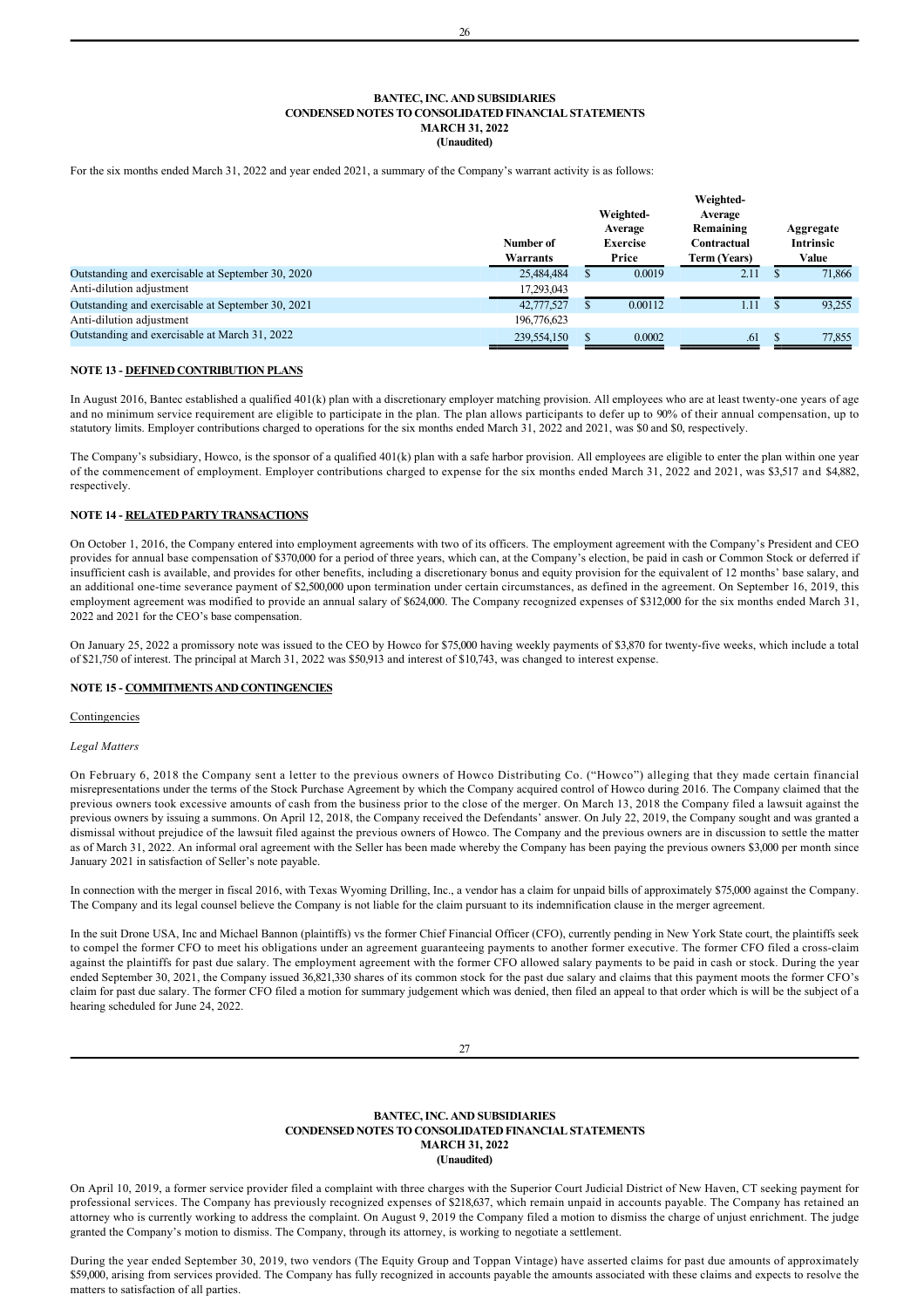For the six months ended March 31, 2022 and year ended 2021, a summary of the Company's warrant activity is as follows:

|                                                   | Number of<br>Warrants | Weighted-<br>Average<br><b>Exercise</b><br>Price | Weighted-<br>Average<br>Remaining<br>Contractual<br>Term (Years) | Aggregate<br><b>Intrinsic</b><br>Value |
|---------------------------------------------------|-----------------------|--------------------------------------------------|------------------------------------------------------------------|----------------------------------------|
| Outstanding and exercisable at September 30, 2020 | 25,484,484            | 0.0019                                           | 2.11                                                             | 71.866                                 |
| Anti-dilution adjustment                          | 17,293,043            |                                                  |                                                                  |                                        |
| Outstanding and exercisable at September 30, 2021 | 42,777,527            | 0.00112                                          | 1.11                                                             | 93,255                                 |
| Anti-dilution adjustment                          | 196,776,623           |                                                  |                                                                  |                                        |
| Outstanding and exercisable at March 31, 2022     | 239,554,150           | 0.0002                                           | .61                                                              | 77,855                                 |

## **NOTE 13 - DEFINED CONTRIBUTION PLANS**

In August 2016, Bantec established a qualified 401(k) plan with a discretionary employer matching provision. All employees who are at least twenty-one years of age and no minimum service requirement are eligible to participate in the plan. The plan allows participants to defer up to 90% of their annual compensation, up to statutory limits. Employer contributions charged to operations for the six months ended March 31, 2022 and 2021, was \$0 and \$0, respectively.

The Company's subsidiary, Howco, is the sponsor of a qualified 401(k) plan with a safe harbor provision. All employees are eligible to enter the plan within one year of the commencement of employment. Employer contributions charged to expense for the six months ended March 31, 2022 and 2021, was \$3,517 and \$4,882, respectively.

## **NOTE 14 RELATED PARTY TRANSACTIONS**

On October 1, 2016, the Company entered into employment agreements with two of its officers. The employment agreement with the Company's President and CEO provides for annual base compensation of \$370,000 for a period of three years, which can, at the Company's election, be paid in cash or Common Stock or deferred if insufficient cash is available, and provides for other benefits, including a discretionary bonus and equity provision for the equivalent of 12 months' base salary, and an additional one-time severance payment of \$2,500,000 upon termination under certain circumstances, as defined in the agreement. On September 16, 2019, this employment agreement was modified to provide an annual salary of \$624,000. The Company recognized expenses of \$312,000 for the six months ended March 31, 2022 and 2021 for the CEO's base compensation.

On January 25, 2022 a promissory note was issued to the CEO by Howco for \$75,000 having weekly payments of \$3,870 for twenty-five weeks, which include a total of \$21,750 of interest. The principal at March 31, 2022 was \$50,913 and interest of \$10,743, was changed to interest expense.

#### **NOTE 15 COMMITMENTS AND CONTINGENCIES**

#### **Contingencies**

#### *Legal Matters*

On February 6, 2018 the Company sent a letter to the previous owners of Howco Distributing Co. ("Howco") alleging that they made certain financial misrepresentations under the terms of the Stock Purchase Agreement by which the Company acquired control of Howco during 2016. The Company claimed that the previous owners took excessive amounts of cash from the business prior to the close of the merger. On March 13, 2018 the Company filed a lawsuit against the previous owners by issuing a summons. On April 12, 2018, the Company received the Defendants' answer. On July 22, 2019, the Company sought and was granted a dismissal without prejudice of the lawsuit filed against the previous owners of Howco. The Company and the previous owners are in discussion to settle the matter as of March 31, 2022. An informal oral agreement with the Seller has been made whereby the Company has been paying the previous owners \$3,000 per month since January 2021 in satisfaction of Seller's note payable.

In connection with the merger in fiscal 2016, with Texas Wyoming Drilling, Inc., a vendor has a claim for unpaid bills of approximately \$75,000 against the Company. The Company and its legal counsel believe the Company is not liable for the claim pursuant to its indemnification clause in the merger agreement.

In the suit Drone USA, Inc and Michael Bannon (plaintiffs) vs the former Chief Financial Officer (CFO), currently pending in New York State court, the plaintiffs seek to compel the former CFO to meet his obligations under an agreement guaranteeing payments to another former executive. The former CFO filed a cross-claim against the plaintiffs for past due salary. The employment agreement with the former CFO allowed salary payments to be paid in cash or stock. During the year ended September 30, 2021, the Company issued 36,821,330 shares of its common stock for the past due salary and claims that this payment moots the former CFO's claim for past due salary. The former CFO filed a motion for summary judgement which was denied, then filed an appeal to that order which is will be the subject of a hearing scheduled for June 24, 2022.

## **BANTEC, INC. AND SUBSIDIARIES CONDENSED NOTES TO CONSOLIDATED FINANCIAL STATEMENTS MARCH 31, 2022 (Unaudited)**

On April 10, 2019, a former service provider filed a complaint with three charges with the Superior Court Judicial District of New Haven, CT seeking payment for professional services. The Company has previously recognized expenses of \$218,637, which remain unpaid in accounts payable. The Company has retained an attorney who is currently working to address the complaint. On August 9, 2019 the Company filed a motion to dismiss the charge of unjust enrichment. The judge granted the Company's motion to dismiss. The Company, through its attorney, is working to negotiate a settlement.

During the year ended September 30, 2019, two vendors (The Equity Group and Toppan Vintage) have asserted claims for past due amounts of approximately \$59,000, arising from services provided. The Company has fully recognized in accounts payable the amounts associated with these claims and expects to resolve the matters to satisfaction of all parties.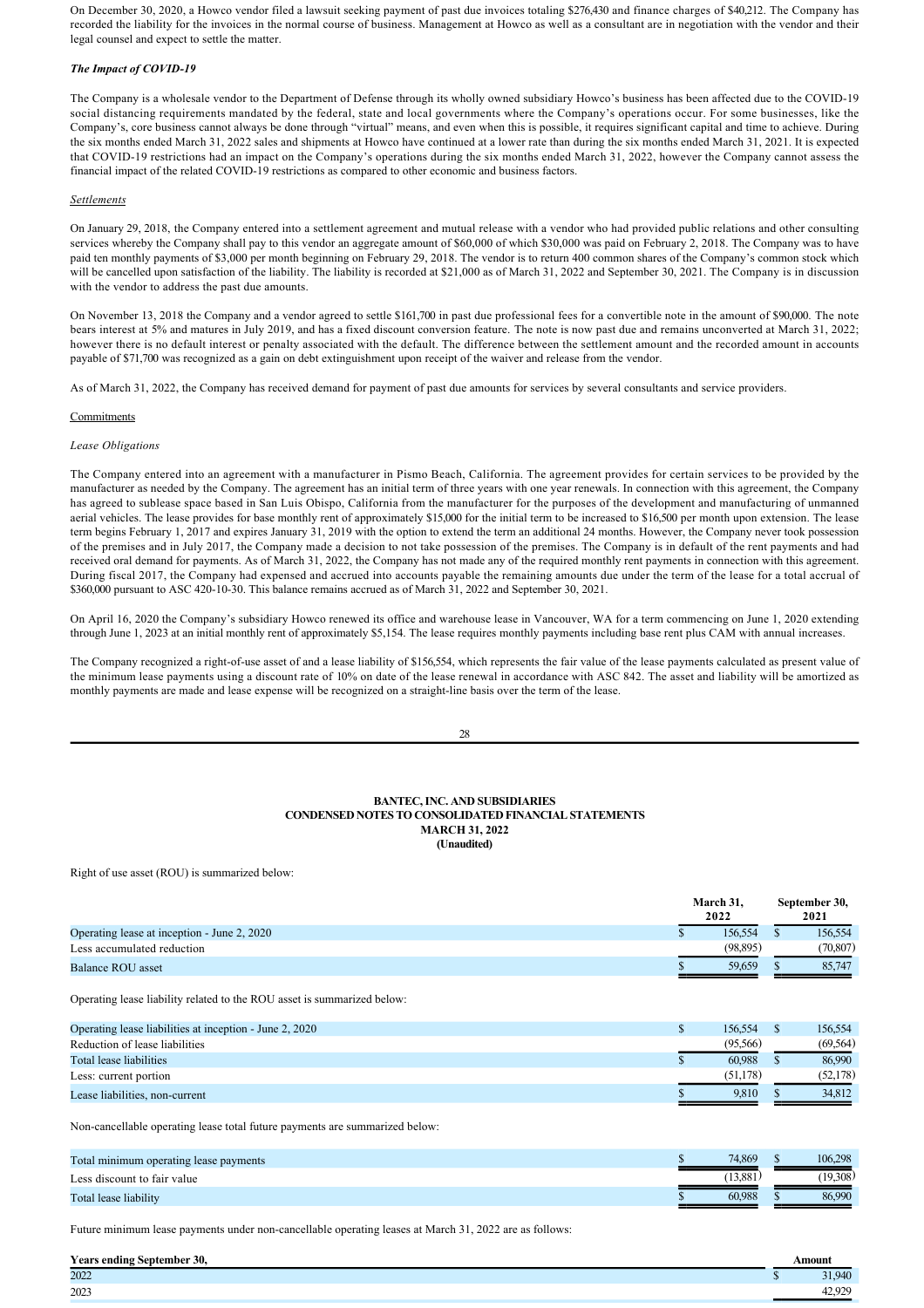On December 30, 2020, a Howco vendor filed a lawsuit seeking payment of past due invoices totaling \$276,430 and finance charges of \$40,212. The Company has recorded the liability for the invoices in the normal course of business. Management at Howco as well as a consultant are in negotiation with the vendor and their legal counsel and expect to settle the matter.

# *The Impact of COVID19*

The Company is a wholesale vendor to the Department of Defense through its wholly owned subsidiary Howco's business has been affected due to the COVID19 social distancing requirements mandated by the federal, state and local governments where the Company's operations occur. For some businesses, like the Company's, core business cannot always be done through "virtual" means, and even when this is possible, it requires significant capital and time to achieve. During the six months ended March 31, 2022 sales and shipments at Howco have continued at a lower rate than during the six months ended March 31, 2021. It is expected that COVID-19 restrictions had an impact on the Company's operations during the six months ended March 31, 2022, however the Company cannot assess the financial impact of the related COVID-19 restrictions as compared to other economic and business factors.

## *Settlements*

On January 29, 2018, the Company entered into a settlement agreement and mutual release with a vendor who had provided public relations and other consulting services whereby the Company shall pay to this vendor an aggregate amount of \$60,000 of which \$30,000 was paid on February 2, 2018. The Company was to have paid ten monthly payments of \$3,000 per month beginning on February 29, 2018. The vendor is to return 400 common shares of the Company's common stock which will be cancelled upon satisfaction of the liability. The liability is recorded at \$21,000 as of March 31, 2022 and September 30, 2021. The Company is in discussion with the vendor to address the past due amounts.

On November 13, 2018 the Company and a vendor agreed to settle \$161,700 in past due professional fees for a convertible note in the amount of \$90,000. The note bears interest at 5% and matures in July 2019, and has a fixed discount conversion feature. The note is now past due and remains unconverted at March 31, 2022; however there is no default interest or penalty associated with the default. The difference between the settlement amount and the recorded amount in accounts payable of \$71,700 was recognized as a gain on debt extinguishment upon receipt of the waiver and release from the vendor.

As of March 31, 2022, the Company has received demand for payment of past due amounts for services by several consultants and service providers.

## **Commitments**

## *Lease Obligations*

The Company entered into an agreement with a manufacturer in Pismo Beach, California. The agreement provides for certain services to be provided by the manufacturer as needed by the Company. The agreement has an initial term of three years with one year renewals. In connection with this agreement, the Company has agreed to sublease space based in San Luis Obispo, California from the manufacturer for the purposes of the development and manufacturing of unmanned aerial vehicles. The lease provides for base monthly rent of approximately \$15,000 for the initial term to be increased to \$16,500 per month upon extension. The lease term begins February 1, 2017 and expires January 31, 2019 with the option to extend the term an additional 24 months. However, the Company never took possession of the premises and in July 2017, the Company made a decision to not take possession of the premises. The Company is in default of the rent payments and had received oral demand for payments. As of March 31, 2022, the Company has not made any of the required monthly rent payments in connection with this agreement. During fiscal 2017, the Company had expensed and accrued into accounts payable the remaining amounts due under the term of the lease for a total accrual of \$360,000 pursuant to ASC 420-10-30. This balance remains accrued as of March 31, 2022 and September 30, 2021.

On April 16, 2020 the Company's subsidiary Howco renewed its office and warehouse lease in Vancouver, WA for a term commencing on June 1, 2020 extending through June 1, 2023 at an initial monthly rent of approximately \$5,154. The lease requires monthly payments including base rent plus CAM with annual increases.

The Company recognized a right-of-use asset of and a lease liability of \$156,554, which represents the fair value of the lease payments calculated as present value of the minimum lease payments using a discount rate of 10% on date of the lease renewal in accordance with ASC 842. The asset and liability will be amortized as monthly payments are made and lease expense will be recognized on a straight-line basis over the term of the lease.

## **BANTEC, INC. AND SUBSIDIARIES CONDENSED NOTES TO CONSOLIDATED FINANCIAL STATEMENTS MARCH 31, 2022 (Unaudited)**

Right of use asset (ROU) is summarized below:

|                                             | March 31,<br>2022 | September 30,<br>2021 |
|---------------------------------------------|-------------------|-----------------------|
| Operating lease at inception - June 2, 2020 | 156.554           | 156,554               |
| Less accumulated reduction                  | (98,895)          | (70, 807)             |
| Balance ROU asset                           | 59.659            | 85,747                |
|                                             |                   |                       |

Operating lease liability related to the ROU asset is summarized below:

| Operating lease liabilities at inception - June 2, 2020 | 156.554  | 156.554   |
|---------------------------------------------------------|----------|-----------|
| Reduction of lease liabilities                          | (95.566) | (69, 564) |
| Total lease liabilities                                 | 60.988   | 86.990    |
| Less: current portion                                   | (51.178) | (52, 178) |
| Lease liabilities, non-current                          | 9.810    | 34.812    |

Non-cancellable operating lease total future payments are summarized below:

| Total minimum operating lease payments | 74,869  | 106.298  |
|----------------------------------------|---------|----------|
| Less discount to fair value            | '13.881 | (19.308) |
| Total lease liability                  | 60.988  | 86,990   |
|                                        |         |          |

Future minimum lease payments under non-cancellable operating leases at March 31, 2022 are as follows:

| <b>Years ending September 30,</b> | Amount                 |
|-----------------------------------|------------------------|
| 2022                              | 1.040                  |
| 2023                              | 12.020<br>4/2<br>エム・ノム |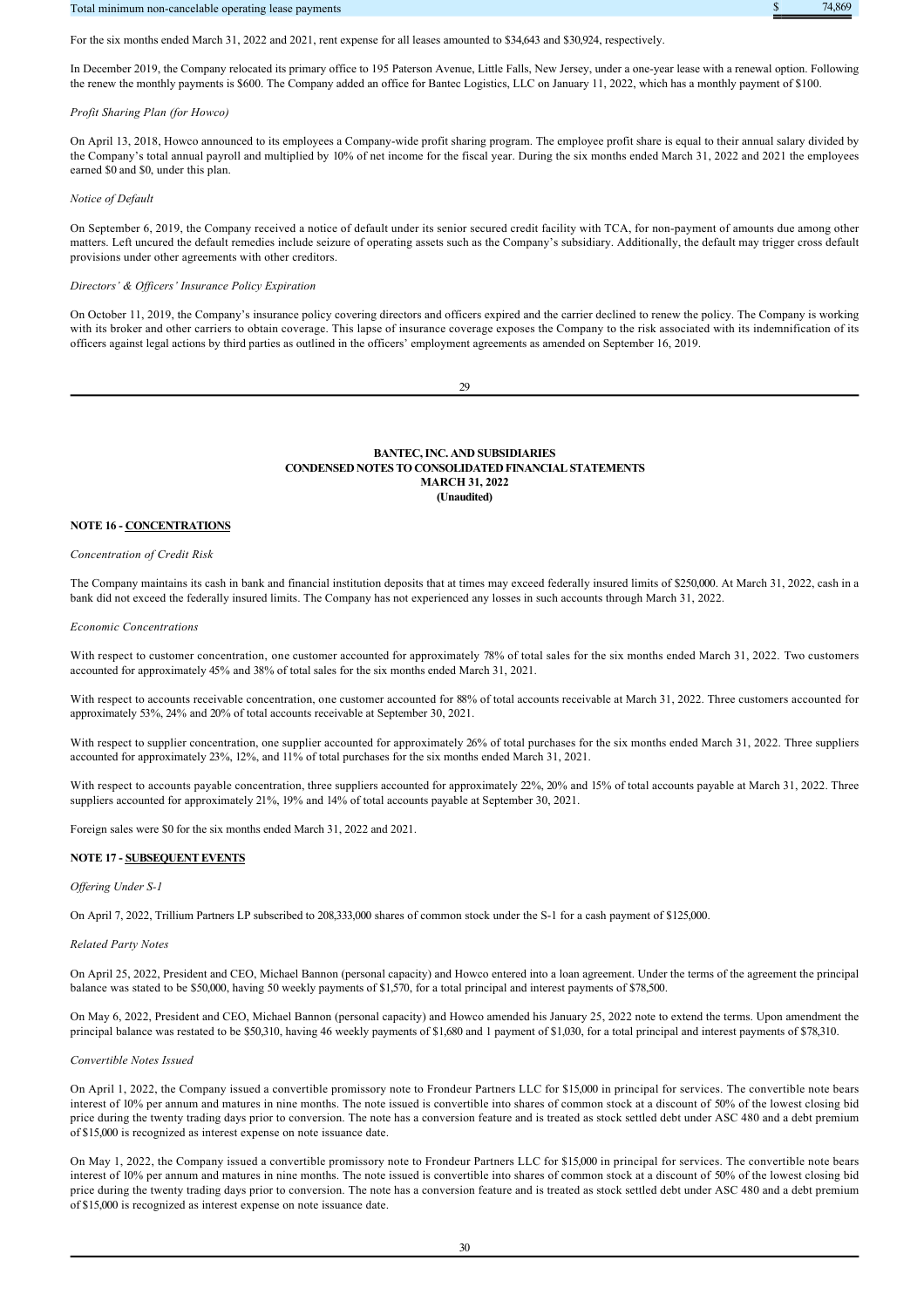## Total minimum non-cancelable operating lease payments that the contract of the contract of the contract of the contract of the contract of the contract of the contract of the contract of the contract of the contract of the



For the six months ended March 31, 2022 and 2021, rent expense for all leases amounted to \$34,643 and \$30,924, respectively.

In December 2019, the Company relocated its primary office to 195 Paterson Avenue, Little Falls, New Jersey, under a oneyear lease with a renewal option. Following the renew the monthly payments is \$600. The Company added an office for Bantec Logistics, LLC on January 11, 2022, which has a monthly payment of \$100.

#### *Profit Sharing Plan (for Howco)*

On April 13, 2018, Howco announced to its employees a Companywide profit sharing program. The employee profit share is equal to their annual salary divided by the Company's total annual payroll and multiplied by 10% of net income for the fiscal year. During the six months ended March 31, 2022 and 2021 the employees earned \$0 and \$0, under this plan.

#### *Notice of Default*

On September 6, 2019, the Company received a notice of default under its senior secured credit facility with TCA, for non-payment of amounts due among other matters. Left uncured the default remedies include seizure of operating assets such as the Company's subsidiary. Additionally, the default may trigger cross default provisions under other agreements with other creditors.

#### *Directors' & Officers' Insurance Policy Expiration*

On October 11, 2019, the Company's insurance policy covering directors and officers expired and the carrier declined to renew the policy. The Company is working with its broker and other carriers to obtain coverage. This lapse of insurance coverage exposes the Company to the risk associated with its indemnification of its officers against legal actions by third parties as outlined in the officers' employment agreements as amended on September 16, 2019.

29

## **BANTEC, INC. AND SUBSIDIARIES CONDENSED NOTES TO CONSOLIDATED FINANCIAL STATEMENTS MARCH 31, 2022 (Unaudited)**

#### **NOTE 16 - CONCENTRATIONS**

#### *Concentration of Credit Risk*

The Company maintains its cash in bank and financial institution deposits that at times may exceed federally insured limits of \$250,000. At March 31, 2022, cash in a bank did not exceed the federally insured limits. The Company has not experienced any losses in such accounts through March 31, 2022.

#### *Economic Concentrations*

With respect to customer concentration, one customer accounted for approximately 78% of total sales for the six months ended March 31, 2022. Two customers accounted for approximately 45% and 38% of total sales for the six months ended March 31, 2021.

With respect to accounts receivable concentration, one customer accounted for 88% of total accounts receivable at March 31, 2022. Three customers accounted for approximately 53%, 24% and 20% of total accounts receivable at September 30, 2021.

With respect to supplier concentration, one supplier accounted for approximately 26% of total purchases for the six months ended March 31, 2022. Three suppliers accounted for approximately 23%, 12%, and 11% of total purchases for the six months ended March 31, 2021.

With respect to accounts payable concentration, three suppliers accounted for approximately 22%, 20% and 15% of total accounts payable at March 31, 2022. Three suppliers accounted for approximately 21%, 19% and 14% of total accounts payable at September 30, 2021.

Foreign sales were \$0 for the six months ended March 31, 2022 and 2021.

## **NOTE 17 SUBSEQUENT EVENTS**

#### *Offering Under S1*

On April 7, 2022, Trillium Partners LP subscribed to 208,333,000 shares of common stock under the S1 for a cash payment of \$125,000.

#### *Related Party Notes*

On April 25, 2022, President and CEO, Michael Bannon (personal capacity) and Howco entered into a loan agreement. Under the terms of the agreement the principal balance was stated to be \$50,000, having 50 weekly payments of \$1,570, for a total principal and interest payments of \$78,500.

On May 6, 2022, President and CEO, Michael Bannon (personal capacity) and Howco amended his January 25, 2022 note to extend the terms. Upon amendment the principal balance was restated to be \$50,310, having 46 weekly payments of \$1,680 and 1 payment of \$1,030, for a total principal and interest payments of \$78,310.

## *Convertible Notes Issued*

On April 1, 2022, the Company issued a convertible promissory note to Frondeur Partners LLC for \$15,000 in principal for services. The convertible note bears interest of 10% per annum and matures in nine months. The note issued is convertible into shares of common stock at a discount of 50% of the lowest closing bid price during the twenty trading days prior to conversion. The note has a conversion feature and is treated as stock settled debt under ASC 480 and a debt premium of \$15,000 is recognized as interest expense on note issuance date.

On May 1, 2022, the Company issued a convertible promissory note to Frondeur Partners LLC for \$15,000 in principal for services. The convertible note bears interest of 10% per annum and matures in nine months. The note issued is convertible into shares of common stock at a discount of 50% of the lowest closing bid price during the twenty trading days prior to conversion. The note has a conversion feature and is treated as stock settled debt under ASC 480 and a debt premium of \$15,000 is recognized as interest expense on note issuance date.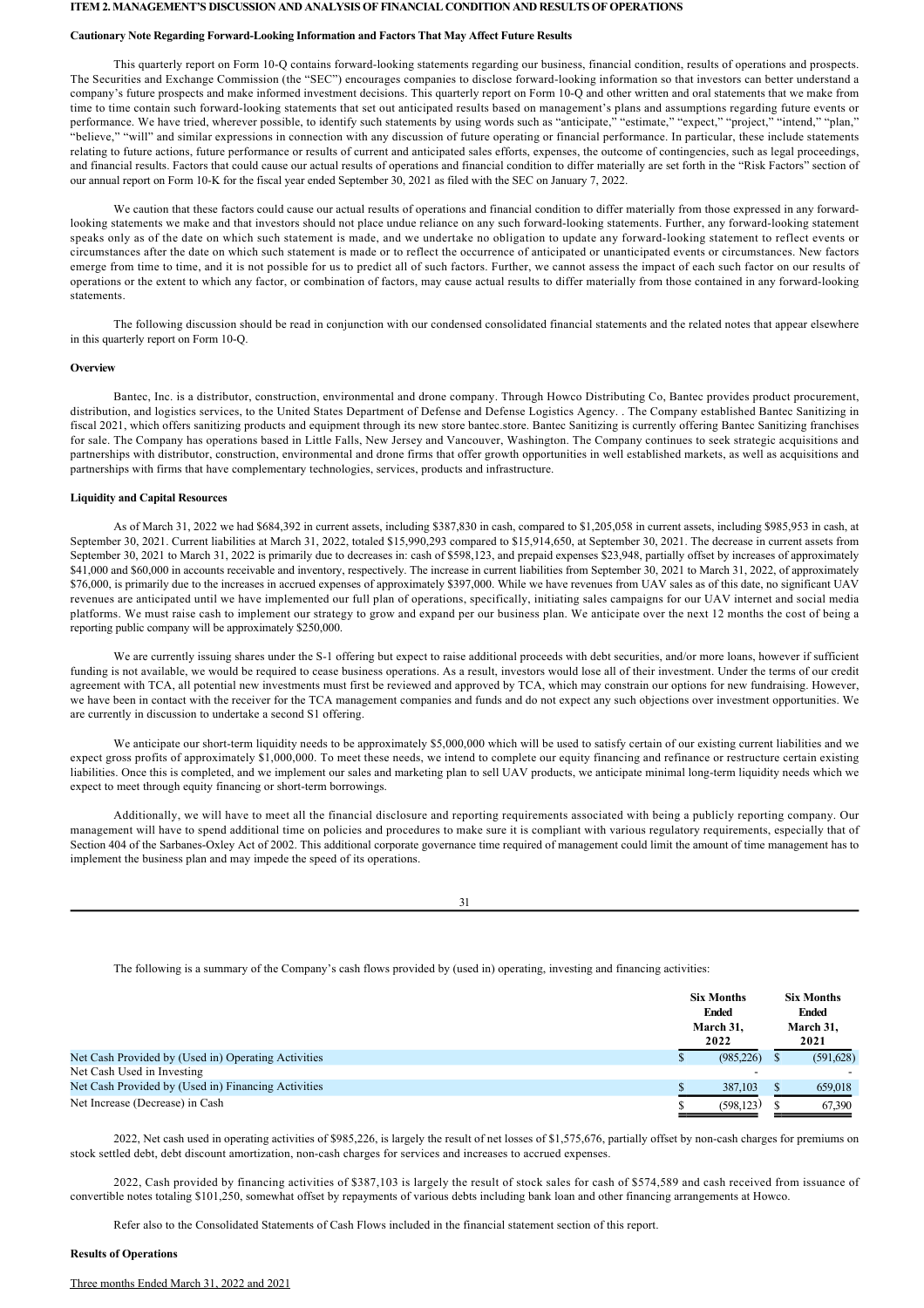#### **ITEM 2. MANAGEMENT'S DISCUSSION AND ANALYSIS OF FINANCIAL CONDITION AND RESULTS OF OPERATIONS**

#### **Cautionary Note Regarding Forward-Looking Information and Factors That May Affect Future Results**

This quarterly report on Form 10-Q contains forward-looking statements regarding our business, financial condition, results of operations and prospects. The Securities and Exchange Commission (the "SEC") encourages companies to disclose forward-looking information so that investors can better understand a company's future prospects and make informed investment decisions. This quarterly report on Form 10Q and other written and oral statements that we make from time to time contain such forward-looking statements that set out anticipated results based on management's plans and assumptions regarding future events or performance. We have tried, wherever possible, to identify such statements by using words such as "anticipate," "estimate," "expect," "project," "intend," "plan," "believe," "will" and similar expressions in connection with any discussion of future operating or financial performance. In particular, these include statements relating to future actions, future performance or results of current and anticipated sales efforts, expenses, the outcome of contingencies, such as legal proceedings, and financial results. Factors that could cause our actual results of operations and financial condition to differ materially are set forth in the "Risk Factors" section of our annual report on Form 10K for the fiscal year ended September 30, 2021 as filed with the SEC on January 7, 2022.

We caution that these factors could cause our actual results of operations and financial condition to differ materially from those expressed in any forwardlooking statements we make and that investors should not place undue reliance on any such forward-looking statements. Further, any forward-looking statement speaks only as of the date on which such statement is made, and we undertake no obligation to update any forward-looking statement to reflect events or circumstances after the date on which such statement is made or to reflect the occurrence of anticipated or unanticipated events or circumstances. New factors emerge from time to time, and it is not possible for us to predict all of such factors. Further, we cannot assess the impact of each such factor on our results of operations or the extent to which any factor, or combination of factors, may cause actual results to differ materially from those contained in any forward-looking statements.

The following discussion should be read in conjunction with our condensed consolidated financial statements and the related notes that appear elsewhere in this quarterly report on Form 10-Q.

#### **Overview**

Bantec, Inc. is a distributor, construction, environmental and drone company. Through Howco Distributing Co, Bantec provides product procurement, distribution, and logistics services, to the United States Department of Defense and Defense Logistics Agency. . The Company established Bantec Sanitizing in fiscal 2021, which offers sanitizing products and equipment through its new store bantec.store. Bantec Sanitizing is currently offering Bantec Sanitizing franchises for sale. The Company has operations based in Little Falls, New Jersey and Vancouver, Washington. The Company continues to seek strategic acquisitions and partnerships with distributor, construction, environmental and drone firms that offer growth opportunities in well established markets, as well as acquisitions and partnerships with firms that have complementary technologies, services, products and infrastructure.

## **Liquidity and Capital Resources**

As of March 31, 2022 we had \$684,392 in current assets, including \$387,830 in cash, compared to \$1,205,058 in current assets, including \$985,953 in cash, at September 30, 2021. Current liabilities at March 31, 2022, totaled \$15,990,293 compared to \$15,914,650, at September 30, 2021. The decrease in current assets from September 30, 2021 to March 31, 2022 is primarily due to decreases in: cash of \$598,123, and prepaid expenses \$23,948, partially offset by increases of approximately \$41,000 and \$60,000 in accounts receivable and inventory, respectively. The increase in current liabilities from September 30, 2021 to March 31, 2022, of approximately \$76,000, is primarily due to the increases in accrued expenses of approximately \$397,000. While we have revenues from UAV sales as of this date, no significant UAV revenues are anticipated until we have implemented our full plan of operations, specifically, initiating sales campaigns for our UAV internet and social media platforms. We must raise cash to implement our strategy to grow and expand per our business plan. We anticipate over the next 12 months the cost of being a reporting public company will be approximately \$250,000.

We are currently issuing shares under the S-1 offering but expect to raise additional proceeds with debt securities, and/or more loans, however if sufficient funding is not available, we would be required to cease business operations. As a result, investors would lose all of their investment. Under the terms of our credit agreement with TCA, all potential new investments must first be reviewed and approved by TCA, which may constrain our options for new fundraising. However, we have been in contact with the receiver for the TCA management companies and funds and do not expect any such objections over investment opportunities. We are currently in discussion to undertake a second S1 offering.

We anticipate our short-term liquidity needs to be approximately \$5,000,000 which will be used to satisfy certain of our existing current liabilities and we expect gross profits of approximately \$1,000,000. To meet these needs, we intend to complete our equity financing and refinance or restructure certain existing liabilities. Once this is completed, and we implement our sales and marketing plan to sell UAV products, we anticipate minimal long-term liquidity needs which we expect to meet through equity financing or short-term borrowings.

Additionally, we will have to meet all the financial disclosure and reporting requirements associated with being a publicly reporting company. Our management will have to spend additional time on policies and procedures to make sure it is compliant with various regulatory requirements, especially that of Section 404 of the Sarbanes-Oxley Act of 2002. This additional corporate governance time required of management could limit the amount of time management has to implement the business plan and may impede the speed of its operations.

31

The following is a summary of the Company's cash flows provided by (used in) operating, investing and financing activities:

|                                                     | <b>Six Months</b><br><b>Ended</b><br>March 31,<br>2022 | <b>Six Months</b><br><b>Ended</b><br>March 31,<br>2021 |
|-----------------------------------------------------|--------------------------------------------------------|--------------------------------------------------------|
| Net Cash Provided by (Used in) Operating Activities | (985, 226)                                             | (591,628)                                              |
| Net Cash Used in Investing                          |                                                        |                                                        |
| Net Cash Provided by (Used in) Financing Activities | 387.103                                                | 659,018                                                |
| Net Increase (Decrease) in Cash                     | (598.123)                                              | 67,390                                                 |

2022, Net cash used in operating activities of \$985,226, is largely the result of net losses of \$1,575,676, partially offset by noncash charges for premiums on stock settled debt, debt discount amortization, non-cash charges for services and increases to accrued expenses.

2022, Cash provided by financing activities of \$387,103 is largely the result of stock sales for cash of \$574,589 and cash received from issuance of convertible notes totaling \$101,250, somewhat offset by repayments of various debts including bank loan and other financing arrangements at Howco.

Refer also to the Consolidated Statements of Cash Flows included in the financial statement section of this report.

#### **Results of Operations**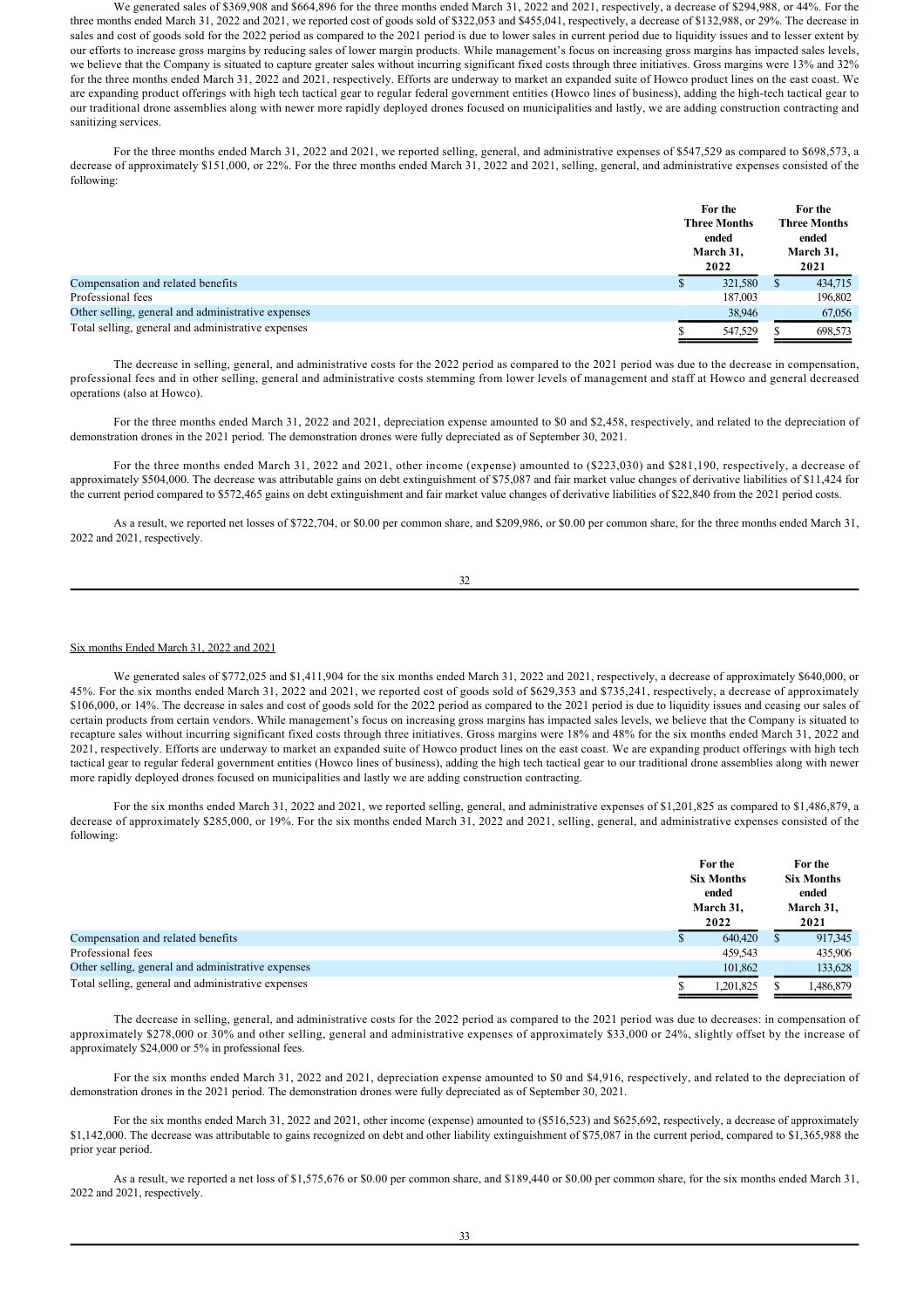We generated sales of \$369,908 and \$664,896 for the three months ended March 31, 2022 and 2021, respectively, a decrease of \$294,988, or 44%. For the three months ended March 31, 2022 and 2021, we reported cost of goods sold of \$322,053 and \$455,041, respectively, a decrease of \$132,988, or 29%. The decrease in sales and cost of goods sold for the 2022 period as compared to the 2021 period is due to lower sales in current period due to liquidity issues and to lesser extent by our efforts to increase gross margins by reducing sales of lower margin products. While management's focus on increasing gross margins has impacted sales levels, we believe that the Company is situated to capture greater sales without incurring significant fixed costs through three initiatives. Gross margins were 13% and 32% for the three months ended March 31, 2022 and 2021, respectively. Efforts are underway to market an expanded suite of Howco product lines on the east coast. We are expanding product offerings with high tech tactical gear to regular federal government entities (Howco lines of business), adding the hightech tactical gear to our traditional drone assemblies along with newer more rapidly deployed drones focused on municipalities and lastly, we are adding construction contracting and sanitizing services.

For the three months ended March 31, 2022 and 2021, we reported selling, general, and administrative expenses of \$547,529 as compared to \$698,573, a decrease of approximately \$151,000, or 22%. For the three months ended March 31, 2022 and 2021, selling, general, and administrative expenses consisted of the following:

|                                                    | For the<br><b>Three Months</b><br>ended<br>March 31,<br>2022 |   | For the<br><b>Three Months</b><br>ended<br>March 31,<br>2021 |
|----------------------------------------------------|--------------------------------------------------------------|---|--------------------------------------------------------------|
| Compensation and related benefits                  | 321,580                                                      | S | 434,715                                                      |
| Professional fees                                  | 187,003                                                      |   | 196,802                                                      |
| Other selling, general and administrative expenses | 38,946                                                       |   | 67,056                                                       |
| Total selling, general and administrative expenses | 547,529                                                      |   | 698,573                                                      |

The decrease in selling, general, and administrative costs for the 2022 period as compared to the 2021 period was due to the decrease in compensation, professional fees and in other selling, general and administrative costs stemming from lower levels of management and staff at Howco and general decreased operations (also at Howco).

For the three months ended March 31, 2022 and 2021, depreciation expense amounted to \$0 and \$2,458, respectively, and related to the depreciation of demonstration drones in the 2021 period. The demonstration drones were fully depreciated as of September 30, 2021.

For the three months ended March 31, 2022 and 2021, other income (expense) amounted to (\$223,030) and \$281,190, respectively, a decrease of approximately \$504,000. The decrease was attributable gains on debt extinguishment of \$75,087 and fair market value changes of derivative liabilities of \$11,424 for the current period compared to \$572,465 gains on debt extinguishment and fair market value changes of derivative liabilities of \$22,840 from the 2021 period costs.

As a result, we reported net losses of \$722,704, or \$0.00 per common share, and \$209,986, or \$0.00 per common share, for the three months ended March 31, 2022 and 2021, respectively.

| t       | ٧<br>I |
|---------|--------|
| ٦       | ł      |
| ×<br>۰, |        |

### Six months Ended March 31, 2022 and 2021

We generated sales of \$772,025 and \$1,411,904 for the six months ended March 31, 2022 and 2021, respectively, a decrease of approximately \$640,000, or 45%. For the six months ended March 31, 2022 and 2021, we reported cost of goods sold of \$629,353 and \$735,241, respectively, a decrease of approximately \$106,000, or 14%. The decrease in sales and cost of goods sold for the 2022 period as compared to the 2021 period is due to liquidity issues and ceasing our sales of certain products from certain vendors. While management's focus on increasing gross margins has impacted sales levels, we believe that the Company is situated to recapture sales without incurring significant fixed costs through three initiatives. Gross margins were 18% and 48% for the six months ended March 31, 2022 and 2021, respectively. Efforts are underway to market an expanded suite of Howco product lines on the east coast. We are expanding product offerings with high tech tactical gear to regular federal government entities (Howco lines of business), adding the high tech tactical gear to our traditional drone assemblies along with newer more rapidly deployed drones focused on municipalities and lastly we are adding construction contracting.

For the six months ended March 31, 2022 and 2021, we reported selling, general, and administrative expenses of \$1,201,825 as compared to \$1,486,879, a decrease of approximately \$285,000, or 19%. For the six months ended March 31, 2022 and 2021, selling, general, and administrative expenses consisted of the following:

|                                                    | For the<br><b>Six Months</b><br>ended<br>March 31.<br>2022 |   | For the<br><b>Six Months</b><br>ended<br>March 31,<br>2021 |
|----------------------------------------------------|------------------------------------------------------------|---|------------------------------------------------------------|
| Compensation and related benefits                  | 640,420                                                    | S | 917,345                                                    |
| Professional fees                                  | 459.543                                                    |   | 435,906                                                    |
| Other selling, general and administrative expenses | 101,862                                                    |   | 133,628                                                    |
| Total selling, general and administrative expenses | 1,201,825                                                  |   | 1,486,879                                                  |

The decrease in selling, general, and administrative costs for the 2022 period as compared to the 2021 period was due to decreases: in compensation of approximately \$278,000 or 30% and other selling, general and administrative expenses of approximately \$33,000 or 24%, slightly offset by the increase of approximately \$24,000 or 5% in professional fees.

For the six months ended March 31, 2022 and 2021, depreciation expense amounted to \$0 and \$4,916, respectively, and related to the depreciation of demonstration drones in the 2021 period. The demonstration drones were fully depreciated as of September 30, 2021.

For the six months ended March 31, 2022 and 2021, other income (expense) amounted to (\$516,523) and \$625,692, respectively, a decrease of approximately \$1,142,000. The decrease was attributable to gains recognized on debt and other liability extinguishment of \$75,087 in the current period, compared to \$1,365,988 the prior year period.

As a result, we reported a net loss of \$1,575,676 or \$0.00 per common share, and \$189,440 or \$0.00 per common share, for the six months ended March 31, 2022 and 2021, respectively.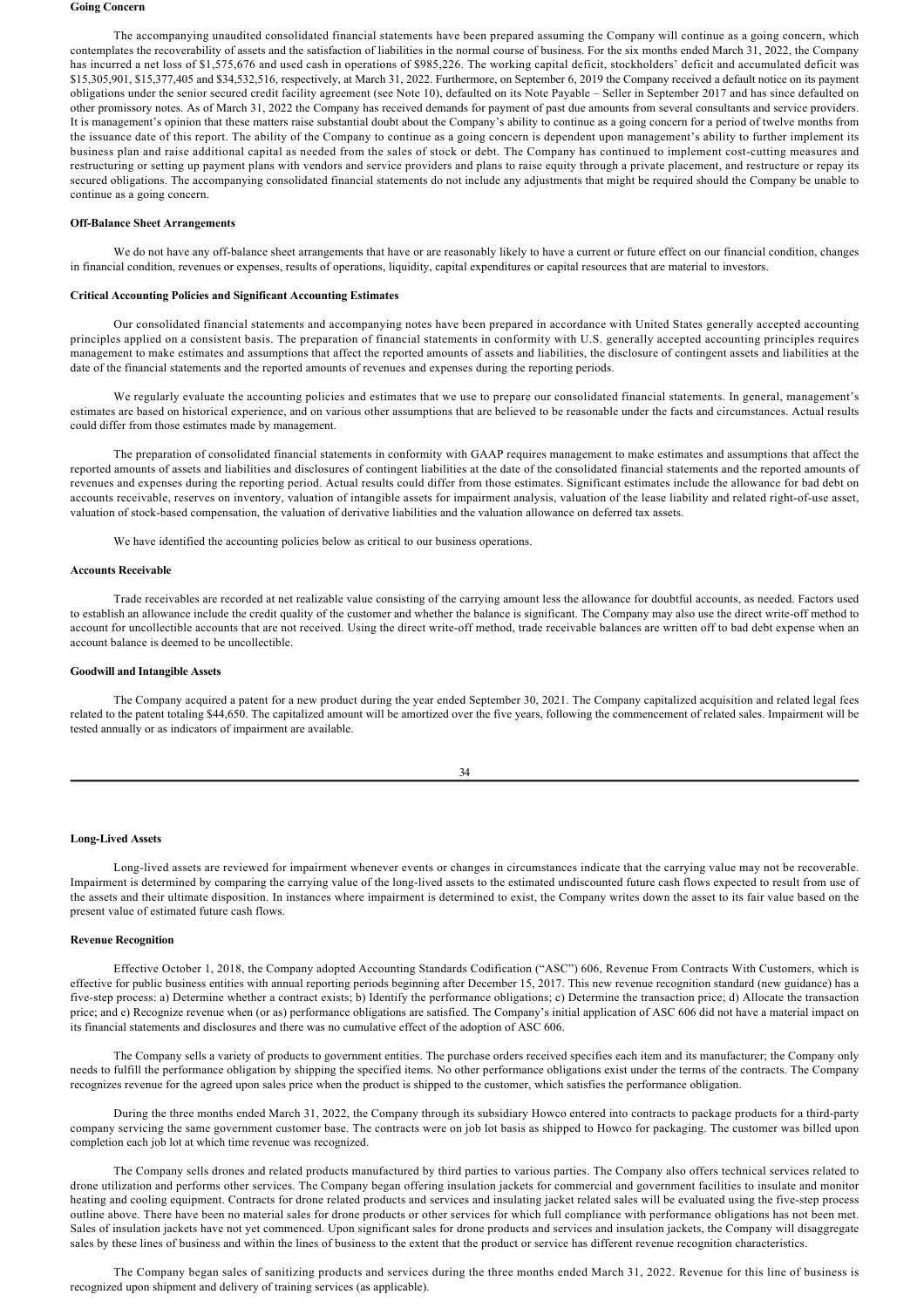#### **Going Concern**

The accompanying unaudited consolidated financial statements have been prepared assuming the Company will continue as a going concern, which contemplates the recoverability of assets and the satisfaction of liabilities in the normal course of business. For the six months ended March 31, 2022, the Company has incurred a net loss of \$1,575,676 and used cash in operations of \$985,226. The working capital deficit, stockholders' deficit and accumulated deficit was \$15,305,901, \$15,377,405 and \$34,532,516, respectively, at March 31, 2022. Furthermore, on September 6, 2019 the Company received a default notice on its payment obligations under the senior secured credit facility agreement (see Note 10), defaulted on its Note Payable – Seller in September 2017 and has since defaulted on other promissory notes. As of March 31, 2022 the Company has received demands for payment of past due amounts from several consultants and service providers. It is management's opinion that these matters raise substantial doubt about the Company's ability to continue as a going concern for a period of twelve months from the issuance date of this report. The ability of the Company to continue as a going concern is dependent upon management's ability to further implement its business plan and raise additional capital as needed from the sales of stock or debt. The Company has continued to implement cost-cutting measures and restructuring or setting up payment plans with vendors and service providers and plans to raise equity through a private placement, and restructure or repay its secured obligations. The accompanying consolidated financial statements do not include any adjustments that might be required should the Company be unable to continue as a going concern.

#### **Off-Balance Sheet Arrangements**

We do not have any off-balance sheet arrangements that have or are reasonably likely to have a current or future effect on our financial condition, changes in financial condition, revenues or expenses, results of operations, liquidity, capital expenditures or capital resources that are material to investors.

## **Critical Accounting Policies and Significant Accounting Estimates**

Our consolidated financial statements and accompanying notes have been prepared in accordance with United States generally accepted accounting principles applied on a consistent basis. The preparation of financial statements in conformity with U.S. generally accepted accounting principles requires management to make estimates and assumptions that affect the reported amounts of assets and liabilities, the disclosure of contingent assets and liabilities at the date of the financial statements and the reported amounts of revenues and expenses during the reporting periods.

We regularly evaluate the accounting policies and estimates that we use to prepare our consolidated financial statements. In general, management's estimates are based on historical experience, and on various other assumptions that are believed to be reasonable under the facts and circumstances. Actual results could differ from those estimates made by management.

The preparation of consolidated financial statements in conformity with GAAP requires management to make estimates and assumptions that affect the reported amounts of assets and liabilities and disclosures of contingent liabilities at the date of the consolidated financial statements and the reported amounts of revenues and expenses during the reporting period. Actual results could differ from those estimates. Significant estimates include the allowance for bad debt on accounts receivable, reserves on inventory, valuation of intangible assets for impairment analysis, valuation of the lease liability and related right-of-use asset, valuation of stock-based compensation, the valuation of derivative liabilities and the valuation allowance on deferred tax assets.

We have identified the accounting policies below as critical to our business operations.

## **Accounts Receivable**

Trade receivables are recorded at net realizable value consisting of the carrying amount less the allowance for doubtful accounts, as needed. Factors used to establish an allowance include the credit quality of the customer and whether the balance is significant. The Company may also use the direct write-off method to account for uncollectible accounts that are not received. Using the direct write-off method, trade receivable balances are written off to bad debt expense when an account balance is deemed to be uncollectible.

## **Goodwill and Intangible Assets**

The Company acquired a patent for a new product during the year ended September 30, 2021. The Company capitalized acquisition and related legal fees related to the patent totaling \$44,650. The capitalized amount will be amortized over the five years, following the commencement of related sales. Impairment will be tested annually or as indicators of impairment are available.

| t. | ï<br>٠              |
|----|---------------------|
| ×  | ٠<br>۰,<br>۰,<br>۰, |

## Long-Lived Assets

Long-lived assets are reviewed for impairment whenever events or changes in circumstances indicate that the carrying value may not be recoverable. Impairment is determined by comparing the carrying value of the long-lived assets to the estimated undiscounted future cash flows expected to result from use of the assets and their ultimate disposition. In instances where impairment is determined to exist, the Company writes down the asset to its fair value based on the present value of estimated future cash flows.

# **Revenue Recognition**

Effective October 1, 2018, the Company adopted Accounting Standards Codification ("ASC") 606, Revenue From Contracts With Customers, which is effective for public business entities with annual reporting periods beginning after December 15, 2017. This new revenue recognition standard (new guidance) has a five-step process: a) Determine whether a contract exists; b) Identify the performance obligations; c) Determine the transaction price; d) Allocate the transaction price; and e) Recognize revenue when (or as) performance obligations are satisfied. The Company's initial application of ASC 606 did not have a material impact on its financial statements and disclosures and there was no cumulative effect of the adoption of ASC 606.

The Company sells a variety of products to government entities. The purchase orders received specifies each item and its manufacturer; the Company only needs to fulfill the performance obligation by shipping the specified items. No other performance obligations exist under the terms of the contracts. The Company recognizes revenue for the agreed upon sales price when the product is shipped to the customer, which satisfies the performance obligation.

During the three months ended March 31, 2022, the Company through its subsidiary Howco entered into contracts to package products for a third-party company servicing the same government customer base. The contracts were on job lot basis as shipped to Howco for packaging. The customer was billed upon completion each job lot at which time revenue was recognized.

The Company sells drones and related products manufactured by third parties to various parties. The Company also offers technical services related to drone utilization and performs other services. The Company began offering insulation jackets for commercial and government facilities to insulate and monitor heating and cooling equipment. Contracts for drone related products and services and insulating jacket related sales will be evaluated using the fivestep process outline above. There have been no material sales for drone products or other services for which full compliance with performance obligations has not been met. Sales of insulation jackets have not yet commenced. Upon significant sales for drone products and services and insulation jackets, the Company will disaggregate sales by these lines of business and within the lines of business to the extent that the product or service has different revenue recognition characteristics.

The Company began sales of sanitizing products and services during the three months ended March 31, 2022. Revenue for this line of business is recognized upon shipment and delivery of training services (as applicable).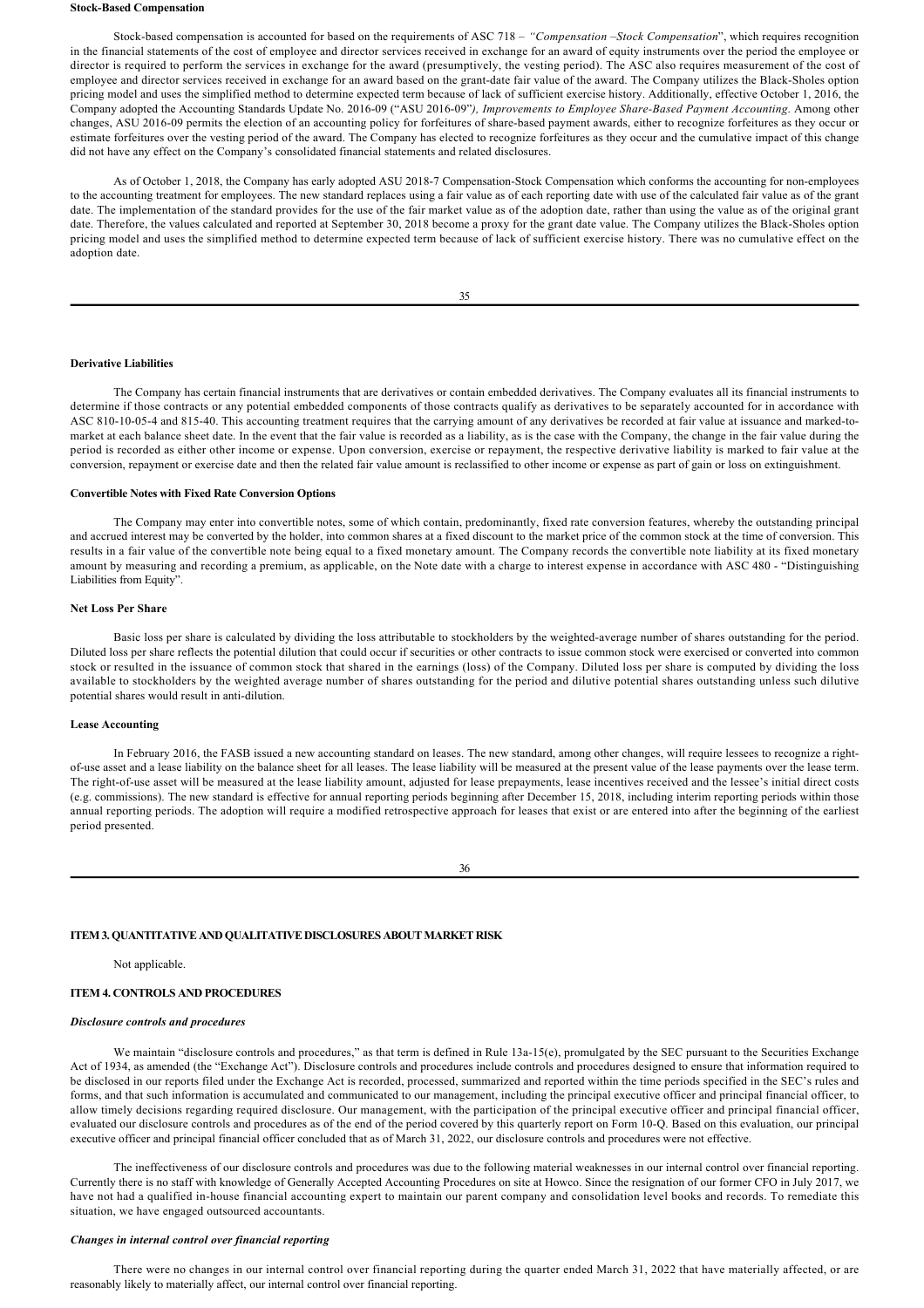#### **Stock-Based Compensation**

Stock-based compensation is accounted for based on the requirements of ASC 718 – "Compensation –Stock Compensation", which requires recognition in the financial statements of the cost of employee and director services received in exchange for an award of equity instruments over the period the employee or director is required to perform the services in exchange for the award (presumptively, the vesting period). The ASC also requires measurement of the cost of employee and director services received in exchange for an award based on the grant-date fair value of the award. The Company utilizes the Black-Sholes option pricing model and uses the simplified method to determine expected term because of lack of sufficient exercise history. Additionally, effective October 1, 2016, the Company adopted the Accounting Standards Update No. 2016-09 ("ASU 2016-09"), Improvements to Employee Share-Based Payment Accounting. Among other changes, ASU 2016-09 permits the election of an accounting policy for forfeitures of share-based payment awards, either to recognize forfeitures as they occur or estimate forfeitures over the vesting period of the award. The Company has elected to recognize forfeitures as they occur and the cumulative impact of this change did not have any effect on the Company's consolidated financial statements and related disclosures.

As of October 1, 2018, the Company has early adopted ASU 2018-7 Compensation-Stock Compensation which conforms the accounting for non-employees to the accounting treatment for employees. The new standard replaces using a fair value as of each reporting date with use of the calculated fair value as of the grant date. The implementation of the standard provides for the use of the fair market value as of the adoption date, rather than using the value as of the original grant date. Therefore, the values calculated and reported at September 30, 2018 become a proxy for the grant date value. The Company utilizes the Black-Sholes option pricing model and uses the simplified method to determine expected term because of lack of sufficient exercise history. There was no cumulative effect on the adoption date.

#### **Derivative Liabilities**

The Company has certain financial instruments that are derivatives or contain embedded derivatives. The Company evaluates all its financial instruments to determine if those contracts or any potential embedded components of those contracts qualify as derivatives to be separately accounted for in accordance with ASC 810-10-05-4 and 815-40. This accounting treatment requires that the carrying amount of any derivatives be recorded at fair value at issuance and marked-tomarket at each balance sheet date. In the event that the fair value is recorded as a liability, as is the case with the Company, the change in the fair value during the period is recorded as either other income or expense. Upon conversion, exercise or repayment, the respective derivative liability is marked to fair value at the conversion, repayment or exercise date and then the related fair value amount is reclassified to other income or expense as part of gain or loss on extinguishment.

# **Convertible Notes with Fixed Rate Conversion Options**

The Company may enter into convertible notes, some of which contain, predominantly, fixed rate conversion features, whereby the outstanding principal and accrued interest may be converted by the holder, into common shares at a fixed discount to the market price of the common stock at the time of conversion. This results in a fair value of the convertible note being equal to a fixed monetary amount. The Company records the convertible note liability at its fixed monetary amount by measuring and recording a premium, as applicable, on the Note date with a charge to interest expense in accordance with ASC 480 - "Distinguishing Liabilities from Equity".

#### **Net Loss Per Share**

Basic loss per share is calculated by dividing the loss attributable to stockholders by the weighted-average number of shares outstanding for the period. Diluted loss per share reflects the potential dilution that could occur if securities or other contracts to issue common stock were exercised or converted into common stock or resulted in the issuance of common stock that shared in the earnings (loss) of the Company. Diluted loss per share is computed by dividing the loss available to stockholders by the weighted average number of shares outstanding for the period and dilutive potential shares outstanding unless such dilutive potential shares would result in anti-dilution.

## **Lease Accounting**

In February 2016, the FASB issued a new accounting standard on leases. The new standard, among other changes, will require lessees to recognize a rightof-use asset and a lease liability on the balance sheet for all leases. The lease liability will be measured at the present value of the lease payments over the lease term. The right-of-use asset will be measured at the lease liability amount, adjusted for lease prepayments, lease incentives received and the lessee's initial direct costs (e.g. commissions). The new standard is effective for annual reporting periods beginning after December 15, 2018, including interim reporting periods within those annual reporting periods. The adoption will require a modified retrospective approach for leases that exist or are entered into after the beginning of the earliest period presented.

36

#### **ITEM 3. QUANTITATIVE AND QUALITATIVE DISCLOSURES ABOUT MARKET RISK**

Not applicable.

## **ITEM 4. CONTROLS AND PROCEDURES**

#### *Disclosure controls and procedures*

We maintain "disclosure controls and procedures," as that term is defined in Rule 13a-15(e), promulgated by the SEC pursuant to the Securities Exchange Act of 1934, as amended (the "Exchange Act"). Disclosure controls and procedures include controls and procedures designed to ensure that information required to be disclosed in our reports filed under the Exchange Act is recorded, processed, summarized and reported within the time periods specified in the SEC's rules and forms, and that such information is accumulated and communicated to our management, including the principal executive officer and principal financial officer, to allow timely decisions regarding required disclosure. Our management, with the participation of the principal executive officer and principal financial officer, evaluated our disclosure controls and procedures as of the end of the period covered by this quarterly report on Form 10-Q. Based on this evaluation, our principal executive officer and principal financial officer concluded that as of March 31, 2022, our disclosure controls and procedures were not effective.

The ineffectiveness of our disclosure controls and procedures was due to the following material weaknesses in our internal control over financial reporting. Currently there is no staff with knowledge of Generally Accepted Accounting Procedures on site at Howco. Since the resignation of our former CFO in July 2017, we have not had a qualified in-house financial accounting expert to maintain our parent company and consolidation level books and records. To remediate this situation, we have engaged outsourced accountants.

#### *Changes in internal control over financial reporting*

There were no changes in our internal control over financial reporting during the quarter ended March 31, 2022 that have materially affected, or are reasonably likely to materially affect, our internal control over financial reporting.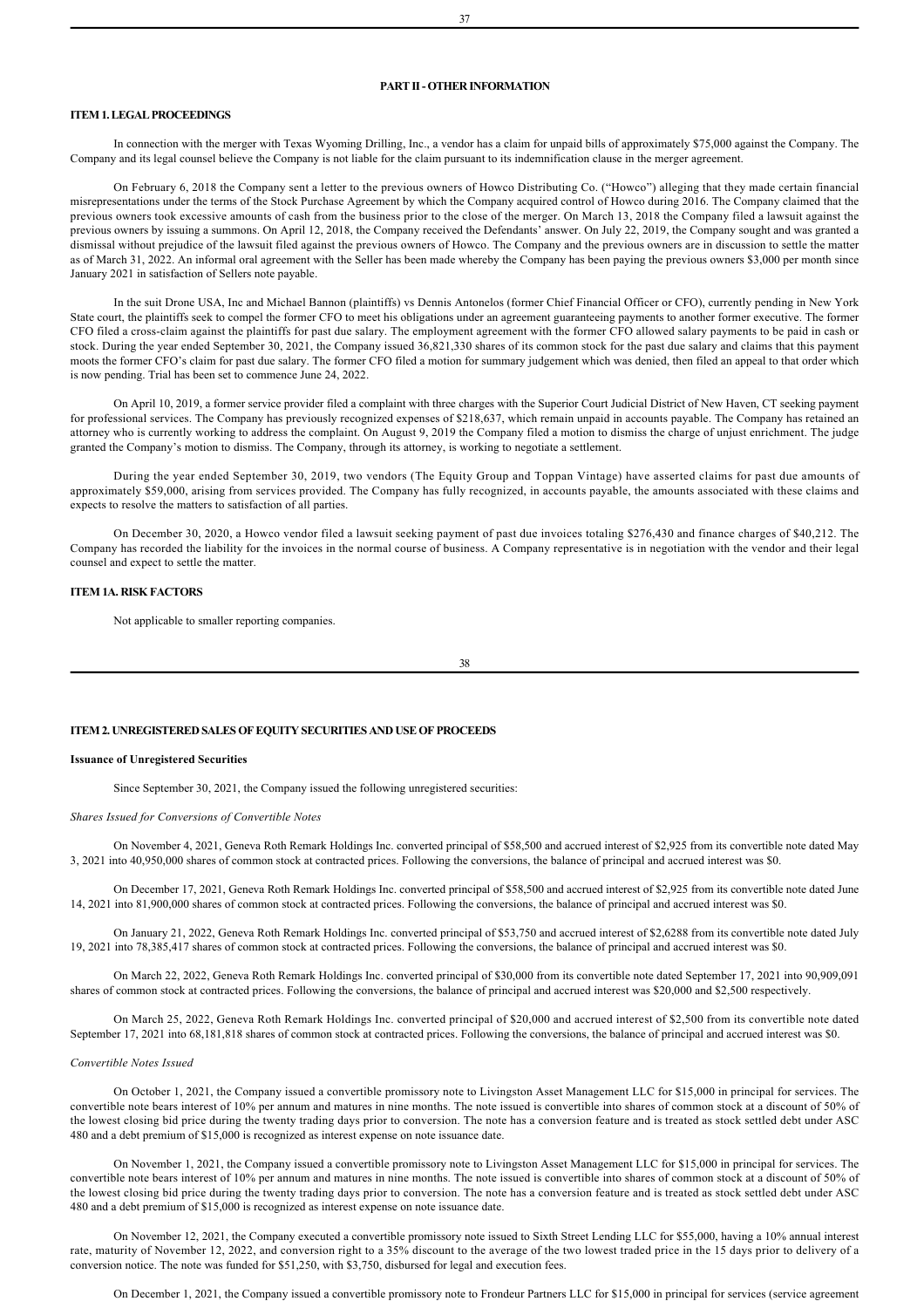# **PART II OTHER INFORMATION**

# **ITEM 1. LEGAL PROCEEDINGS**

In connection with the merger with Texas Wyoming Drilling, Inc., a vendor has a claim for unpaid bills of approximately \$75,000 against the Company. The Company and its legal counsel believe the Company is not liable for the claim pursuant to its indemnification clause in the merger agreement.

On February 6, 2018 the Company sent a letter to the previous owners of Howco Distributing Co. ("Howco") alleging that they made certain financial misrepresentations under the terms of the Stock Purchase Agreement by which the Company acquired control of Howco during 2016. The Company claimed that the previous owners took excessive amounts of cash from the business prior to the close of the merger. On March 13, 2018 the Company filed a lawsuit against the previous owners by issuing a summons. On April 12, 2018, the Company received the Defendants' answer. On July 22, 2019, the Company sought and was granted a dismissal without prejudice of the lawsuit filed against the previous owners of Howco. The Company and the previous owners are in discussion to settle the matter as of March 31, 2022. An informal oral agreement with the Seller has been made whereby the Company has been paying the previous owners \$3,000 per month since January 2021 in satisfaction of Sellers note payable.

In the suit Drone USA, Inc and Michael Bannon (plaintiffs) vs Dennis Antonelos (former Chief Financial Officer or CFO), currently pending in New York State court, the plaintiffs seek to compel the former CFO to meet his obligations under an agreement guaranteeing payments to another former executive. The former CFO filed a cross-claim against the plaintiffs for past due salary. The employment agreement with the former CFO allowed salary payments to be paid in cash or stock. During the year ended September 30, 2021, the Company issued 36,821,330 shares of its common stock for the past due salary and claims that this payment moots the former CFO's claim for past due salary. The former CFO filed a motion for summary judgement which was denied, then filed an appeal to that order which is now pending. Trial has been set to commence June 24, 2022.

On April 10, 2019, a former service provider filed a complaint with three charges with the Superior Court Judicial District of New Haven, CT seeking payment for professional services. The Company has previously recognized expenses of \$218,637, which remain unpaid in accounts payable. The Company has retained an attorney who is currently working to address the complaint. On August 9, 2019 the Company filed a motion to dismiss the charge of unjust enrichment. The judge granted the Company's motion to dismiss. The Company, through its attorney, is working to negotiate a settlement.

During the year ended September 30, 2019, two vendors (The Equity Group and Toppan Vintage) have asserted claims for past due amounts of approximately \$59,000, arising from services provided. The Company has fully recognized, in accounts payable, the amounts associated with these claims and expects to resolve the matters to satisfaction of all parties.

On December 30, 2020, a Howco vendor filed a lawsuit seeking payment of past due invoices totaling \$276,430 and finance charges of \$40,212. The Company has recorded the liability for the invoices in the normal course of business. A Company representative is in negotiation with the vendor and their legal counsel and expect to settle the matter.

#### **ITEM 1A. RISK FACTORS**

Not applicable to smaller reporting companies.

#### **ITEM 2. UNREGISTERED SALES OF EQUITY SECURITIES AND USE OF PROCEEDS**

#### **Issuance of Unregistered Securities**

Since September 30, 2021, the Company issued the following unregistered securities:

#### *Shares Issued for Conversions of Convertible Notes*

On November 4, 2021, Geneva Roth Remark Holdings Inc. converted principal of \$58,500 and accrued interest of \$2,925 from its convertible note dated May 3, 2021 into 40,950,000 shares of common stock at contracted prices. Following the conversions, the balance of principal and accrued interest was \$0.

On December 17, 2021, Geneva Roth Remark Holdings Inc. converted principal of \$58,500 and accrued interest of \$2,925 from its convertible note dated June 14, 2021 into 81,900,000 shares of common stock at contracted prices. Following the conversions, the balance of principal and accrued interest was \$0.

On January 21, 2022, Geneva Roth Remark Holdings Inc. converted principal of \$53,750 and accrued interest of \$2,6288 from its convertible note dated July 19, 2021 into 78,385,417 shares of common stock at contracted prices. Following the conversions, the balance of principal and accrued interest was \$0.

On March 22, 2022, Geneva Roth Remark Holdings Inc. converted principal of \$30,000 from its convertible note dated September 17, 2021 into 90,909,091 shares of common stock at contracted prices. Following the conversions, the balance of principal and accrued interest was \$20,000 and \$2,500 respectively.

On March 25, 2022, Geneva Roth Remark Holdings Inc. converted principal of \$20,000 and accrued interest of \$2,500 from its convertible note dated September 17, 2021 into 68,181,818 shares of common stock at contracted prices. Following the conversions, the balance of principal and accrued interest was \$0.

#### *Convertible Notes Issued*

On October 1, 2021, the Company issued a convertible promissory note to Livingston Asset Management LLC for \$15,000 in principal for services. The convertible note bears interest of 10% per annum and matures in nine months. The note issued is convertible into shares of common stock at a discount of 50% of the lowest closing bid price during the twenty trading days prior to conversion. The note has a conversion feature and is treated as stock settled debt under ASC 480 and a debt premium of \$15,000 is recognized as interest expense on note issuance date.

On November 1, 2021, the Company issued a convertible promissory note to Livingston Asset Management LLC for \$15,000 in principal for services. The convertible note bears interest of 10% per annum and matures in nine months. The note issued is convertible into shares of common stock at a discount of 50% of the lowest closing bid price during the twenty trading days prior to conversion. The note has a conversion feature and is treated as stock settled debt under ASC 480 and a debt premium of \$15,000 is recognized as interest expense on note issuance date.

On November 12, 2021, the Company executed a convertible promissory note issued to Sixth Street Lending LLC for \$55,000, having a 10% annual interest rate, maturity of November 12, 2022, and conversion right to a 35% discount to the average of the two lowest traded price in the 15 days prior to delivery of a conversion notice. The note was funded for \$51,250, with \$3,750, disbursed for legal and execution fees.

On December 1, 2021, the Company issued a convertible promissory note to Frondeur Partners LLC for \$15,000 in principal for services (service agreement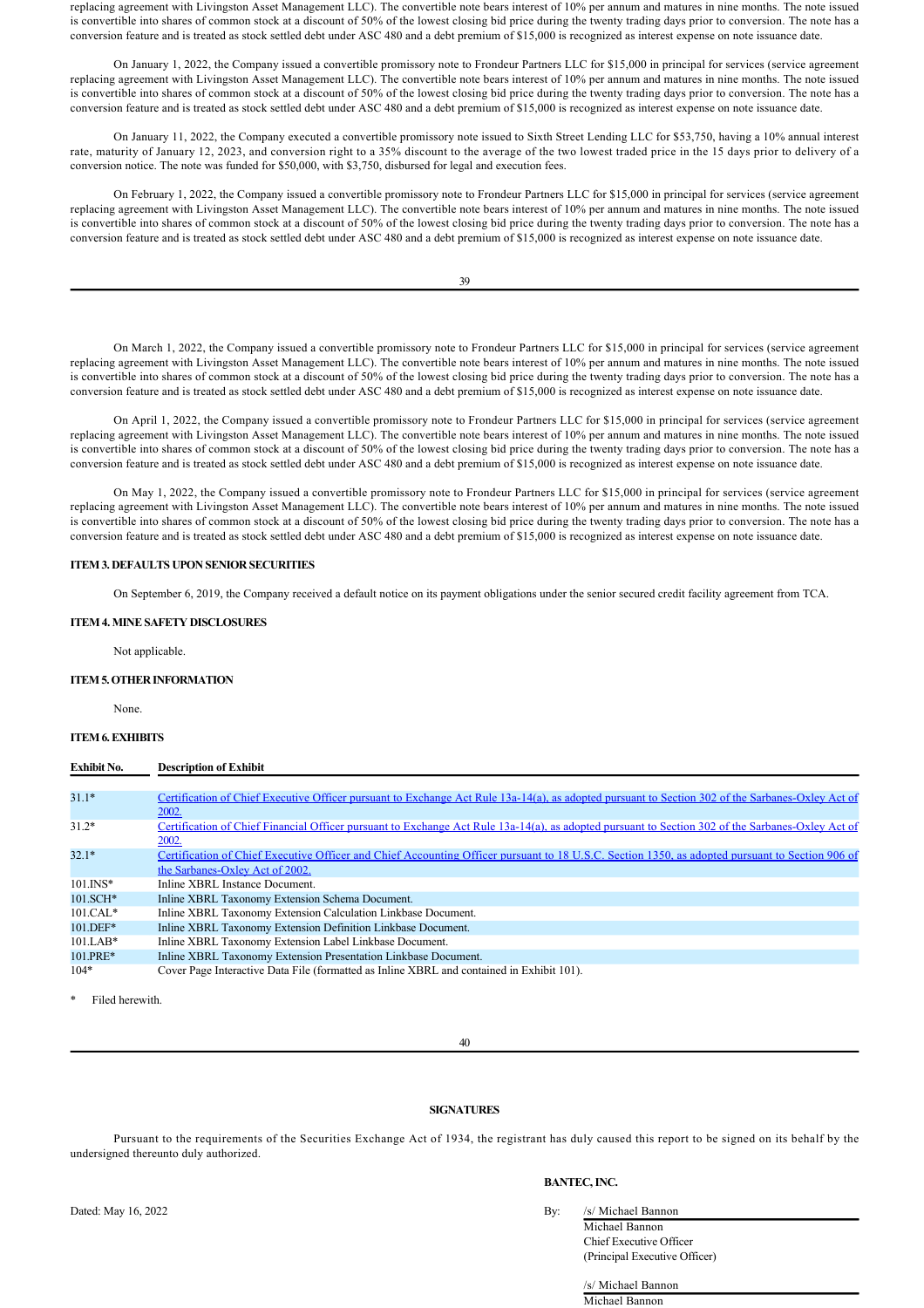replacing agreement with Livingston Asset Management LLC). The convertible note bears interest of 10% per annum and matures in nine months. The note issued is convertible into shares of common stock at a discount of 50% of the lowest closing bid price during the twenty trading days prior to conversion. The note has a conversion feature and is treated as stock settled debt under ASC 480 and a debt premium of \$15,000 is recognized as interest expense on note issuance date.

On January 1, 2022, the Company issued a convertible promissory note to Frondeur Partners LLC for \$15,000 in principal for services (service agreement replacing agreement with Livingston Asset Management LLC). The convertible note bears interest of 10% per annum and matures in nine months. The note issued is convertible into shares of common stock at a discount of 50% of the lowest closing bid price during the twenty trading days prior to conversion. The note has a conversion feature and is treated as stock settled debt under ASC 480 and a debt premium of \$15,000 is recognized as interest expense on note issuance date.

On January 11, 2022, the Company executed a convertible promissory note issued to Sixth Street Lending LLC for \$53,750, having a 10% annual interest rate, maturity of January 12, 2023, and conversion right to a 35% discount to the average of the two lowest traded price in the 15 days prior to delivery of a conversion notice. The note was funded for \$50,000, with \$3,750, disbursed for legal and execution fees.

On February 1, 2022, the Company issued a convertible promissory note to Frondeur Partners LLC for \$15,000 in principal for services (service agreement replacing agreement with Livingston Asset Management LLC). The convertible note bears interest of 10% per annum and matures in nine months. The note issued is convertible into shares of common stock at a discount of 50% of the lowest closing bid price during the twenty trading days prior to conversion. The note has a conversion feature and is treated as stock settled debt under ASC 480 and a debt premium of \$15,000 is recognized as interest expense on note issuance date.

39

On March 1, 2022, the Company issued a convertible promissory note to Frondeur Partners LLC for \$15,000 in principal for services (service agreement replacing agreement with Livingston Asset Management LLC). The convertible note bears interest of 10% per annum and matures in nine months. The note issued is convertible into shares of common stock at a discount of 50% of the lowest closing bid price during the twenty trading days prior to conversion. The note has a conversion feature and is treated as stock settled debt under ASC 480 and a debt premium of \$15,000 is recognized as interest expense on note issuance date.

On April 1, 2022, the Company issued a convertible promissory note to Frondeur Partners LLC for \$15,000 in principal for services (service agreement replacing agreement with Livingston Asset Management LLC). The convertible note bears interest of 10% per annum and matures in nine months. The note issued is convertible into shares of common stock at a discount of 50% of the lowest closing bid price during the twenty trading days prior to conversion. The note has a conversion feature and is treated as stock settled debt under ASC 480 and a debt premium of \$15,000 is recognized as interest expense on note issuance date.

On May 1, 2022, the Company issued a convertible promissory note to Frondeur Partners LLC for \$15,000 in principal for services (service agreement replacing agreement with Livingston Asset Management LLC). The convertible note bears interest of 10% per annum and matures in nine months. The note issued is convertible into shares of common stock at a discount of 50% of the lowest closing bid price during the twenty trading days prior to conversion. The note has a conversion feature and is treated as stock settled debt under ASC 480 and a debt premium of \$15,000 is recognized as interest expense on note issuance date.

## **ITEM 3. DEFAULTS UPON SENIOR SECURITIES**

On September 6, 2019, the Company received a default notice on its payment obligations under the senior secured credit facility agreement from TCA.

### **ITEM 4. MINE SAFETY DISCLOSURES**

Not applicable.

## **ITEM 5. OTHER INFORMATION**

None.

# **ITEM 6. EXHIBITS**

| <b>Exhibit No.</b> | <b>Description of Exhibit</b> |
|--------------------|-------------------------------|
|--------------------|-------------------------------|

| $31.1*$     | Certification of Chief Executive Officer pursuant to Exchange Act Rule 13a-14(a), as adopted pursuant to Section 302 of the Sarbanes-Oxley Act of |
|-------------|---------------------------------------------------------------------------------------------------------------------------------------------------|
|             | 2002.                                                                                                                                             |
| $31.2*$     | Certification of Chief Financial Officer pursuant to Exchange Act Rule 13a-14(a), as adopted pursuant to Section 302 of the Sarbanes-Oxley Act of |
|             | 2002.                                                                                                                                             |
| $32.1*$     | Certification of Chief Executive Officer and Chief Accounting Officer pursuant to 18 U.S.C. Section 1350, as adopted pursuant to Section 906 of   |
|             | the Sarbanes-Oxley Act of 2002.                                                                                                                   |
| $101.$ INS* | Inline XBRL Instance Document.                                                                                                                    |
| 101.SCH*    | Inline XBRL Taxonomy Extension Schema Document.                                                                                                   |
| $101.CAL*$  | Inline XBRL Taxonomy Extension Calculation Linkbase Document.                                                                                     |
| 101.DEF*    | Inline XBRL Taxonomy Extension Definition Linkbase Document.                                                                                      |
| $101.LAB*$  | Inline XBRL Taxonomy Extension Label Linkbase Document.                                                                                           |
| 101.PRE*    | Inline XBRL Taxonomy Extension Presentation Linkbase Document.                                                                                    |
| $104*$      | Cover Page Interactive Data File (formatted as Inline XBRL and contained in Exhibit 101).                                                         |

Filed herewith.

40

# **SIGNATURES**

Pursuant to the requirements of the Securities Exchange Act of 1934, the registrant has duly caused this report to be signed on its behalf by the undersigned thereunto duly authorized.

# **BANTEC, INC.**

| Bv: | /s/ Michael Bannon             |
|-----|--------------------------------|
|     | Michael Bannon                 |
|     | <b>Chief Executive Officer</b> |
|     | (Principal Executive Officer)  |

/s/ Michael Bannon Michael Bannon

Dated: May 16, 2022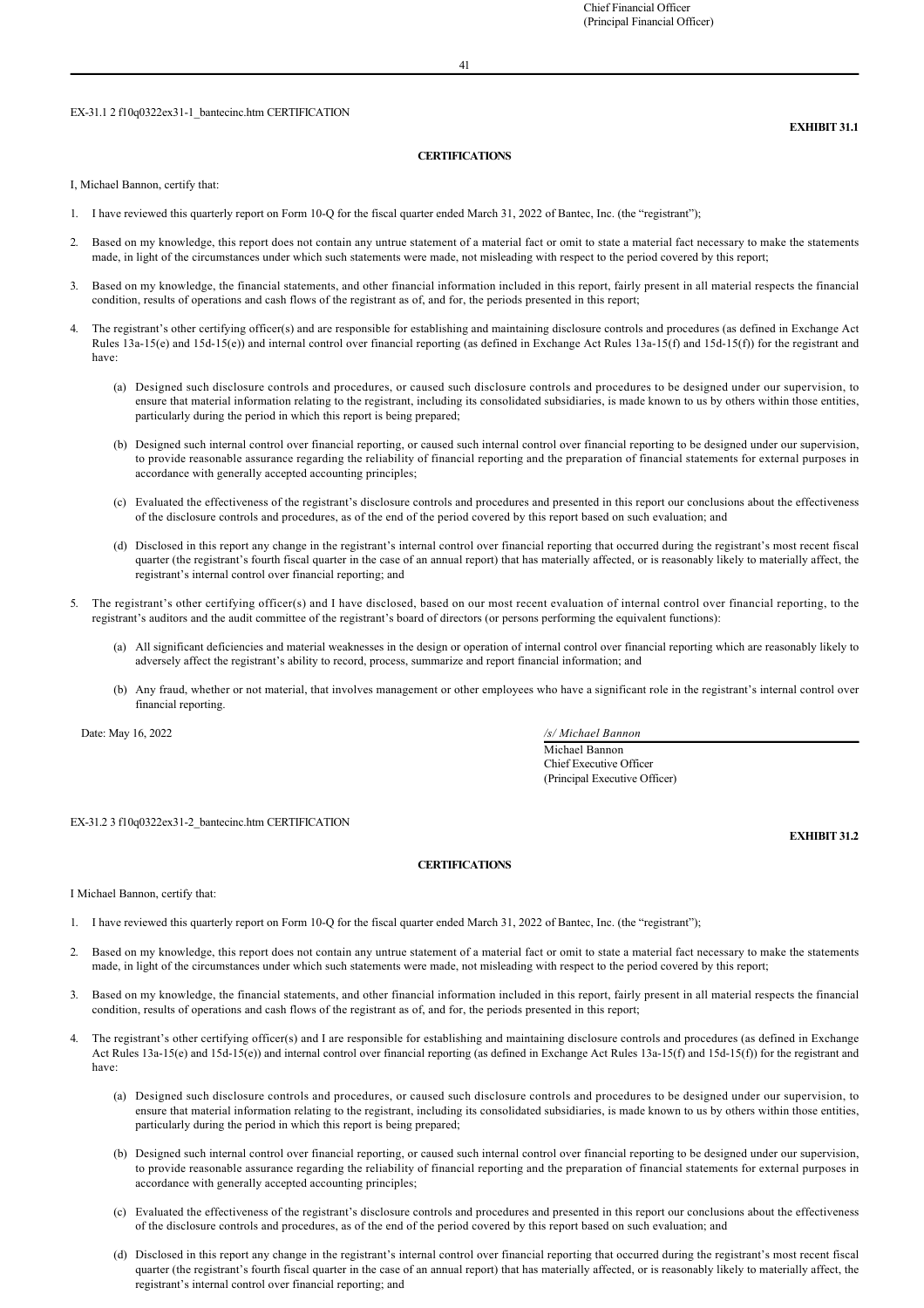## EX-31.1 2 f10q0322ex31-1 bantecinc.htm CERTIFICATION

# **EXHIBIT 31.1**

#### **CERTIFICATIONS**

I, Michael Bannon, certify that:

- 1. I have reviewed this quarterly report on Form 10Q for the fiscal quarter ended March 31, 2022 of Bantec, Inc. (the "registrant");
- 2. Based on my knowledge, this report does not contain any untrue statement of a material fact or omit to state a material fact necessary to make the statements made, in light of the circumstances under which such statements were made, not misleading with respect to the period covered by this report;
- 3. Based on my knowledge, the financial statements, and other financial information included in this report, fairly present in all material respects the financial condition, results of operations and cash flows of the registrant as of, and for, the periods presented in this report;
- 4. The registrant's other certifying officer(s) and are responsible for establishing and maintaining disclosure controls and procedures (as defined in Exchange Act Rules  $13a-15(e)$  and  $15d-15(e)$ ) and internal control over financial reporting (as defined in Exchange Act Rules  $13a-15(f)$  and  $15d-15(f)$ ) for the registrant and have:
	- (a) Designed such disclosure controls and procedures, or caused such disclosure controls and procedures to be designed under our supervision, to ensure that material information relating to the registrant, including its consolidated subsidiaries, is made known to us by others within those entities, particularly during the period in which this report is being prepared;
	- (b) Designed such internal control over financial reporting, or caused such internal control over financial reporting to be designed under our supervision, to provide reasonable assurance regarding the reliability of financial reporting and the preparation of financial statements for external purposes in accordance with generally accepted accounting principles;
	- (c) Evaluated the effectiveness of the registrant's disclosure controls and procedures and presented in this report our conclusions about the effectiveness of the disclosure controls and procedures, as of the end of the period covered by this report based on such evaluation; and
	- (d) Disclosed in this report any change in the registrant's internal control over financial reporting that occurred during the registrant's most recent fiscal quarter (the registrant's fourth fiscal quarter in the case of an annual report) that has materially affected, or is reasonably likely to materially affect, the registrant's internal control over financial reporting; and
- 5. The registrant's other certifying officer(s) and I have disclosed, based on our most recent evaluation of internal control over financial reporting, to the registrant's auditors and the audit committee of the registrant's board of directors (or persons performing the equivalent functions):
	- (a) All significant deficiencies and material weaknesses in the design or operation of internal control over financial reporting which are reasonably likely to adversely affect the registrant's ability to record, process, summarize and report financial information; and
	- (b) Any fraud, whether or not material, that involves management or other employees who have a significant role in the registrant's internal control over financial reporting.

Michael Bannon Chief Executive Officer (Principal Executive Officer)

Date: May 16, 2022 */s/ Michael Bannon*

EX-31.2 3 f10q0322ex31-2\_bantecinc.htm CERTIFICATION

# **EXHIBIT 31.2**

# **CERTIFICATIONS**

I Michael Bannon, certify that:

- 1. I have reviewed this quarterly report on Form 10Q for the fiscal quarter ended March 31, 2022 of Bantec, Inc. (the "registrant");
- 2. Based on my knowledge, this report does not contain any untrue statement of a material fact or omit to state a material fact necessary to make the statements made, in light of the circumstances under which such statements were made, not misleading with respect to the period covered by this report;
- 3. Based on my knowledge, the financial statements, and other financial information included in this report, fairly present in all material respects the financial condition, results of operations and cash flows of the registrant as of, and for, the periods presented in this report;
- 4. The registrant's other certifying officer(s) and I are responsible for establishing and maintaining disclosure controls and procedures (as defined in Exchange Act Rules  $13a-15(e)$  and  $15d-15(e)$ ) and internal control over financial reporting (as defined in Exchange Act Rules  $13a-15(f)$  and  $15d-15(f)$ ) for the registrant and have:
	- (a) Designed such disclosure controls and procedures, or caused such disclosure controls and procedures to be designed under our supervision, to ensure that material information relating to the registrant, including its consolidated subsidiaries, is made known to us by others within those entities, particularly during the period in which this report is being prepared;
	- (b) Designed such internal control over financial reporting, or caused such internal control over financial reporting to be designed under our supervision, to provide reasonable assurance regarding the reliability of financial reporting and the preparation of financial statements for external purposes in accordance with generally accepted accounting principles;
	- (c) Evaluated the effectiveness of the registrant's disclosure controls and procedures and presented in this report our conclusions about the effectiveness of the disclosure controls and procedures, as of the end of the period covered by this report based on such evaluation; and
	- (d) Disclosed in this report any change in the registrant's internal control over financial reporting that occurred during the registrant's most recent fiscal quarter (the registrant's fourth fiscal quarter in the case of an annual report) that has materially affected, or is reasonably likely to materially affect, the registrant's internal control over financial reporting; and